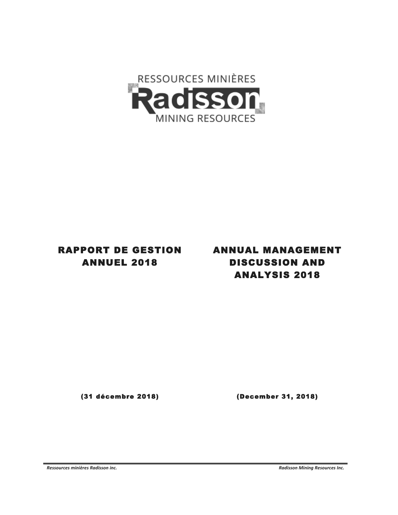

# RAPPORT DE GESTION ANNUEL 2018

# ANNUAL MANAGEMENT DISCUSSION AND ANALYSIS 2018

(31 décembre 2018) (December 31, 2018)

Ressources minières Radisson inc.

*-*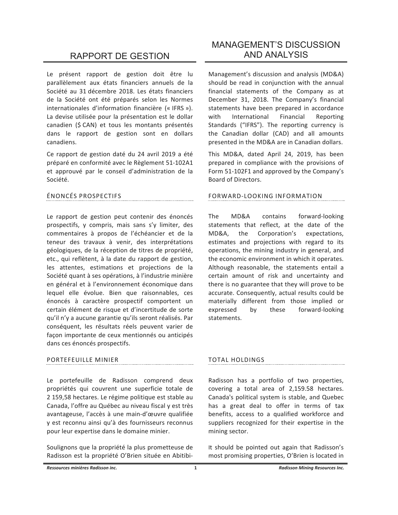# **RAPPORT DE GESTION**

Le présent rapport de gestion doit être lu parallèlement aux états financiers annuels de la Société au 31 décembre 2018. Les états financiers de la Société ont été préparés selon les Normes internationales d'information financière (« IFRS »). La devise utilisée pour la présentation est le dollar canadien (\$ CAN) et tous les montants présentés dans le rapport de gestion sont en dollars canadiens.

Ce rapport de gestion daté du 24 avril 2019 a été préparé en conformité avec le Règlement 51-102A1 et approuvé par le conseil d'administration de la Société.

# ÉNONCÉS PROSPECTIFS

Le rapport de gestion peut contenir des énoncés prospectifs, y compris, mais sans s'y limiter, des commentaires à propos de l'échéancier et de la teneur des travaux à venir, des interprétations géologiques, de la réception de titres de propriété, etc., qui reflètent, à la date du rapport de gestion, les attentes, estimations et projections de la Société quant à ses opérations, à l'industrie minière en général et à l'environnement économique dans lequel elle évolue. Bien que raisonnables, ces énoncés à caractère prospectif comportent un certain élément de risque et d'incertitude de sorte qu'il n'y a aucune garantie qu'ils seront réalisés. Par conséquent, les résultats réels peuvent varier de façon importante de ceux mentionnés ou anticipés dans ces énoncés prospectifs.

# PORTEFEUILLE MINIER

Le portefeuille de Radisson comprend deux propriétés qui couvrent une superficie totale de 2 159,58 hectares. Le régime politique est stable au Canada, l'offre au Québec au niveau fiscal y est très avantageuse, l'accès à une main-d'œuvre qualifiée y est reconnu ainsi qu'à des fournisseurs reconnus pour leur expertise dans le domaine minier.

Soulignons que la propriété la plus prometteuse de Radisson est la propriété O'Brien située en Abitibi-

# **MANAGEMENT'S DISCUSSION AND ANALYSIS**

Management's discussion and analysis (MD&A) should be read in conjunction with the annual financial statements of the Company as at December 31, 2018. The Company's financial statements have been prepared in accordance with International Financial Reporting Standards ("IFRS"). The reporting currency is the Canadian dollar (CAD) and all amounts presented in the MD&A are in Canadian dollars.

This MD&A, dated April 24, 2019, has been prepared in compliance with the provisions of Form 51-102F1 and approved by the Company's Board of Directors.

# FORWARD-LOOKING INFORMATION

The MD&A contains forward-looking statements that reflect, at the date of the MD&A. the Corporation's expectations. estimates and projections with regard to its operations, the mining industry in general, and the economic environment in which it operates. Although reasonable, the statements entail a certain amount of risk and uncertainty and there is no guarantee that they will prove to be accurate. Consequently, actual results could be materially different from those implied or expressed by these forward-looking statements.

# **TOTAL HOLDINGS**

Radisson has a portfolio of two properties, covering a total area of 2,159.58 hectares. Canada's political system is stable, and Quebec has a great deal to offer in terms of tax benefits, access to a qualified workforce and suppliers recognized for their expertise in the mining sector.

It should be pointed out again that Radisson's most promising properties, O'Brien is located in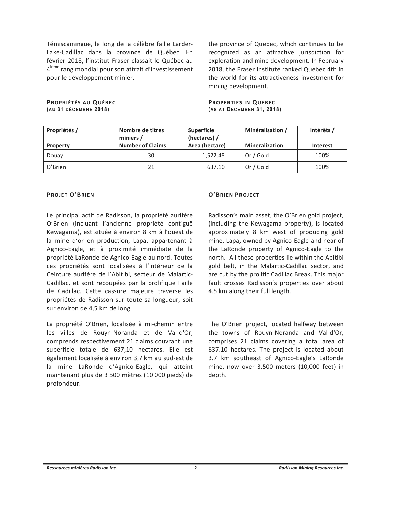Témiscamingue, le long de la célèbre faille Larder-Lake-Cadillac dans la province de Québec. En février 2018, l'institut Fraser classait le Québec au 4<sup>ième</sup> rang mondial pour son attrait d'investissement pour le développement minier.

PROPRIÉTÉS AU QUÉBEC (AU 31 DÉCEMBRE 2018) the province of Quebec, which continues to be recognized as an attractive jurisdiction for exploration and mine development. In February 2018, the Fraser Institute ranked Quebec 4th in the world for its attractiveness investment for mining development.

**PROPERTIES IN QUEBEC** (AS AT DECEMBER 31, 2018)

| Propriétés /    | <b>Superficie</b><br>Nombre de titres<br>(hectares) /<br>miniers / |                | Minéralisation /      | Intérêts / |
|-----------------|--------------------------------------------------------------------|----------------|-----------------------|------------|
| <b>Property</b> | <b>Number of Claims</b>                                            | Area (hectare) | <b>Mineralization</b> | Interest   |
| Douay           | 30                                                                 | 1,522.48       | Or / Gold             | 100%       |
| O'Brien         | 21                                                                 | 637.10         | Or / Gold             | 100%       |

# **PROJET O'BRIEN**

Le principal actif de Radisson, la propriété aurifère O'Brien (incluant l'ancienne propriété contiguë Kewagama), est située à environ 8 km à l'ouest de la mine d'or en production, Lapa, appartenant à Agnico-Eagle, et à proximité immédiate de la propriété LaRonde de Agnico-Eagle au nord. Toutes ces propriétés sont localisées à l'intérieur de la Ceinture aurifère de l'Abitibi, secteur de Malartic-Cadillac, et sont recoupées par la prolifique Faille de Cadillac. Cette cassure majeure traverse les propriétés de Radisson sur toute sa longueur, soit sur environ de 4,5 km de long.

La propriété O'Brien, localisée à mi-chemin entre les villes de Rouyn-Noranda et de Val-d'Or, comprends respectivement 21 claims couvrant une superficie totale de 637,10 hectares. Elle est également localisée à environ 3,7 km au sud-est de la mine LaRonde d'Agnico-Eagle, qui atteint maintenant plus de 3 500 mètres (10 000 pieds) de profondeur.

### **O'BRIEN PROJECT**

Radisson's main asset, the O'Brien gold project, (including the Kewagama property), is located approximately 8 km west of producing gold mine, Lapa, owned by Agnico-Eagle and near of the LaRonde property of Agnico-Eagle to the north. All these properties lie within the Abitibi gold belt, in the Malartic-Cadillac sector, and are cut by the prolific Cadillac Break. This major fault crosses Radisson's properties over about 4.5 km along their full length.

The O'Brien project, located halfway between the towns of Rouyn-Noranda and Val-d'Or, comprises 21 claims covering a total area of 637.10 hectares. The project is located about 3.7 km southeast of Agnico-Eagle's LaRonde mine, now over 3,500 meters (10,000 feet) in depth.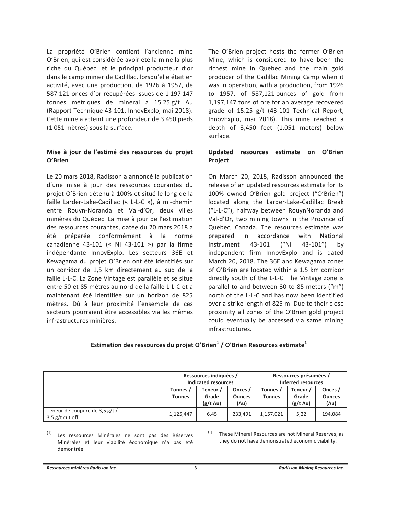La propriété O'Brien contient l'ancienne mine O'Brien, qui est considérée avoir été la mine la plus riche du Québec, et le principal producteur d'or dans le camp minier de Cadillac, lorsqu'elle était en activité, avec une production, de 1926 à 1957, de 587 121 onces d'or récupérées issues de 1 197 147 tonnes métriques de minerai à 15,25 g/t Au (Rapport Technique 43-101, InnovExplo, mai 2018). Cette mine a atteint une profondeur de 3 450 pieds (1051 mètres) sous la surface.

# Mise à jour de l'estimé des ressources du projet O'Brien

Le 20 mars 2018, Radisson a annoncé la publication d'une mise à jour des ressources courantes du projet O'Brien détenu à 100% et situé le long de la faille Larder-Lake-Cadillac (« L-L-C »), à mi-chemin entre Rouyn-Noranda et Val-d'Or, deux villes minières du Québec. La mise à jour de l'estimation des ressources courantes, datée du 20 mars 2018 a été préparée conformément à la norme canadienne 43-101 (« NI 43-101 ») par la firme indépendante InnovExplo. Les secteurs 36E et Kewagama du projet O'Brien ont été identifiés sur un corridor de 1,5 km directement au sud de la faille L-L-C. La Zone Vintage est parallèle et se situe entre 50 et 85 mètres au nord de la faille L-L-C et a maintenant été identifiée sur un horizon de 825 mètres. Dû à leur proximité l'ensemble de ces secteurs pourraient être accessibles via les mêmes infrastructures minières.

The O'Brien project hosts the former O'Brien Mine, which is considered to have been the richest mine in Quebec and the main gold producer of the Cadillac Mining Camp when it was in operation, with a production, from 1926 to 1957, of 587,121 ounces of gold from 1,197,147 tons of ore for an average recovered grade of 15.25 g/t (43-101 Technical Report, InnovExplo, mai 2018). This mine reached a depth of 3,450 feet (1,051 meters) below surface.

# Updated resources estimate on O'Brien Project

On March 20, 2018, Radisson announced the release of an updated resources estimate for its 100% owned O'Brien gold project ("O'Brien") located along the Larder-Lake-Cadillac Break ("L-L-C"), halfway between RouynNoranda and Val-d'Or, two mining towns in the Province of Quebec, Canada. The resources estimate was prepared in accordance with National  $("N]$ Instrument 43-101  $43-101"$ by independent firm InnovExplo and is dated March 20, 2018. The 36E and Kewagama zones of O'Brien are located within a 1.5 km corridor directly south of the L-L-C. The Vintage zone is parallel to and between 30 to 85 meters ("m") north of the L-L-C and has now been identified over a strike length of 825 m. Due to their close proximity all zones of the O'Brien gold project could eventually be accessed via same mining infrastructures.

# Estimation des ressources du projet O'Brien $<sup>1</sup>$  / O'Brien Resources estimate $<sup>1</sup>$ </sup></sup>

|                                                     | Ressources indiquées /<br>Indicated resources |                                         |                                  | Ressources présumées /<br>Inferred resources |                                         |                                  |
|-----------------------------------------------------|-----------------------------------------------|-----------------------------------------|----------------------------------|----------------------------------------------|-----------------------------------------|----------------------------------|
|                                                     | Tonnes /<br><b>Tonnes</b>                     | Teneur /<br>Grade<br>$(g/t \text{ Au})$ | Onces /<br><b>Ounces</b><br>(Au) | Tonnes /<br><b>Tonnes</b>                    | Teneur /<br>Grade<br>$(g/t \text{ Au})$ | Onces /<br><b>Ounces</b><br>(Au) |
| Teneur de coupure de 3,5 g/t /<br>$3.5$ g/t cut off | 1,125,447                                     | 6.45                                    | 233.491                          | 1,157,021                                    | 5,22                                    | 194.084                          |

 $(1)$ Les ressources Minérales ne sont pas des Réserves Minérales et leur viabilité économique n'a pas été démontrée.

These Mineral Resources are not Mineral Reserves, as they do not have demonstrated economic viability.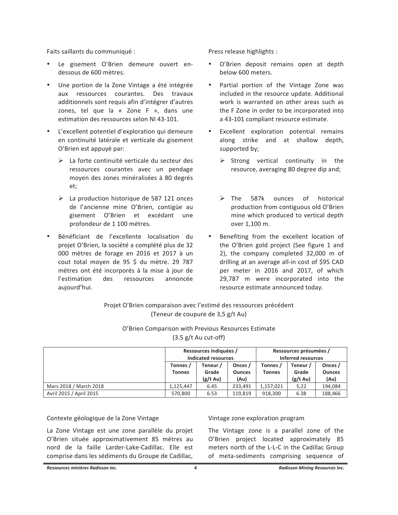Faits saillants du communiqué :

- Le gisement O'Brien demeure ouvert endessous de 600 mètres.
- Une portion de la Zone Vintage a été intégrée aux ressources courantes. Des travaux additionnels sont requis afin d'intégrer d'autres zones, tel que la « Zone F », dans une estimation des ressources selon NI 43-101.
- L'excellent potentiel d'exploration qui demeure en continuité latérale et verticale du gisement O'Brien est appuyé par:
	- > La forte continuité verticale du secteur des ressources courantes avec un pendage moyen des zones minéralisées à 80 degrés et;
	- $\triangleright$  La production historique de 587 121 onces de l'ancienne mine O'Brien, contigüe au gisement O'Brien et excédant une profondeur de 1 100 mètres.
- Bénéficiant de l'excellente localisation du projet O'Brien, la société a complété plus de 32 000 mètres de forage en 2016 et 2017 à un cout total moyen de 95 \$ du mètre. 29 787 mètres ont été incorporés à la mise à jour de l'estimation des ressources annoncée aujourd'hui.

Press release highlights :

- · O'Brien deposit remains open at depth below 600 meters.
- Partial portion of the Vintage Zone was included in the resource update. Additional work is warranted on other areas such as the F Zone in order to be incorporated into a 43-101 compliant resource estimate.
- Excellent exploration potential remains along strike and at shallow depth, supported by;
	- $\triangleright$  Strong vertical continuity in the resource, averaging 80 degree dip and;
	- $\triangleright$  The 587k ounces of historical production from contiguous old O'Brien mine which produced to vertical depth over 1.100 m.
- Benefiting from the excellent location of the O'Brien gold project (See figure 1 and 2), the company completed 32,000 m of drilling at an average all-in cost of \$95 CAD per meter in 2016 and 2017, of which 29,787 m were incorporated into the resource estimate announced today.

Projet O'Brien comparaison avec l'estimé des ressources précédent (Teneur de coupure de 3,5 g/t Au)

| O'Brien Comparison with Previous Resources Estimate |                                |  |
|-----------------------------------------------------|--------------------------------|--|
|                                                     | $(3.5 \text{ g/t}$ Au cut-off) |  |

|                         |                           | Ressources indiquées /<br>Indicated resources |                          | Ressources présumées /<br>Inferred resources |                    |                          |
|-------------------------|---------------------------|-----------------------------------------------|--------------------------|----------------------------------------------|--------------------|--------------------------|
|                         | Tonnes /<br><b>Tonnes</b> | Teneur /<br>Grade                             | Onces /<br><b>Ounces</b> | Tonnes /<br><b>Tonnes</b>                    | Teneur /<br>Grade  | Onces /<br><b>Ounces</b> |
|                         |                           | $(g/t \text{ Au})$                            | (Au)                     |                                              | $(g/t \text{ Au})$ | (Au)                     |
| Mars 2018 / March 2018  | 1.125.447                 | 6.45                                          | 233.491                  | 1,157,021                                    | 5,22               | 194.084                  |
| Avril 2015 / April 2015 | 570.800                   | 6.53                                          | 119.819                  | 918,300                                      | 6.38               | 188,466                  |

Contexte géologique de la Zone Vintage

La Zone Vintage est une zone parallèle du projet O'Brien située approximativement 85 mètres au nord de la faille Larder-Lake-Cadillac. Elle est comprise dans les sédiments du Groupe de Cadillac,

### Vintage zone exploration program

The Vintage zone is a parallel zone of the O'Brien project located approximately 85 meters north of the L-L-C in the Cadillac Group of meta-sediments comprising sequence of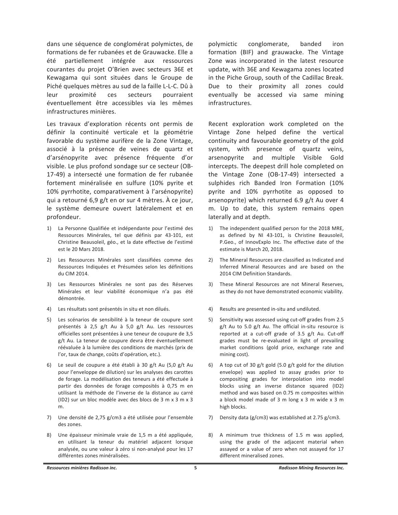dans une séquence de conglomérat polymictes, de formations de fer rubanées et de Grauwacke. Elle a été partiellement intégrée aux ressources courantes du projet O'Brien avec secteurs 36E et Kewagama qui sont situées dans le Groupe de Piché quelques mètres au sud de la faille L-L-C. Dû à proximité ces secteurs leur pourraient éventuellement être accessibles via les mêmes infrastructures minières.

Les travaux d'exploration récents ont permis de définir la continuité verticale et la géométrie favorable du système aurifère de la Zone Vintage, associé à la présence de veines de quartz et d'arsénopyrite avec présence fréquente d'or visible. Le plus profond sondage sur ce secteur (OB-17-49) a intersecté une formation de fer rubanée fortement minéralisée en sulfure (10% pyrite et 10% pyrrhotite, comparativement à l'arsénopyrite) qui a retourné 6,9 g/t en or sur 4 mètres. À ce jour, le système demeure ouvert latéralement et en profondeur.

- 1) La Personne Qualifiée et indépendante pour l'estimé des Ressources Minérales, tel que définis par 43-101, est Christine Beausoleil, géo., et la date effective de l'estimé est le 20 Mars 2018.
- 2) Les Ressources Minérales sont classifiées comme des Ressources Indiquées et Présumées selon les définitions du CIM 2014.
- 3) Les Ressources Minérales ne sont pas des Réserves Minérales et leur viabilité économique n'a pas été démontrée.
- 4) Les résultats sont présentés in situ et non dilués.
- 5) Les scénarios de sensibilité à la teneur de coupure sont présentés à 2,5 g/t Au à 5,0 g/t Au. Les ressources officielles sont présentées à une teneur de coupure de 3,5 g/t Au. La teneur de coupure devra être éventuellement réévaluée à la lumière des conditions de marchés (prix de l'or, taux de change, coûts d'opération, etc.).
- 6) Le seuil de coupure a été établi à 30 g/t Au (5,0 g/t Au pour l'enveloppe de dilution) sur les analyses des carottes de forage. La modélisation des teneurs a été effectuée à partir des données de forage composités à 0,75 m en utilisant la méthode de l'inverse de la distance au carré (ID2) sur un bloc modèle avec des blocs de 3 m x 3 m x 3  $m<sub>1</sub>$
- 7) Une densité de 2,75 g/cm3 a été utilisée pour l'ensemble des zones.
- 8) Une épaisseur minimale vraie de 1,5 m a été appliquée, en utilisant la teneur du matériel adjacent lorsque analysée, ou une valeur à zéro si non-analysé pour les 17 différentes zones minéralisées.

polymictic conglomerate, banded iron formation (BIF) and grauwacke. The Vintage Zone was incorporated in the latest resource update, with 36E and Kewagama zones located in the Piche Group, south of the Cadillac Break. Due to their proximity all zones could eventually be accessed via same mining infrastructures.

Recent exploration work completed on the Vintage Zone helped define the vertical continuity and favourable geometry of the gold system, with presence of quartz veins, arsenopyrite and multiple Visible Gold intercepts. The deepest drill hole completed on the Vintage Zone (OB-17-49) intersected a sulphides rich Banded Iron Formation (10% pyrite and 10% pyrrhotite as opposed to arsenopyrite) which returned 6.9 g/t Au over 4 m. Up to date, this system remains open laterally and at depth.

- 1) The independent qualified person for the 2018 MRE, as defined by NI 43-101, is Christine Beausoleil, P.Geo., of InnovExplo Inc. The effective date of the estimate is March 20, 2018.
- $2)$ The Mineral Resources are classified as Indicated and Inferred Mineral Resources and are based on the 2014 CIM Definition Standards.
- 3) These Mineral Resources are not Mineral Reserves, as they do not have demonstrated economic viability.
- 4) Results are presented in-situ and undiluted.
- Sensitivity was assessed using cut-off grades from 2.5  $5)$ g/t Au to 5.0 g/t Au. The official in-situ resource is reported at a cut-off grade of 3.5 g/t Au. Cut-off grades must be re-evaluated in light of prevailing market conditions (gold price, exchange rate and mining cost).
- $6)$ A top cut of 30 g/t gold (5.0 g/t gold for the dilution envelope) was applied to assay grades prior to compositing grades for interpolation into model blocks using an inverse distance squared (ID2) method and was based on 0.75 m composites within a block model made of 3 m long x 3 m wide x 3 m high blocks.
- 7) Density data (g/cm3) was established at 2.75 g/cm3.
- 8) A minimum true thickness of 1.5 m was applied, using the grade of the adjacent material when assayed or a value of zero when not assayed for 17 different mineralised zones.

Ressources minières Radisson inc.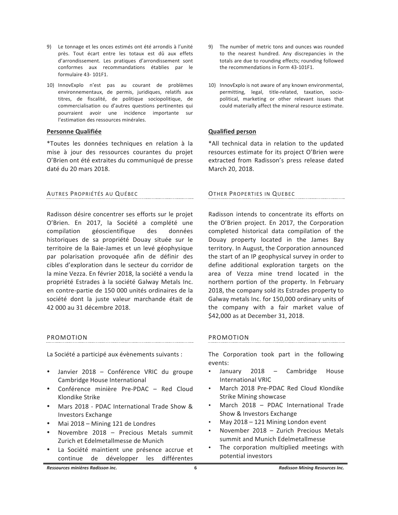- 9) Le tonnage et les onces estimés ont été arrondis à l'unité près. Tout écart entre les totaux est dû aux effets d'arrondissement. Les pratiques d'arrondissement sont conformes aux recommandations établies par le formulaire 43-101F1.
- 10) InnovExplo n'est pas au courant de problèmes environnementaux, de permis, juridiques, relatifs aux titres, de fiscalité, de politique sociopolitique, de commercialisation ou d'autres questions pertinentes qui pourraient avoir une incidence importante sur l'estimation des ressources minérales.

# **Personne Qualifiée**

\*Toutes les données techniques en relation à la mise à jour des ressources courantes du projet O'Brien ont été extraites du communiqué de presse daté du 20 mars 2018.

AUTRES PROPRIÉTÉS AU QUÉBEC

Radisson désire concentrer ses efforts sur le projet O'Brien. En 2017, la Société a complété une compilation géoscientifique des données historiques de sa propriété Douay située sur le territoire de la Baie-James et un levé géophysique par polarisation provoquée afin de définir des cibles d'exploration dans le secteur du corridor de la mine Vezza. En février 2018, la société a vendu la propriété Estrades à la société Galway Metals Inc. en contre-partie de 150 000 unités ordinaires de la société dont la juste valeur marchande était de 42 000 au 31 décembre 2018.

#### PROMOTION

La Société a participé aux évènements suivants :

- Janvier 2018 Conférence VRIC du groupe Cambridge House International
- Conférence minière Pre-PDAC Red Cloud Klondike Strike
- Mars 2018 PDAC International Trade Show & **Investors Exchange**
- Mai 2018 Mining 121 de Londres
- Novembre 2018 Precious Metals summit Zurich et Edelmetallmesse de Munich
- La Société maintient une présence accrue et continue de développer les différentes
- 9) The number of metric tons and ounces was rounded to the nearest hundred. Any discrepancies in the totals are due to rounding effects; rounding followed the recommendations in Form 43-101F1.
- 10) InnovExplo is not aware of any known environmental, permitting, legal, title-related, taxation, sociopolitical, marketing or other relevant issues that could materially affect the mineral resource estimate.

# **Qualified person**

\*All technical data in relation to the updated resources estimate for its project O'Brien were extracted from Radisson's press release dated March 20, 2018.

# OTHER PROPERTIES IN QUEBEC

Radisson intends to concentrate its efforts on the O'Brien project. En 2017, the Corporation completed historical data compilation of the Douay property located in the James Bay territory. In August, the Corporation announced the start of an IP geophysical survey in order to define additional exploration targets on the area of Vezza mine trend located in the northern portion of the property. In February 2018, the company sold its Estrades property to Galway metals Inc. for 150,000 ordinary units of the company with a fair market value of \$42,000 as at December 31, 2018.

# PROMOTION

The Corporation took part in the following events:

- January 2018 Cambridge House **International VRIC**
- March 2018 Pre-PDAC Red Cloud Klondike **Strike Mining showcase**
- March 2018 PDAC International Trade Show & Investors Exchange
- May 2018 121 Mining London event
- November 2018 Zurich Precious Metals summit and Munich Edelmetallmesse
- The corporation multiplied meetings with potential investors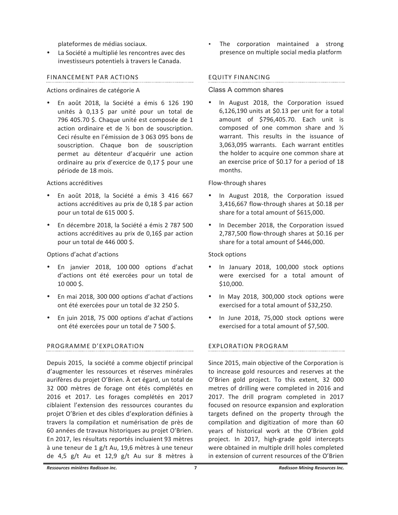plateformes de médias sociaux.

La Société a multiplié les rencontres avec des investisseurs potentiels à travers le Canada.

# FINANCEMENT PAR ACTIONS

# Actions ordinaires de catégorie A

En août 2018, la Société a émis 6 126 190 unités à 0,13 \$ par unité pour un total de 796 405.70 \$. Chaque unité est composée de 1 action ordinaire et de 1/2 bon de souscription. Ceci résulte en l'émission de 3 063 095 bons de souscription. Chaque bon de souscription permet au détenteur d'acquérir une action ordinaire au prix d'exercice de 0,17 \$ pour une période de 18 mois.

# Actions accréditives

- En août 2018, la Société a émis 3 416 667 actions accréditives au prix de 0,18 \$ par action pour un total de 615 000 \$.
- En décembre 2018, la Société a émis 2 787 500 actions accréditives au prix de 0,16\$ par action pour un total de 446 000 \$.

# Options d'achat d'actions

- En janvier 2018, 100 000 options d'achat d'actions ont été exercées pour un total de 10 000 \$.
- En mai 2018, 300 000 options d'achat d'actions ont été exercées pour un total de 32 250 \$.
- En juin 2018, 75 000 options d'achat d'actions ont été exercées pour un total de 7 500 \$.

# PROGRAMME D'EXPLORATION

Depuis 2015, la société a comme objectif principal d'augmenter les ressources et réserves minérales aurifères du projet O'Brien. À cet égard, un total de 32 000 mètres de forage ont étés complétés en 2016 et 2017. Les forages complétés en 2017 ciblaient l'extension des ressources courantes du projet O'Brien et des cibles d'exploration définies à travers la compilation et numérisation de près de 60 années de travaux historiques au projet O'Brien. En 2017, les résultats reportés incluaient 93 mètres à une teneur de 1 g/t Au, 19,6 mètres à une teneur de 4,5 g/t Au et 12,9 g/t Au sur 8 mètres à

The corporation maintained a strong presence on multiple social media platform

# **EQUITY FINANCING**

# Class A common shares

In August 2018, the Corporation issued  $6,126,190$  units at \$0.13 per unit for a total amount of \$796,405.70. Each unit is composed of one common share and 1/2 warrant. This results in the issuance of 3,063,095 warrants. Each warrant entitles the holder to acquire one common share at an exercise price of \$0.17 for a period of 18 months.

# Flow-through shares

- In August 2018, the Corporation issued 3,416,667 flow-through shares at \$0.18 per share for a total amount of \$615,000.
- In December 2018, the Corporation issued 2,787,500 flow-through shares at \$0.16 per share for a total amount of \$446,000.

# Stock options

- In January 2018, 100,000 stock options were exercised for a total amount of  $$10,000.$
- In May 2018, 300,000 stock options were exercised for a total amount of \$32,250.
- · In June 2018, 75,000 stock options were exercised for a total amount of \$7,500.

# **EXPLORATION PROGRAM**

Since 2015, main objective of the Corporation is to increase gold resources and reserves at the O'Brien gold project. To this extent, 32 000 metres of drilling were completed in 2016 and 2017. The drill program completed in 2017 focused on resource expansion and exploration targets defined on the property through the compilation and digitization of more than 60 years of historical work at the O'Brien gold project. In 2017, high-grade gold intercepts were obtained in multiple drill holes completed in extension of current resources of the O'Brien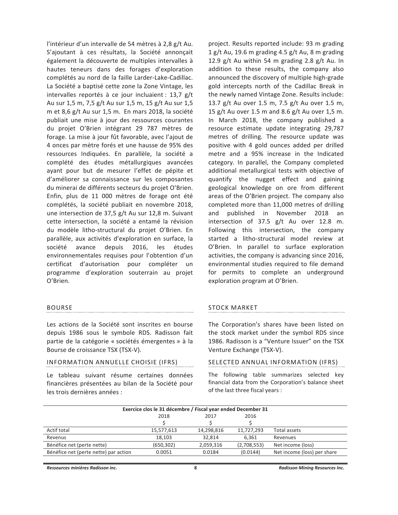l'intérieur d'un intervalle de 54 mètres à 2,8 g/t Au. S'ajoutant à ces résultats, la Société annonçait également la découverte de multiples intervalles à hautes teneurs dans des forages d'exploration complétés au nord de la faille Larder-Lake-Cadillac. La Société a baptisé cette zone la Zone Vintage, les intervalles reportés à ce jour incluaient : 13,7 g/t Au sur 1,5 m, 7,5 g/t Au sur 1,5 m, 15 g/t Au sur 1,5 m et 8,6 g/t Au sur 1,5 m. En mars 2018, la société publiait une mise à jour des ressources courantes du projet O'Brien intégrant 29 787 mètres de forage. La mise à jour fût favorable, avec l'ajout de 4 onces par mètre forés et une hausse de 95% des ressources Indiquées. En parallèle, la société a complété des études métallurgiques avancées ayant pour but de mesurer l'effet de pépite et d'améliorer sa connaissance sur les composantes du minerai de différents secteurs du projet O'Brien. Enfin, plus de 11 000 mètres de forage ont été complétés, la société publiait en novembre 2018, une intersection de 37,5 g/t Au sur 12,8 m. Suivant cette intersection, la société a entamé la révision du modèle litho-structural du projet O'Brien. En parallèle, aux activités d'exploration en surface, la société avance depuis 2016, les études environnementales requises pour l'obtention d'un certificat d'autorisation pour compléter un programme d'exploration souterrain au projet O'Brien.

### **BOURSE**

Les actions de la Société sont inscrites en bourse depuis 1986 sous le symbole RDS. Radisson fait partie de la catégorie « sociétés émergentes » à la Bourse de croissance TSX (TSX-V).

# INFORMATION ANNUELLE CHOISIE (IFRS)

Le tableau suivant résume certaines données financières présentées au bilan de la Société pour les trois dernières années :

project. Results reported include: 93 m grading 1 g/t Au, 19.6 m grading 4.5 g/t Au, 8 m grading 12.9 g/t Au within 54 m grading 2.8 g/t Au. In addition to these results, the company also announced the discovery of multiple high-grade gold intercepts north of the Cadillac Break in the newly named Vintage Zone. Results include: 13.7 g/t Au over 1.5 m, 7.5 g/t Au over 1.5 m, 15 g/t Au over 1.5 m and 8.6 g/t Au over 1,5 m. In March 2018, the company published a resource estimate update integrating 29,787 metres of drilling. The resource update was positive with 4 gold ounces added per drilled metre and a 95% increase in the Indicated category. In parallel, the Company completed additional metallurgical tests with objective of quantify the nugget effect and gaining geological knowledge on ore from different areas of the O'Brien project. The company also completed more than 11,000 metres of drilling and published in November 2018 an intersection of 37.5 g/t Au over 12.8 m. Following this intersection, the company started a litho-structural model review at O'Brien. In parallel to surface exploration activities, the company is advancing since 2016, environmental studies required to file demand for permits to complete an underground exploration program at O'Brien.

# **STOCK MARKET**

The Corporation's shares have been listed on the stock market under the symbol RDS since 1986. Radisson is a "Venture Issuer" on the TSX Venture Exchange (TSX-V).

# SELECTED ANNUAL INFORMATION (IFRS)

The following table summarizes selected key financial data from the Corporation's balance sheet of the last three fiscal years :

| Exercice clos le 31 décembre / Fiscal year ended December 31 |            |            |             |                             |
|--------------------------------------------------------------|------------|------------|-------------|-----------------------------|
|                                                              | 2018       | 2017       | 2016        |                             |
|                                                              |            |            |             |                             |
| Actif total                                                  | 15,577,613 | 14.298.816 | 11.727.293  | Total assets                |
| Revenus                                                      | 18,103     | 32.814     | 6,361       | Revenues                    |
| Bénéfice net (perte nette)                                   | (650, 302) | 2,059,316  | (2,708,553) | Net income (loss)           |
| Bénéfice net (perte nette) par action                        | 0.0051     | 0.0184     | (0.0144)    | Net income (loss) per share |
|                                                              |            |            |             |                             |

Ressources minières Radisson inc.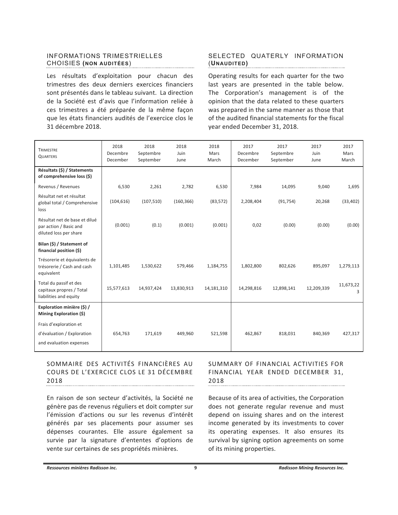# INFORMATIONS TRIMESTRIELLES CHOISIES (NON AUDITÉES)

Les résultats d'exploitation pour chacun des trimestres des deux derniers exercices financiers sont présentés dans le tableau suivant. La direction de la Société est d'avis que l'information reliée à ces trimestres a été préparée de la même façon que les états financiers audités de l'exercice clos le 31 décembre 2018.

# SELECTED QUATERLY INFORMATION (UNAUDITED)

Operating results for each quarter for the two last years are presented in the table below. The Corporation's management is of the opinion that the data related to these quarters was prepared in the same manner as those that of the audited financial statements for the fiscal vear ended December 31, 2018.

| <b>TRIMESTRE</b><br><b>QUARTERS</b>                                               | 2018<br>Decembre<br>December | 2018<br>Septembre<br>September | 2018<br>Juin<br>June | 2018<br>Mars<br>March | 2017<br>Decembre<br>December | 2017<br>Septembre<br>September | 2017<br>Juin<br>June | 2017<br>Mars<br>March |
|-----------------------------------------------------------------------------------|------------------------------|--------------------------------|----------------------|-----------------------|------------------------------|--------------------------------|----------------------|-----------------------|
| Résultats (\$) / Statements<br>of comprehensive loss (\$)                         |                              |                                |                      |                       |                              |                                |                      |                       |
| Revenus / Revenues                                                                | 6,530                        | 2,261                          | 2,782                | 6,530                 | 7,984                        | 14,095                         | 9,040                | 1,695                 |
| Résultat net et résultat<br>global total / Comprehensive<br>loss                  | (104, 616)                   | (107, 510)                     | (160, 366)           | (83, 572)             | 2,208,404                    | (91, 754)                      | 20,268               | (33, 402)             |
| Résultat net de base et dilué<br>par action / Basic and<br>diluted loss per share | (0.001)                      | (0.1)                          | (0.001)              | (0.001)               | 0,02                         | (0.00)                         | (0.00)               | (0.00)                |
| Bilan (\$) / Statement of<br>financial position (\$)                              |                              |                                |                      |                       |                              |                                |                      |                       |
| Trésorerie et équivalents de<br>trésorerie / Cash and cash<br>equivalent          | 1,101,485                    | 1,530,622                      | 579,466              | 1,184,755             | 1,802,800                    | 802,626                        | 895,097              | 1,279,113             |
| Total du passif et des<br>capitaux propres / Total<br>liabilities and equity      | 15,577,613                   | 14,937,424                     | 13,830,913           | 14,181,310            | 14,298,816                   | 12,898,141                     | 12,209,339           | 11,673,22<br>3        |
| Exploration minière (\$) /<br>Mining Exploration (\$)                             |                              |                                |                      |                       |                              |                                |                      |                       |
| Frais d'exploration et                                                            |                              |                                |                      |                       |                              |                                |                      |                       |
| d'évaluation / Exploration                                                        | 654,763                      | 171,619                        | 449,960              | 521,598               | 462,867                      | 818,031                        | 840,369              | 427,317               |
| and evaluation expenses                                                           |                              |                                |                      |                       |                              |                                |                      |                       |

# SOMMAIRE DES ACTIVITÉS FINANCIÈRES AU COURS DE L'EXERCICE CLOS LE 31 DÉCEMBRE 2018

En raison de son secteur d'activités, la Société ne génère pas de revenus réguliers et doit compter sur l'émission d'actions ou sur les revenus d'intérêt générés par ses placements pour assumer ses dépenses courantes. Elle assure également sa survie par la signature d'ententes d'options de vente sur certaines de ses propriétés minières.

### SUMMARY OF FINANCIAL ACTIVITIES FOR FINANCIAL YEAR ENDED DECEMBER 31, 2018

Because of its area of activities, the Corporation does not generate regular revenue and must depend on issuing shares and on the interest income generated by its investments to cover its operating expenses. It also ensures its survival by signing option agreements on some of its mining properties.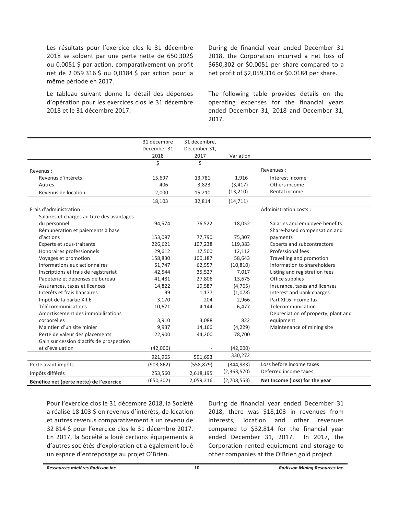Les résultats pour l'exercice clos le 31 décembre 2018 se soldent par une perte nette de 650 302\$ ou 0,0051 \$ par action, comparativement un profit net de 2 059 316 \$ ou 0,0184 \$ par action pour la même période en 2017.

Le tableau suivant donne le détail des dépenses d'opération pour les exercices clos le 31 décembre 2018 et le 31 décembre 2017.

During de financial year ended December 31 2018, the Corporation incurred a net loss of \$650,302 or \$0.0051 per share compared to a net profit of \$2,059,316 or \$0.0184 per share.

The following table provides details on the operating expenses for the financial years ended December 31, 2018 and December 31, 2017.

|                                            | 31 décembre<br>December 31<br>2018 | 31 décembre,<br>December 31,<br>2017 | Variation   |                                     |
|--------------------------------------------|------------------------------------|--------------------------------------|-------------|-------------------------------------|
|                                            | \$                                 | \$                                   |             |                                     |
| Revenus:                                   |                                    |                                      |             | Revenues:                           |
| Revenus d'intérêts                         | 15,697                             | 13,781                               | 1,916       | Interest income                     |
| Autres                                     | 406                                | 3,823                                | (3, 417)    | Others income                       |
| Revenus de location                        | 2,000                              | 15,210                               | (13, 210)   | Rental income                       |
|                                            | 18,103                             | 32,814                               | (14, 711)   |                                     |
| Frais d'administration :                   |                                    |                                      |             | Administration costs:               |
| Salaires et charges au titre des avantages |                                    |                                      |             |                                     |
| du personnel                               | 94,574                             | 76,522                               | 18,052      | Salaries and employee benefits      |
| Rémunération et paiements à base           |                                    |                                      |             | Share-based compensation and        |
| d'actions                                  | 153,097                            | 77,790                               | 75,307      | payments                            |
| Experts et sous-traitants                  | 226,621                            | 107,238                              | 119,383     | Experts and subcontractors          |
| Honoraires professionnels                  | 29,612                             | 17,500                               | 12,112      | Professional fees                   |
| Voyages et promotion                       | 158,830                            | 100,187                              | 58,643      | Travelling and promotion            |
| Informations aux actionnaires              | 51,747                             | 62,557                               | (10, 810)   | Information to shareholders         |
| Inscriptions et frais de registrariat      | 42,544                             | 35,527                               | 7,017       | Listing and registration fees       |
| Papeterie et dépenses de bureau            | 41,481                             | 27,806                               | 13,675      | Office supplies                     |
| Assurances, taxes et licences              | 14,822                             | 19,587                               | (4, 765)    | Insurance, taxes and licenses       |
| Intérêts et frais bancaires                | 99                                 | 1,177                                | (1,078)     | Interest and bank charges           |
| Impôt de la partie XII.6                   | 3,170                              | 204                                  | 2,966       | Part XII.6 income tax               |
| Télécommunications                         | 10,621                             | 4,144                                | 6,477       | Telecommunication                   |
| Amortissement des immobilisations          |                                    |                                      |             | Depreciation of property, plant and |
| corporelles                                | 3,910                              | 3,088                                | 822         | equipment                           |
| Maintien d'un site minier                  | 9,937                              | 14,166                               | (4, 229)    | Maintenance of mining site          |
| Perte de valeur des placements             | 122,900                            | 44,200                               | 78,700      |                                     |
| Gain sur cession d'actifs de prospection   |                                    |                                      |             |                                     |
| et d'évaluation                            | (42,000)                           |                                      | (42,000)    |                                     |
|                                            | 921,965                            | 591,693                              | 330,272     |                                     |
| Perte avant impôts                         | (903, 862)                         | (558, 879)                           | (344, 983)  | Loss before income taxes            |
| Impôts différés                            | 253,560                            | 2,618,195                            | (2,363,570) | Deferred income taxes               |
| Bénéfice net (perte nette) de l'exercice   | (650, 302)                         | 2,059,316                            | (2,708,553) | Net Income (loss) for the year      |

Pour l'exercice clos le 31 décembre 2018, la Société a réalisé 18 103 \$ en revenus d'intérêts, de location et autres revenus comparativement à un revenu de 32 814 \$ pour l'exercice clos le 31 décembre 2017. En 2017, la Société a loué certains équipements à d'autres sociétés d'exploration et a également loué un espace d'entreposage au projet O'Brien.

During de financial year ended December 31 2018, there was \$18,103 in revenues from interests, location and other revenues compared to \$32,814 for the financial year ended December 31, 2017. In 2017, the Corporation rented equipment and storage to other companies at the O'Brien gold project.

Ressources minières Radisson inc.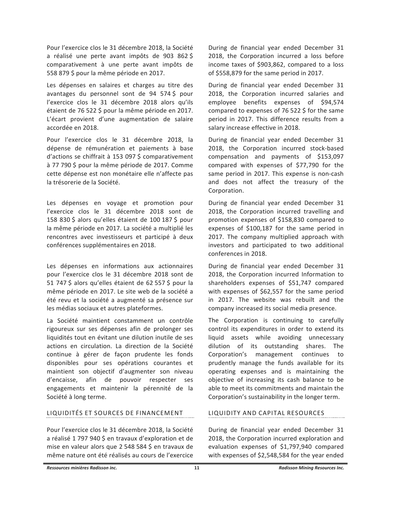Pour l'exercice clos le 31 décembre 2018, la Société a réalisé une perte avant impôts de 903 862 \$ comparativement à une perte avant impôts de 558 879 \$ pour la même période en 2017.

Les dépenses en salaires et charges au titre des avantages du personnel sont de 94 574 \$ pour l'exercice clos le 31 décembre 2018 alors qu'ils étaient de 76 522 \$ pour la même période en 2017. L'écart provient d'une augmentation de salaire accordée en 2018.

Pour l'exercice clos le 31 décembre 2018, la dépense de rémunération et paiements à base d'actions se chiffrait à 153 097 \$ comparativement à 77 790 \$ pour la même période de 2017. Comme cette dépense est non monétaire elle n'affecte pas la trésorerie de la Société.

Les dépenses en voyage et promotion pour l'exercice clos le 31 décembre 2018 sont de 158 830 \$ alors qu'elles étaient de 100 187 \$ pour la même période en 2017. La société a multiplié les rencontres avec investisseurs et participé à deux conférences supplémentaires en 2018.

Les dépenses en informations aux actionnaires pour l'exercice clos le 31 décembre 2018 sont de 51 747 \$ alors qu'elles étaient de 62 557 \$ pour la même période en 2017. Le site web de la société a été revu et la société a augmenté sa présence sur les médias sociaux et autres plateformes.

La Société maintient constamment un contrôle rigoureux sur ses dépenses afin de prolonger ses liquidités tout en évitant une dilution inutile de ses actions en circulation. La direction de la Société continue à gérer de façon prudente les fonds disponibles pour ses opérations courantes et maintient son objectif d'augmenter son niveau d'encaisse, afin de pouvoir respecter ses engagements et maintenir la pérennité de la Société à long terme.

# LIQUIDITÉS ET SOURCES DE FINANCEMENT

Pour l'exercice clos le 31 décembre 2018, la Société a réalisé 1 797 940 \$ en travaux d'exploration et de mise en valeur alors que 2 548 584 \$ en travaux de même nature ont été réalisés au cours de l'exercice

During de financial year ended December 31 2018, the Corporation incurred a loss before income taxes of \$903,862, compared to a loss of \$558,879 for the same period in 2017.

During de financial year ended December 31 2018, the Corporation incurred salaries and employee benefits expenses of \$94,574 compared to expenses of 76 522 \$ for the same period in 2017. This difference results from a salary increase effective in 2018.

During de financial year ended December 31 2018, the Corporation incurred stock-based compensation and payments of \$153,097 compared with expenses of \$77,790 for the same period in 2017. This expense is non-cash and does not affect the treasury of the Corporation.

During de financial year ended December 31 2018, the Corporation incurred travelling and promotion expenses of \$158,830 compared to expenses of \$100,187 for the same period in 2017. The company multiplied approach with investors and participated to two additional conferences in 2018.

During de financial year ended December 31 2018, the Corporation incurred Information to shareholders expenses of \$51,747 compared with expenses of \$62,557 for the same period in 2017. The website was rebuilt and the company increased its social media presence.

The Corporation is continuing to carefully control its expenditures in order to extend its liquid assets while avoiding unnecessary dilution of its outstanding shares. The Corporation's management continues to prudently manage the funds available for its operating expenses and is maintaining the objective of increasing its cash balance to be able to meet its commitments and maintain the Corporation's sustainability in the longer term.

# LIQUIDITY AND CAPITAL RESOURCES

During de financial year ended December 31 2018, the Corporation incurred exploration and evaluation expenses of \$1,797,940 compared with expenses of \$2,548,584 for the year ended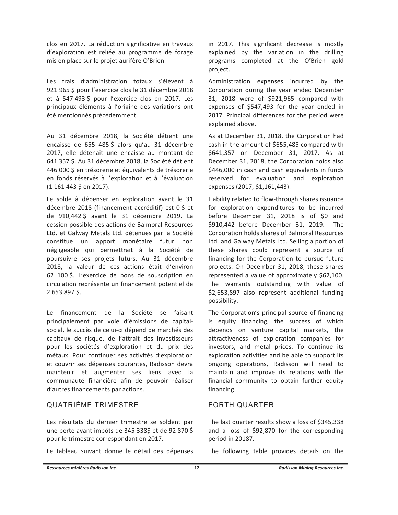clos en 2017. La réduction significative en travaux d'exploration est reliée au programme de forage mis en place sur le projet aurifère O'Brien.

Les frais d'administration totaux s'élèvent à 921 965 \$ pour l'exercice clos le 31 décembre 2018 et à 547 493 \$ pour l'exercice clos en 2017. Les principaux éléments à l'origine des variations ont été mentionnés précédemment.

Au 31 décembre 2018, la Société détient une encaisse de 655 485 \$ alors qu'au 31 décembre 2017, elle détenait une encaisse au montant de 641 357 \$. Au 31 décembre 2018, la Société détient 446 000 \$ en trésorerie et équivalents de trésorerie en fonds réservés à l'exploration et à l'évaluation  $(1161443 \text{ } \text{\textless}\textless$  en 2017).

Le solde à dépenser en exploration avant le 31 décembre 2018 (financement accréditif) est 0 \$ et de 910,442\$ avant le 31 décembre 2019. La cession possible des actions de Balmoral Resources Ltd. et Galway Metals Ltd. détenues par la Société constitue un apport monétaire futur non négligeable qui permettrait à la Société de poursuivre ses projets futurs. Au 31 décembre 2018, la valeur de ces actions était d'environ 62 100 \$. L'exercice de bons de souscription en circulation représente un financement potentiel de 2653897\$

Le financement de la Société se faisant principalement par voie d'émissions de capitalsocial, le succès de celui-ci dépend de marchés des capitaux de risque, de l'attrait des investisseurs pour les sociétés d'exploration et du prix des métaux. Pour continuer ses activités d'exploration et couvrir ses dépenses courantes, Radisson devra maintenir et augmenter ses liens avec la communauté financière afin de pouvoir réaliser d'autres financements par actions.

# **QUATRIÈME TRIMESTRE**

Les résultats du dernier trimestre se soldent par une perte avant impôts de 345 338\$ et de 92 870 \$ pour le trimestre correspondant en 2017.

Le tableau suivant donne le détail des dépenses

in 2017. This significant decrease is mostly explained by the variation in the drilling programs completed at the O'Brien gold project.

Administration expenses incurred by the Corporation during the year ended December 31, 2018 were of \$921,965 compared with expenses of \$547,493 for the year ended in 2017. Principal differences for the period were explained above.

As at December 31, 2018, the Corporation had cash in the amount of \$655,485 compared with \$641,357 on December 31, 2017. As at December 31, 2018, the Corporation holds also \$446,000 in cash and cash equivalents in funds reserved for evaluation and exploration expenses (2017, \$1,161,443).

Liability related to flow-through shares issuance for exploration expenditures to be incurred before December 31, 2018 is of \$0 and \$910,442 before December 31, 2019. The Corporation holds shares of Balmoral Resources Ltd. and Galway Metals Ltd. Selling a portion of these shares could represent a source of financing for the Corporation to pursue future projects. On December 31, 2018, these shares represented a value of approximately \$62,100. The warrants outstanding with value of \$2,653,897 also represent additional funding possibility.

The Corporation's principal source of financing is equity financing, the success of which depends on venture capital markets, the attractiveness of exploration companies for investors, and metal prices. To continue its exploration activities and be able to support its ongoing operations, Radisson will need to maintain and improve its relations with the financial community to obtain further equity financing.

# **FORTH QUARTER**

The last quarter results show a loss of \$345,338 and a loss of \$92,870 for the corresponding period in 20187.

The following table provides details on the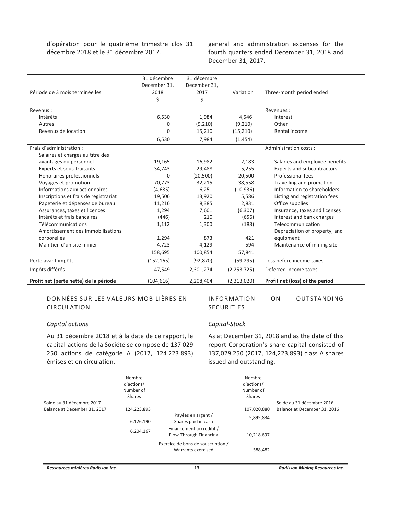d'opération pour le quatrième trimestre clos 31 décembre 2018 et le 31 décembre 2017.

general and administration expenses for the fourth quarters ended December 31, 2018 and December 31, 2017.

|                                        | 31 décembre  | 31 décembre  |               |                                 |
|----------------------------------------|--------------|--------------|---------------|---------------------------------|
|                                        | December 31, | December 31, |               |                                 |
| Période de 3 mois terminée les         | 2018         | 2017         | Variation     | Three-month period ended        |
|                                        | \$           | \$           |               |                                 |
| Revenus:                               |              |              |               | Revenues:                       |
| Intérêts                               | 6,530        | 1,984        | 4,546         | Interest                        |
| Autres                                 | 0            | (9,210)      | (9,210)       | Other                           |
| Revenus de location                    | 0            | 15,210       | (15, 210)     | Rental income                   |
|                                        | 6,530        | 7,984        | (1, 454)      |                                 |
| Frais d'administration :               |              |              |               | Administration costs:           |
| Salaires et charges au titre des       |              |              |               |                                 |
| avantages du personnel                 | 19,165       | 16,982       | 2,183         | Salaries and employee benefits  |
| Experts et sous-traitants              | 34,743       | 29,488       | 5,255         | Experts and subcontractors      |
| Honoraires professionnels              | 0            | (20, 500)    | 20,500        | Professional fees               |
| Voyages et promotion                   | 70,773       | 32,215       | 38,558        | Travelling and promotion        |
| Informations aux actionnaires          | (4,685)      | 6,251        | (10, 936)     | Information to shareholders     |
| Inscriptions et frais de registrariat  | 19,506       | 13,920       | 5,586         | Listing and registration fees   |
| Papeterie et dépenses de bureau        | 11,216       | 8,385        | 2,831         | Office supplies                 |
| Assurances, taxes et licences          | 1,294        | 7,601        | (6, 307)      | Insurance, taxes and licenses   |
| Intérêts et frais bancaires            | (446)        | 210          | (656)         | Interest and bank charges       |
| Télécommunications                     | 1,112        | 1,300        | (188)         | Telecommunication               |
| Amortissement des immobilisations      |              |              |               | Depreciation of property, and   |
| corporelles                            | 1,294        | 873          | 421           | equipment                       |
| Maintien d'un site minier              | 4,723        | 4,129        | 594           | Maintenance of mining site      |
|                                        | 158,695      | 100,854      | 57,841        |                                 |
| Perte avant impôts                     | (152, 165)   | (92, 870)    | (59, 295)     | Loss before income taxes        |
| Impôts différés                        | 47,549       | 2,301,274    | (2, 253, 725) | Deferred income taxes           |
| Profit net (perte nette) de la nériode | (104616)     | 2 208 404    | (2, 313, 020) | Profit net (loss) of the neriod |

#### DONNÉES SUR LES VALEURS MOBILIÈRES EN CIRCULATION

**INFORMATION** SECURITIES

ON OUTSTANDING

### Capital actions

Au 31 décembre 2018 et à la date de ce rapport, le capital-actions de la Société se compose de 137 029 250 actions de catégorie A (2017, 124 223 893) émises et en circulation.

#### Capital-Stock

As at December 31, 2018 and as the date of this report Corporation's share capital consisted of 137,029,250 (2017, 124,223,893) class A shares issued and outstanding.

|                              | Nombre<br>d'actions/<br>Number of<br><b>Shares</b> |                                                          | Nombre<br>d'actions/<br>Number of<br>Shares |                              |
|------------------------------|----------------------------------------------------|----------------------------------------------------------|---------------------------------------------|------------------------------|
| Solde au 31 décembre 2017    |                                                    |                                                          |                                             | Solde au 31 décembre 2016    |
| Balance at December 31, 2017 | 124,223,893                                        |                                                          | 107,020,880                                 | Balance at December 31, 2016 |
|                              | 6,126,190                                          | Payées en argent /<br>Shares paid in cash                | 5,895,834                                   |                              |
|                              | 6,204,167                                          | Financement accréditif /<br>Flow-Through Financing       | 10,218,697                                  |                              |
|                              |                                                    | Exercice de bons de souscription /<br>Warrants exercised | 588,482                                     |                              |

Ressources minières Radisson inc.

**Radisson Mining Resources Inc.**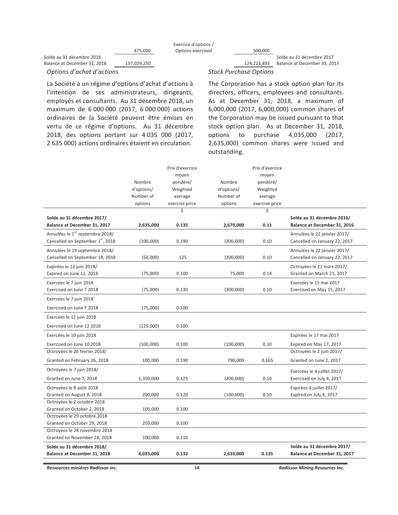|                              |             | Exercice d'options / |                               |                              |
|------------------------------|-------------|----------------------|-------------------------------|------------------------------|
|                              | 475.000     | Options exercised    | 500.000                       |                              |
| Solde au 31 décembre 2018    |             |                      |                               | Solde au 31 décembre 2017    |
| Balance at December 31, 2018 | 137,029,250 |                      | 124.223.893                   | Balance at December 31, 2017 |
| Options d'achat d'actions    |             |                      | <b>Stock Purchase Options</b> |                              |

La Société a un régime d'options d'achat d'actions à l'intention de ses administrateurs, dirigeants, employés et consultants. Au 31 décembre 2018, un maximum de 6 000 000 (2017, 6 000 000) actions ordinaires de la Société peuvent être émises en vertu de ce régime d'options. Au 31 décembre 2018, des options portant sur 4 035 000 (2017, 2 635 000) actions ordinaires étaient en circulation.

The Corporation has a stock option plan for its directors, officers, employees and consultants. As at December 31, 2018, a maximum of 6,000,000 (2017, 6,000,000) common shares of the Corporation may be issued pursuant to that stock option plan. As at December 31, 2018, options to purchase 4,035,000 (2017, 2,635,000) common shares were issued and outstanding.

|                                               |            | Prix d'exercice |            | Prix d'exercice |                               |
|-----------------------------------------------|------------|-----------------|------------|-----------------|-------------------------------|
|                                               |            | moyen           |            | moyen           |                               |
|                                               | Nombre     | pondéré/        | Nombre     | pondéré/        |                               |
|                                               | d'options/ | Weighted        | d'options/ | Weighted        |                               |
|                                               | Number of  | average         | Number of  | average         |                               |
|                                               | options    | exercise price  | options    | exercise price  |                               |
|                                               |            | \$              |            | \$              |                               |
| Solde au 31 décembre 2017/                    |            |                 |            |                 | Solde au 31 décembre 2016/    |
| Balance at December 31, 2017                  | 2,635,000  | 0.135           | 2,670,000  | 0.11            | Balance at December 31, 2016  |
| Annulées le 1 <sup>er</sup> septembre 2018/   |            |                 |            |                 | Annulées le 22 janvier 2017/  |
| Cancelled on September 1 <sup>st</sup> , 2018 | (100,000)  | 0.190           | (200,000)  | 0.10            | Cancelled on January 22, 2017 |
| Annulées le 19 septembre 2018/                |            |                 |            |                 | Annulées le 22 janvier 2017/  |
| Cancelled on September 18, 2018               | (50,000)   | .125            | (200,000)  | 0.10            | Cancelled on January 22, 2017 |
| Expirées le 12 juin 2018/                     |            |                 |            |                 | Octroyées le 21 mars 2017/    |
| Expired on June 12, 2018                      | (75,000)   | 0.100           | 75,000     | 0.14            | Granted on March 21, 2017     |
| Exercées le 7 juin 2018                       |            |                 |            |                 | Exercées le 15 mai 2017       |
| Exercised on June 7 2018                      | (75,000)   | 0.130           | (300,000)  | 0.10            | Exercised on May 15, 2017     |
| Exercées le 7 juin 2018                       |            |                 |            |                 |                               |
| Exercised on June 7 2018                      | (75,000)   | 0.100           |            |                 |                               |
| Exercées le 12 juin 2018                      |            |                 |            |                 |                               |
| Exercised on June 12 2018                     | (225,000)  | 0.100           |            |                 |                               |
| Exercées le 10 juin 2018                      |            |                 |            |                 | Expirées le 17 mai 2017       |
| Exercised on June 10 2018                     | (100,000)  | 0.100           | (100,000)  | 0.10            | Expired on May 17, 2017       |
| Octroyées le 26 février 2018/                 |            |                 |            |                 | Octroyées le 2 juin 2017/     |
| Granted on February 26, 2018                  | 100,000    | 0.190           | 790,000    | 0.165           | Granted on June 2, 2017       |
| Octroyées le 7 juin 2018/                     |            |                 |            |                 | Exercées le 4 juillet 2017/   |
| Granted on June 7, 2018                       | 1,350,000  | 0.125           | (200,000)  | 0.10            | Exercised on July 4, 2017     |
| Octroyées le 8 août 2018                      |            |                 |            |                 | Expirées 4 juillet 2017/      |
| Granted on August 8, 2018                     | 200,000    | 0.120           | (100,000)  | 0.10            | Expired on July 4, 2017       |
| Octroyées le 2 octobre 2018                   |            |                 |            |                 |                               |
| Granted on October 2, 2018                    | 100,000    | 0.100           |            |                 |                               |
| Octroyées le 29 octobre 2018                  |            |                 |            |                 |                               |
| Granted on October 29, 2018                   | 250,000    | 0.100           |            |                 |                               |
| Octroyées le 28 novembre 2018                 |            |                 |            |                 |                               |
| Granted on November 28, 2018                  | 100,000    | 0.110           |            |                 |                               |
| Solde au 31 décembre 2018/                    |            |                 |            |                 | Solde au 31 décembre 2017/    |
| Balance at December 31, 2018                  | 4,035,000  | 0.132           | 2,635,000  | 0.135           | Balance at December 31, 2017  |
|                                               |            |                 |            |                 |                               |

Ressources minières Radisson inc.

**Radisson Mining Resources Inc.**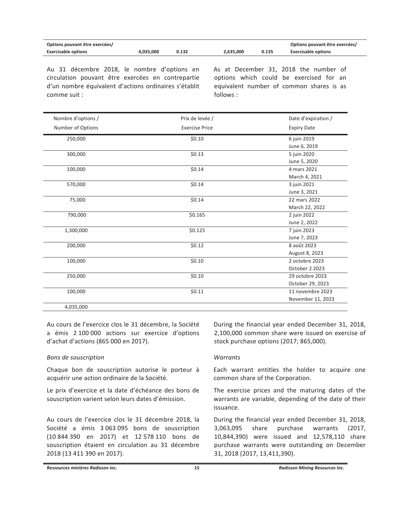| Options pouvant être exercées/ |           |       |           |       | Options pouvant être exercées/ |
|--------------------------------|-----------|-------|-----------|-------|--------------------------------|
| <b>Exercisable options</b>     | 4.035.000 | 0.132 | 2.635.000 | 0.135 | <b>Exercisable options</b>     |

Au 31 décembre 2018, le nombre d'options en circulation pouvant être exercées en contrepartie d'un nombre équivalent d'actions ordinaires s'établit comme suit :

As at December 31, 2018 the number of options which could be exercised for an equivalent number of common shares is as follows:

| Nombre d'options / | Prix de levée /       | Date d'expiration / |
|--------------------|-----------------------|---------------------|
| Number of Options  | <b>Exercise Price</b> | <b>Expiry Date</b>  |
| 250,000            | \$0.10                | 6 juin 2019         |
|                    |                       | June 6, 2019        |
| 300,000            | \$0.13                | 5 juin 2020         |
|                    |                       | June 5, 2020        |
| 100,000            | \$0.14                | 4 mars 2021         |
|                    |                       | March 4, 2021       |
| 570,000            | \$0.14                | 3 juin 2021         |
|                    |                       | June 3, 2021        |
| 75,000             | \$0.14                | 22 mars 2022        |
|                    |                       | March 22, 2022      |
| 790,000            | \$0.165               | 2 juin 2022         |
|                    |                       | June 2, 2022        |
| 1,300,000          | \$0.125               | 7 juin 2023         |
|                    |                       | June 7, 2023        |
| 200,000            | \$0.12                | 8 août 2023         |
|                    |                       | August 8, 2023      |
| 100,000            | \$0.10                | 2 octobre 2023      |
|                    |                       | October 2 2023      |
| 250,000            | \$0.10                | 29 octobre 2023     |
|                    |                       | October 29, 2023    |
| 100,000            | \$0.11                | 11 novembre 2023    |
|                    |                       | November 11, 2023   |
| 4,035,000          |                       |                     |

Au cours de l'exercice clos le 31 décembre, la Société a émis 2 100 000 actions sur exercice d'options d'achat d'actions (865 000 en 2017).

# Bons de souscription

Chaque bon de souscription autorise le porteur à acquérir une action ordinaire de la Société.

Le prix d'exercice et la date d'échéance des bons de souscription varient selon leurs dates d'émission.

Au cours de l'exercice clos le 31 décembre 2018, la Société a émis 3 063 095 bons de souscription (10 844 390 en 2017) et 12 578 110 bons de souscription étaient en circulation au 31 décembre 2018 (13 411 390 en 2017).

During the financial year ended December 31, 2018, 2,100,000 common share were issued on exercise of stock purchase options (2017; 865,000).

# **Warrants**

Each warrant entitles the holder to acquire one common share of the Corporation.

The exercise prices and the maturing dates of the warrants are variable, depending of the date of their issuance.

During the financial year ended December 31, 2018, 3,063,095 share purchase warrants (2017, 10,844,390) were issued and 12,578,110 share purchase warrants were outstanding on December 31, 2018 (2017, 13,411,390).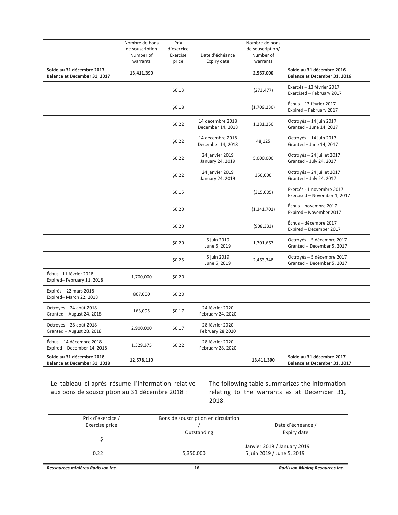|                                                           | Nombre de bons<br>de souscription<br>Number of<br>warrants | Prix<br>d'exercice<br>Exercise<br>price | Date d'échéance<br>Expiry date        | Nombre de bons<br>de souscription/<br>Number of<br>warrants |                                                           |
|-----------------------------------------------------------|------------------------------------------------------------|-----------------------------------------|---------------------------------------|-------------------------------------------------------------|-----------------------------------------------------------|
| Solde au 31 décembre 2017<br>Balance at December 31, 2017 | 13,411,390                                                 |                                         |                                       | 2,567,000                                                   | Solde au 31 décembre 2016<br>Balance at December 31, 2016 |
|                                                           |                                                            | \$0.13                                  |                                       | (273, 477)                                                  | Exercés - 13 février 2017<br>Exercised - February 2017    |
|                                                           |                                                            | \$0.18                                  |                                       | (1,709,230)                                                 | Échus - 13 février 2017<br>Expired - February 2017        |
|                                                           |                                                            | \$0.22                                  | 14 décembre 2018<br>December 14, 2018 | 1,281,250                                                   | Octroyés - 14 juin 2017<br>Granted - June 14, 2017        |
|                                                           |                                                            | \$0.22                                  | 14 décembre 2018<br>December 14, 2018 | 48,125                                                      | Octroyés - 14 juin 2017<br>Granted - June 14, 2017        |
|                                                           |                                                            | \$0.22                                  | 24 janvier 2019<br>January 24, 2019   | 5,000,000                                                   | Octroyés - 24 juillet 2017<br>Granted - July 24, 2017     |
|                                                           |                                                            | \$0.22                                  | 24 janvier 2019<br>January 24, 2019   | 350,000                                                     | Octroyés - 24 juillet 2017<br>Granted - July 24, 2017     |
|                                                           |                                                            | \$0.15                                  |                                       | (315,005)                                                   | Exercés - 1 novembre 2017<br>Exercised - November 1, 2017 |
|                                                           |                                                            | \$0.20                                  |                                       | (1,341,701)                                                 | Échus - novembre 2017<br>Expired - November 2017          |
|                                                           |                                                            | \$0.20                                  |                                       | (908, 333)                                                  | Échus - décembre 2017<br>Expired - December 2017          |
|                                                           |                                                            | \$0.20                                  | 5 juin 2019<br>June 5, 2019           | 1,701,667                                                   | Octroyés - 5 décembre 2017<br>Granted - December 5, 2017  |
|                                                           |                                                            | \$0.25                                  | 5 juin 2019<br>June 5, 2019           | 2,463,348                                                   | Octroyés - 5 décembre 2017<br>Granted - December 5, 2017  |
| Échus-11 février 2018<br>Expired-February 11, 2018        | 1,700,000                                                  | \$0.20                                  |                                       |                                                             |                                                           |
| Expirés - 22 mars 2018<br>Expired-March 22, 2018          | 867,000                                                    | \$0.20                                  |                                       |                                                             |                                                           |
| Octroyés - 24 août 2018<br>Granted - August 24, 2018      | 163,095                                                    | \$0.17                                  | 24 février 2020<br>February 24, 2020  |                                                             |                                                           |
| Octroyés - 28 août 2018<br>Granted - August 28, 2018      | 2,900,000                                                  | \$0.17                                  | 28 février 2020<br>February 28,2020   |                                                             |                                                           |
| Échus - 14 décembre 2018<br>Expired - December 14, 2018   | 1,329,375                                                  | \$0.22                                  | 28 février 2020<br>February 28, 2020  |                                                             |                                                           |
| Solde au 31 décembre 2018<br>Balance at December 31, 2018 | 12,578,110                                                 |                                         |                                       | 13,411,390                                                  | Solde au 31 décembre 2017<br>Balance at December 31, 2017 |

Le tableau ci-après résume l'information relative aux bons de souscription au 31 décembre 2018 :

The following table summarizes the information relating to the warrants as at December 31, 2018:

| Prix d'exercice / | Bons de souscription en circulation |                             |
|-------------------|-------------------------------------|-----------------------------|
| Exercise price    |                                     | Date d'échéance /           |
|                   | Outstanding                         | Expiry date                 |
|                   |                                     |                             |
|                   |                                     | Janvier 2019 / January 2019 |
| 0.22              | 5,350,000                           | 5 juin 2019 / June 5, 2019  |
|                   |                                     |                             |

Ressources minières Radisson inc.

**Radisson Mining Resources Inc.**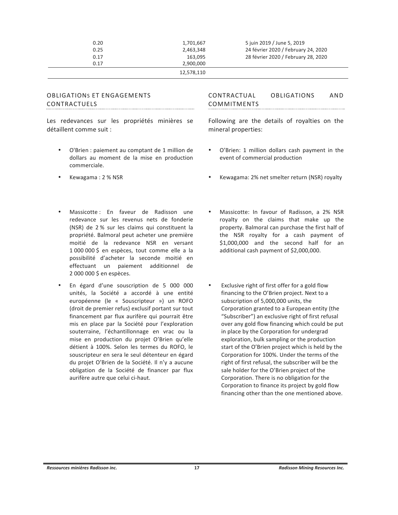| 0.20 | 1,701,667  | 5 juin 2019 / June 5, 2019          |
|------|------------|-------------------------------------|
| 0.25 | 2.463.348  | 24 février 2020 / February 24, 2020 |
| 0.17 | 163.095    | 28 février 2020 / February 28, 2020 |
| 0.17 | 2,900,000  |                                     |
|      | 12.578.110 |                                     |

#### **OBLIGATIONS ET ENGAGEMENTS** CONTRACTUELS

Les redevances sur les propriétés minières se détaillent comme suit :

- O'Brien : paiement au comptant de 1 million de dollars au moment de la mise en production commerciale.
- Kewagama: 2 % NSR
- Massicotte: En faveur de Radisson une redevance sur les revenus nets de fonderie (NSR) de 2 % sur les claims qui constituent la propriété. Balmoral peut acheter une première moitié de la redevance NSR en versant 1 000 000 \$ en espèces, tout comme elle a la possibilité d'acheter la seconde moitié en effectuant un paiement additionnel de 2 000 000 \$ en espèces.
- En égard d'une souscription de 5 000 000 unités, la Société a accordé à une entité européenne (le « Souscripteur ») un ROFO (droit de premier refus) exclusif portant sur tout financement par flux aurifère qui pourrait être mis en place par la Société pour l'exploration souterraine, l'échantillonnage en vrac ou la mise en production du projet O'Brien qu'elle détient à 100%. Selon les termes du ROFO, le souscripteur en sera le seul détenteur en égard du projet O'Brien de la Société. Il n'y a aucune obligation de la Société de financer par flux aurifère autre que celui ci-haut.

OBLIGATIONS CONTRACTUAL **AND** COMMITMENTS 

Following are the details of royalties on the mineral properties:

- O'Brien: 1 million dollars cash payment in the event of commercial production
- Kewagama: 2% net smelter return (NSR) royalty
- Massicotte: In favour of Radisson, a 2% NSR royalty on the claims that make up the property. Balmoral can purchase the first half of the NSR royalty for a cash payment of \$1,000,000 and the second half for an additional cash payment of \$2,000,000.
- Exclusive right of first offer for a gold flow financing to the O'Brien project. Next to a subscription of 5,000,000 units, the Corporation granted to a European entity (the "Subscriber") an exclusive right of first refusal over any gold flow financing which could be put in place by the Corporation for undergrad exploration, bulk sampling or the production start of the O'Brien project which is held by the Corporation for 100%. Under the terms of the right of first refusal, the subscriber will be the sale holder for the O'Brien project of the Corporation. There is no obligation for the Corporation to finance its project by gold flow financing other than the one mentioned above.

Ressources minières Radisson inc.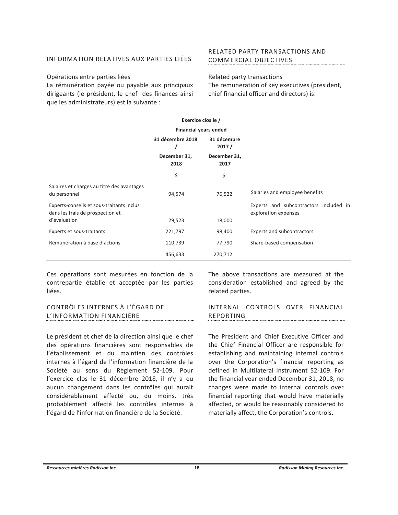# INFORMATION RELATIVES AUX PARTIES LIÉES

# Opérations entre parties liées

La rémunération payée ou payable aux principaux dirigeants (le président, le chef des finances ainsi que les administrateurs) est la suivante :

**RELATED PARTY TRANSACTIONS AND** COMMERCIAL OBJECTIVES

Related party transactions The remuneration of key executives (president, chief financial officer and directors) is:

|                                                                               | Exercice clos le /                       |                      |                                                                |
|-------------------------------------------------------------------------------|------------------------------------------|----------------------|----------------------------------------------------------------|
|                                                                               | <b>Financial years ended</b>             |                      |                                                                |
|                                                                               | 31 décembre 2018<br>31 décembre<br>2017/ |                      |                                                                |
|                                                                               | December 31,<br>2018                     | December 31,<br>2017 |                                                                |
|                                                                               | \$                                       | \$                   |                                                                |
| Salaires et charges au titre des avantages<br>du personnel                    | 94,574                                   | 76,522               | Salaries and employee benefits                                 |
| Experts-conseils et sous-traitants inclus<br>dans les frais de prospection et |                                          |                      | Experts and subcontractors included in<br>exploration expenses |
| d'évaluation                                                                  | 29,523                                   | 18,000               |                                                                |
| Experts et sous-traitants                                                     | 221,797                                  | 98,400               | Experts and subcontractors                                     |
| Rémunération à base d'actions                                                 | 110,739                                  | 77,790               | Share-based compensation                                       |
|                                                                               | 456,633                                  | 270,712              |                                                                |

Ces opérations sont mesurées en fonction de la contrepartie établie et acceptée par les parties liées.

# CONTRÔLES INTERNES À L'ÉGARD DE L'INFORMATION FINANCIÈRE

Le président et chef de la direction ainsi que le chef des opérations financières sont responsables de l'établissement et du maintien des contrôles internes à l'égard de l'information financière de la Société au sens du Règlement 52-109. Pour l'exercice clos le 31 décembre 2018, il n'y a eu aucun changement dans les contrôles qui aurait considérablement affecté ou, du moins, très probablement affecté les contrôles internes à l'égard de l'information financière de la Société.

The above transactions are measured at the consideration established and agreed by the related parties.

#### INTERNAL CONTROLS OVER FINANCIAL REPORTING

The President and Chief Executive Officer and the Chief Financial Officer are responsible for establishing and maintaining internal controls over the Corporation's financial reporting as defined in Multilateral Instrument 52-109. For the financial year ended December 31, 2018, no changes were made to internal controls over financial reporting that would have materially affected, or would be reasonably considered to materially affect, the Corporation's controls.

Ressources minières Radisson inc.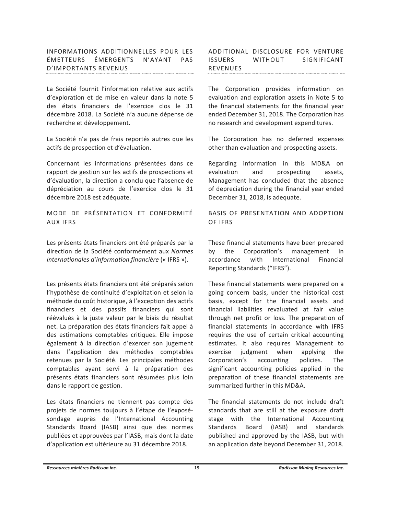# INFORMATIONS ADDITIONNELLES POUR LES ÉMETTEURS ÉMERGENTS N'AYANT PAS **D'IMPORTANTS REVENUS**

La Société fournit l'information relative aux actifs d'exploration et de mise en valeur dans la note 5 des états financiers de l'exercice clos le 31 décembre 2018. La Société n'a aucune dépense de recherche et développement.

La Société n'a pas de frais reportés autres que les actifs de prospection et d'évaluation.

Concernant les informations présentées dans ce rapport de gestion sur les actifs de prospections et d'évaluation, la direction a conclu que l'absence de dépréciation au cours de l'exercice clos le 31 décembre 2018 est adéquate.

MODE DE PRÉSENTATION ET CONFORMITÉ AUX IFRS

Les présents états financiers ont été préparés par la direction de la Société conformément aux Normes internationales d'information financière (« IFRS »).

Les présents états financiers ont été préparés selon l'hypothèse de continuité d'exploitation et selon la méthode du coût historique, à l'exception des actifs financiers et des passifs financiers qui sont réévalués à la juste valeur par le biais du résultat net. La préparation des états financiers fait appel à des estimations comptables critiques. Elle impose également à la direction d'exercer son jugement dans l'application des méthodes comptables retenues par la Société. Les principales méthodes comptables ayant servi à la préparation des présents états financiers sont résumées plus loin dans le rapport de gestion.

Les états financiers ne tiennent pas compte des projets de normes toujours à l'étape de l'exposésondage auprès de l'International Accounting Standards Board (IASB) ainsi que des normes publiées et approuvées par l'IASB, mais dont la date d'application est ultérieure au 31 décembre 2018.

ADDITIONAL DISCLOSURE FOR VENTURE **ISSUERS** WITHOUT SIGNIFICANT REVENUES 

The Corporation provides information on evaluation and exploration assets in Note 5 to the financial statements for the financial year ended December 31, 2018. The Corporation has no research and development expenditures.

The Corporation has no deferred expenses other than evaluation and prospecting assets.

Regarding information in this MD&A on evaluation and prospecting assets, Management has concluded that the absence of depreciation during the financial year ended December 31, 2018, is adequate.

# BASIS OF PRESENTATION AND ADOPTION OF IFRS

These financial statements have been prepared by the Corporation's management in accordance with International Financial Reporting Standards ("IFRS").

These financial statements were prepared on a going concern basis, under the historical cost basis, except for the financial assets and financial liabilities revaluated at fair value through net profit or loss. The preparation of financial statements in accordance with IFRS requires the use of certain critical accounting estimates. It also requires Management to exercise judgment when applying the Corporation's accounting policies. **The** significant accounting policies applied in the preparation of these financial statements are summarized further in this MD&A

The financial statements do not include draft standards that are still at the exposure draft stage with the International Accounting Standards Board (IASB) and standards published and approved by the IASB, but with an application date beyond December 31, 2018.

Ressources minières Radisson inc.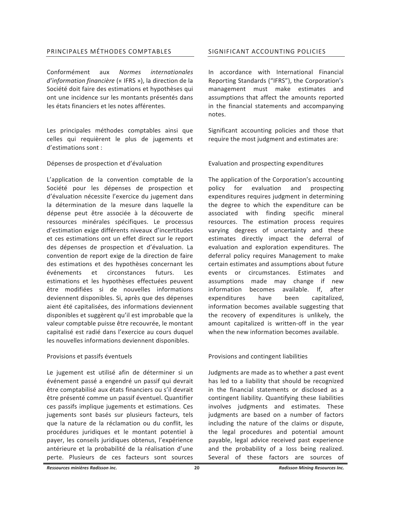# PRINCIPALES MÉTHODES COMPTABLES

Conformément aux **Normes** *internationales* d'information financière (« IFRS »), la direction de la Société doit faire des estimations et hypothèses qui ont une incidence sur les montants présentés dans les états financiers et les notes afférentes.

Les principales méthodes comptables ainsi que celles qui requièrent le plus de jugements et d'estimations sont :

# Dépenses de prospection et d'évaluation

L'application de la convention comptable de la Société pour les dépenses de prospection et d'évaluation nécessite l'exercice du jugement dans la détermination de la mesure dans laquelle la dépense peut être associée à la découverte de ressources minérales spécifiques. Le processus d'estimation exige différents niveaux d'incertitudes et ces estimations ont un effet direct sur le report des dépenses de prospection et d'évaluation. La convention de report exige de la direction de faire des estimations et des hypothèses concernant les événements et circonstances futurs. Les estimations et les hypothèses effectuées peuvent être modifiées si de nouvelles informations deviennent disponibles. Si, après que des dépenses aient été capitalisées, des informations deviennent disponibles et suggèrent qu'il est improbable que la valeur comptable puisse être recouvrée, le montant capitalisé est radié dans l'exercice au cours duquel les nouvelles informations deviennent disponibles.

### Provisions et passifs éventuels

Le jugement est utilisé afin de déterminer si un événement passé a engendré un passif qui devrait être comptabilisé aux états financiers ou s'il devrait être présenté comme un passif éventuel. Quantifier ces passifs implique jugements et estimations. Ces jugements sont basés sur plusieurs facteurs, tels que la nature de la réclamation ou du conflit, les procédures juridiques et le montant potentiel à payer, les conseils juridiques obtenus, l'expérience antérieure et la probabilité de la réalisation d'une perte. Plusieurs de ces facteurs sont sources

# SIGNIFICANT ACCOUNTING POLICIES

In accordance with International Financial Reporting Standards ("IFRS"), the Corporation's management must make estimates and assumptions that affect the amounts reported in the financial statements and accompanying notes.

Significant accounting policies and those that require the most judgment and estimates are:

# Evaluation and prospecting expenditures

The application of the Corporation's accounting policy for evaluation and prospecting expenditures requires judgment in determining the degree to which the expenditure can be associated with finding specific mineral resources. The estimation process requires varying degrees of uncertainty and these estimates directly impact the deferral of evaluation and exploration expenditures. The deferral policy requires Management to make certain estimates and assumptions about future events or circumstances. Estimates and assumptions made may change if new information becomes available. If, after expenditures have been capitalized. information becomes available suggesting that the recovery of expenditures is unlikely, the amount capitalized is written-off in the year when the new information becomes available

# Provisions and contingent liabilities

Judgments are made as to whether a past event has led to a liability that should be recognized in the financial statements or disclosed as a contingent liability. Quantifying these liabilities involves judgments and estimates. These judgments are based on a number of factors including the nature of the claims or dispute, the legal procedures and potential amount payable, legal advice received past experience and the probability of a loss being realized. Several of these factors are sources of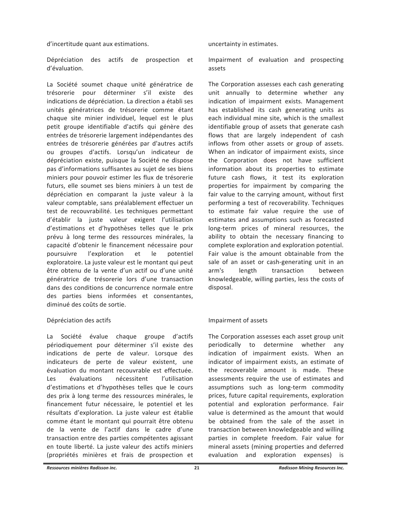d'incertitude quant aux estimations.

Dépréciation des actifs de prospection et d'évaluation.

La Société soumet chaque unité génératrice de trésorerie pour déterminer s'il existe des indications de dépréciation. La direction a établi ses unités génératrices de trésorerie comme étant chaque site minier individuel, lequel est le plus petit groupe identifiable d'actifs qui génère des entrées de trésorerie largement indépendantes des entrées de trésorerie générées par d'autres actifs ou groupes d'actifs. Lorsqu'un indicateur de dépréciation existe, puisque la Société ne dispose pas d'informations suffisantes au sujet de ses biens miniers pour pouvoir estimer les flux de trésorerie futurs, elle soumet ses biens miniers à un test de dépréciation en comparant la juste valeur à la valeur comptable, sans préalablement effectuer un test de recouvrabilité. Les techniques permettant d'établir la juste valeur exigent l'utilisation d'estimations et d'hypothèses telles que le prix prévu à long terme des ressources minérales, la capacité d'obtenir le financement nécessaire pour l'exploration poursuivre et le potentiel exploratoire. La juste valeur est le montant qui peut être obtenu de la vente d'un actif ou d'une unité génératrice de trésorerie lors d'une transaction dans des conditions de concurrence normale entre des parties biens informées et consentantes, diminué des coûts de sortie.

# Dépréciation des actifs

 $La$ Société évalue chaque groupe d'actifs périodiquement pour déterminer s'il existe des indications de perte de valeur. Lorsque des indicateurs de perte de valeur existent, une évaluation du montant recouvrable est effectuée. évaluations nécessitent l'utilisation Les d'estimations et d'hypothèses telles que le cours des prix à long terme des ressources minérales, le financement futur nécessaire, le potentiel et les résultats d'exploration. La juste valeur est établie comme étant le montant qui pourrait être obtenu de la vente de l'actif dans le cadre d'une transaction entre des parties compétentes agissant en toute liberté. La juste valeur des actifs miniers (propriétés minières et frais de prospection et

uncertainty in estimates.

Impairment of evaluation and prospecting assets

The Corporation assesses each cash generating unit annually to determine whether any indication of impairment exists. Management has established its cash generating units as each individual mine site, which is the smallest identifiable group of assets that generate cash flows that are largely independent of cash inflows from other assets or group of assets. When an indicator of impairment exists, since the Corporation does not have sufficient information about its properties to estimate future cash flows, it test its exploration properties for impairment by comparing the fair value to the carrying amount, without first performing a test of recoverability. Techniques to estimate fair value require the use of estimates and assumptions such as forecasted long-term prices of mineral resources, the ability to obtain the necessary financing to complete exploration and exploration potential. Fair value is the amount obtainable from the sale of an asset or cash-generating unit in an arm's length transaction between knowledgeable, willing parties, less the costs of disposal.

# Impairment of assets

The Corporation assesses each asset group unit periodically to determine whether any indication of impairment exists. When an indicator of impairment exists, an estimate of the recoverable amount is made. These assessments require the use of estimates and assumptions such as long-term commodity prices, future capital requirements, exploration potential and exploration performance. Fair value is determined as the amount that would be obtained from the sale of the asset in transaction between knowledgeable and willing parties in complete freedom. Fair value for mineral assets (mining properties and deferred evaluation and exploration expenses) is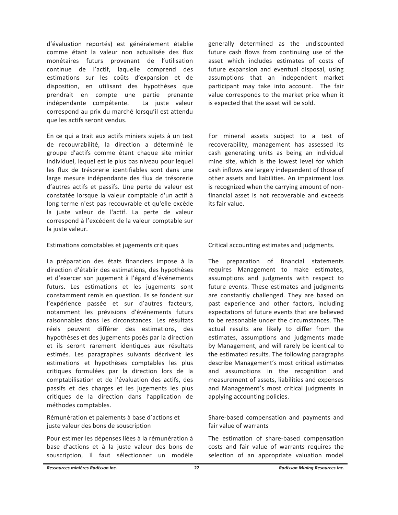d'évaluation reportés) est généralement établie comme étant la valeur non actualisée des flux monétaires futurs provenant de l'utilisation continue de l'actif, laquelle comprend des estimations sur les coûts d'expansion et de disposition, en utilisant des hypothèses que prendrait en compte une partie prenante indépendante compétente. La juste valeur correspond au prix du marché lorsqu'il est attendu que les actifs seront vendus.

En ce qui a trait aux actifs miniers sujets à un test de recouvrabilité, la direction a déterminé le groupe d'actifs comme étant chaque site minier individuel, lequel est le plus bas niveau pour lequel les flux de trésorerie identifiables sont dans une large mesure indépendante des flux de trésorerie d'autres actifs et passifs. Une perte de valeur est constatée lorsque la valeur comptable d'un actif à long terme n'est pas recouvrable et qu'elle excède la juste valeur de l'actif. La perte de valeur correspond à l'excédent de la valeur comptable sur la juste valeur.

# Estimations comptables et jugements critiques

La préparation des états financiers impose à la direction d'établir des estimations, des hypothèses et d'exercer son jugement à l'égard d'événements futurs. Les estimations et les jugements sont constamment remis en question. Ils se fondent sur l'expérience passée et sur d'autres facteurs, notamment les prévisions d'événements futurs raisonnables dans les circonstances. Les résultats réels peuvent différer des estimations, des hypothèses et des jugements posés par la direction et ils seront rarement identiques aux résultats estimés. Les paragraphes suivants décrivent les estimations et hypothèses comptables les plus critiques formulées par la direction lors de la comptabilisation et de l'évaluation des actifs, des passifs et des charges et les jugements les plus critiques de la direction dans l'application de méthodes comptables.

Rémunération et paiements à base d'actions et juste valeur des bons de souscription

Pour estimer les dépenses liées à la rémunération à base d'actions et à la juste valeur des bons de souscription, il faut sélectionner un modèle generally determined as the undiscounted future cash flows from continuing use of the asset which includes estimates of costs of future expansion and eventual disposal, using assumptions that an independent market participant may take into account. The fair value corresponds to the market price when it is expected that the asset will be sold.

For mineral assets subject to a test of recoverability, management has assessed its cash generating units as being an individual mine site, which is the lowest level for which cash inflows are largely independent of those of other assets and liabilities. An impairment loss is recognized when the carrying amount of nonfinancial asset is not recoverable and exceeds its fair value.

Critical accounting estimates and judgments.

The preparation of financial statements requires Management to make estimates, assumptions and judgments with respect to future events. These estimates and judgments are constantly challenged. They are based on past experience and other factors, including expectations of future events that are believed to be reasonable under the circumstances. The actual results are likely to differ from the estimates, assumptions and judgments made by Management, and will rarely be identical to the estimated results. The following paragraphs describe Management's most critical estimates and assumptions in the recognition and measurement of assets, liabilities and expenses and Management's most critical judgments in applying accounting policies.

Share-based compensation and payments and fair value of warrants

The estimation of share-based compensation costs and fair value of warrants requires the selection of an appropriate valuation model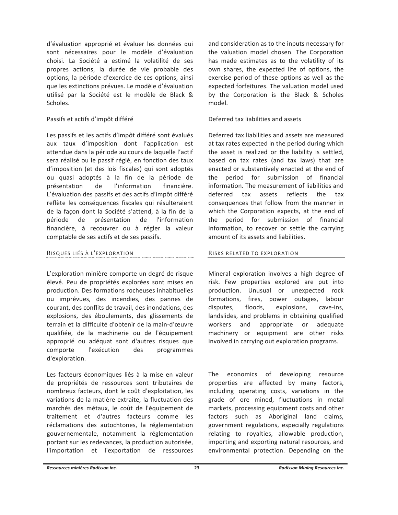d'évaluation approprié et évaluer les données qui sont nécessaires pour le modèle d'évaluation choisi. La Société a estimé la volatilité de ses propres actions, la durée de vie probable des options, la période d'exercice de ces options, ainsi que les extinctions prévues. Le modèle d'évaluation utilisé par la Société est le modèle de Black & Scholes.

# Passifs et actifs d'impôt différé

Les passifs et les actifs d'impôt différé sont évalués aux taux d'imposition dont l'application est attendue dans la période au cours de laquelle l'actif sera réalisé ou le passif réglé, en fonction des taux d'imposition (et des lois fiscales) qui sont adoptés ou quasi adoptés à la fin de la période de présentation de l'information financière. L'évaluation des passifs et des actifs d'impôt différé reflète les conséquences fiscales qui résulteraient de la façon dont la Société s'attend, à la fin de la période de présentation de l'information financière, à recouvrer ou à régler la valeur comptable de ses actifs et de ses passifs.

# RISQUES LIÉS À L'EXPLORATION

L'exploration minière comporte un degré de risque élevé. Peu de propriétés explorées sont mises en production. Des formations rocheuses inhabituelles ou imprévues, des incendies, des pannes de courant, des conflits de travail, des inondations, des explosions, des éboulements, des glissements de terrain et la difficulté d'obtenir de la main-d'œuvre qualifiée, de la machinerie ou de l'équipement approprié ou adéquat sont d'autres risques que comporte l'exécution des programmes d'exploration.

Les facteurs économiques liés à la mise en valeur de propriétés de ressources sont tributaires de nombreux facteurs, dont le coût d'exploitation, les variations de la matière extraite, la fluctuation des marchés des métaux, le coût de l'équipement de traitement et d'autres facteurs comme les réclamations des autochtones, la réglementation gouvernementale, notamment la réglementation portant sur les redevances, la production autorisée, l'importation et l'exportation de ressources and consideration as to the inputs necessary for the valuation model chosen. The Corporation has made estimates as to the volatility of its own shares, the expected life of options, the exercise period of these options as well as the expected forfeitures. The valuation model used by the Corporation is the Black & Scholes model.

# Deferred tax liabilities and assets

Deferred tax liabilities and assets are measured at tax rates expected in the period during which the asset is realized or the liability is settled, based on tax rates (and tax laws) that are enacted or substantively enacted at the end of the period for submission of financial information. The measurement of liabilities and deferred tax assets reflects the tax consequences that follow from the manner in which the Corporation expects, at the end of the period for submission of financial information, to recover or settle the carrying amount of its assets and liabilities.

# RISKS RELATED TO EXPLORATION

Mineral exploration involves a high degree of risk. Few properties explored are put into production. Unusual or unexpected rock formations, fires, power outages, labour disputes, floods, explosions, cave-ins, landslides, and problems in obtaining qualified appropriate or workers and adequate machinery or equipment are other risks involved in carrying out exploration programs.

The economics of developing resource properties are affected by many factors, including operating costs, variations in the grade of ore mined, fluctuations in metal markets, processing equipment costs and other factors such as Aboriginal land claims, government regulations, especially regulations relating to royalties, allowable production, importing and exporting natural resources, and environmental protection. Depending on the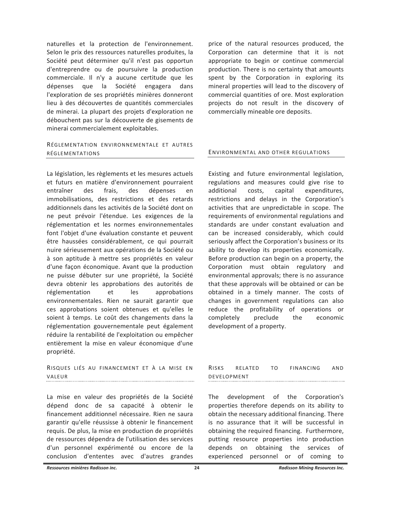naturelles et la protection de l'environnement. Selon le prix des ressources naturelles produites, la Société peut déterminer qu'il n'est pas opportun d'entreprendre ou de poursuivre la production commerciale. Il n'y a aucune certitude que les dépenses que la Société engagera dans l'exploration de ses propriétés minières donneront lieu à des découvertes de quantités commerciales de minerai. La plupart des projets d'exploration ne débouchent pas sur la découverte de gisements de minerai commercialement exploitables.

# RÉGIFMENTATION ENVIRONNEMENTALE ET AUTRES RÉGLEMENTATIONS

La législation, les règlements et les mesures actuels et futurs en matière d'environnement pourraient entraîner des frais, des dépenses en immobilisations, des restrictions et des retards additionnels dans les activités de la Société dont on ne peut prévoir l'étendue. Les exigences de la réglementation et les normes environnementales font l'objet d'une évaluation constante et peuvent être haussées considérablement, ce qui pourrait nuire sérieusement aux opérations de la Société ou à son aptitude à mettre ses propriétés en valeur d'une façon économique. Avant que la production ne puisse débuter sur une propriété, la Société devra obtenir les approbations des autorités de réglementation  $et$ les approbations environnementales. Rien ne saurait garantir que ces approbations soient obtenues et qu'elles le soient à temps. Le coût des changements dans la réglementation gouvernementale peut également réduire la rentabilité de l'exploitation ou empêcher entièrement la mise en valeur économique d'une propriété.

RISQUES LIÉS AU FINANCEMENT ET À LA MISE EN VAIFUR 

La mise en valeur des propriétés de la Société dépend donc de sa capacité à obtenir le financement additionnel nécessaire. Rien ne saura garantir qu'elle réussisse à obtenir le financement requis. De plus, la mise en production de propriétés de ressources dépendra de l'utilisation des services d'un personnel expérimenté ou encore de la conclusion d'ententes avec d'autres grandes

price of the natural resources produced, the Corporation can determine that it is not appropriate to begin or continue commercial production. There is no certainty that amounts spent by the Corporation in exploring its mineral properties will lead to the discovery of commercial quantities of ore. Most exploration projects do not result in the discovery of commercially mineable ore deposits.

### ENVIRONMENTAL AND OTHER REGULATIONS

Existing and future environmental legislation, regulations and measures could give rise to additional costs, capital expenditures, restrictions and delays in the Corporation's activities that are unpredictable in scope. The requirements of environmental regulations and standards are under constant evaluation and can be increased considerably, which could seriously affect the Corporation's business or its ability to develop its properties economically. Before production can begin on a property, the Corporation must obtain regulatory and environmental approvals; there is no assurance that these approvals will be obtained or can be obtained in a timely manner. The costs of changes in government regulations can also reduce the profitability of operations or preclude completely the economic development of a property.

| RISKS       | RFIATED | TO. | FINANCING | AND |
|-------------|---------|-----|-----------|-----|
| DEVELOPMENT |         |     |           |     |

The development of the Corporation's properties therefore depends on its ability to obtain the necessary additional financing. There is no assurance that it will be successful in obtaining the required financing. Furthermore, putting resource properties into production depends on obtaining the services of experienced personnel or of coming  $t_{0}$ 

Ressources minières Radisson inc.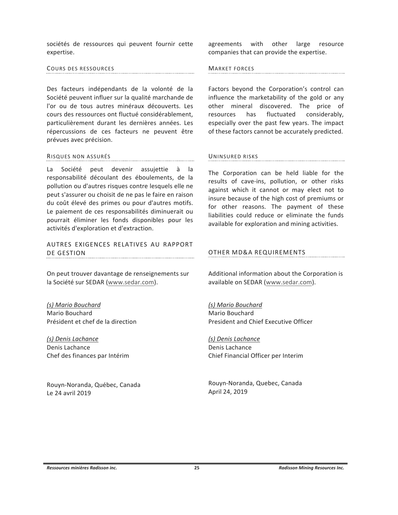sociétés de ressources qui peuvent fournir cette expertise.

# COURS DES RESSOURCES

Des facteurs indépendants de la volonté de la Société peuvent influer sur la qualité marchande de l'or ou de tous autres minéraux découverts. Les cours des ressources ont fluctué considérablement, particulièrement durant les dernières années. Les répercussions de ces facteurs ne peuvent être prévues avec précision.

#### RISQUES NON ASSURÉS

La Société peut devenir assujettie à la responsabilité découlant des éboulements, de la pollution ou d'autres risques contre lesquels elle ne peut s'assurer ou choisit de ne pas le faire en raison du coût élevé des primes ou pour d'autres motifs. Le paiement de ces responsabilités diminuerait ou pourrait éliminer les fonds disponibles pour les activités d'exploration et d'extraction.

AUTRES EXIGENCES RELATIVES AU RAPPORT DE GESTION

On peut trouver davantage de renseignements sur la Société sur SEDAR (www.sedar.com).

(s) Mario Bouchard Mario Bouchard Président et chef de la direction

(s) Denis Lachance Denis Lachance Chef des finances par Intérim

Rouyn-Noranda, Québec, Canada Le 24 avril 2019

agreements with other large resource companies that can provide the expertise.

# **MARKET FORCES**

Factors beyond the Corporation's control can influence the marketability of the gold or any other mineral discovered. The price of resources has fluctuated considerably, especially over the past few years. The impact of these factors cannot be accurately predicted.

# UNINSURED RISKS

The Corporation can be held liable for the results of cave-ins, pollution, or other risks against which it cannot or may elect not to insure because of the high cost of premiums or for other reasons. The payment of these liabilities could reduce or eliminate the funds available for exploration and mining activities.

# OTHER MD&A REQUIREMENTS

Additional information about the Corporation is available on SEDAR (www.sedar.com).

(s) Mario Bouchard Mario Bouchard President and Chief Executive Officer

(s) Denis Lachance Denis Lachance Chief Financial Officer per Interim

Rouyn-Noranda, Quebec, Canada April 24, 2019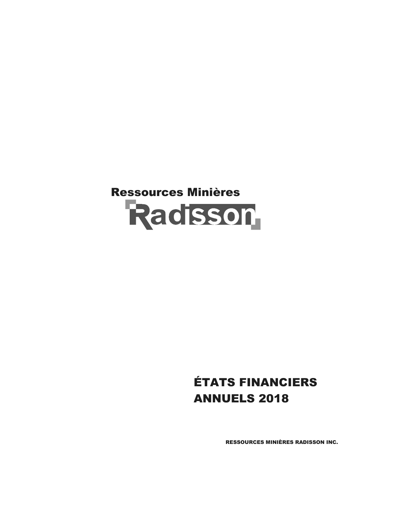# Ressources Minières<br>Radisson

# ÉTATS FINANCIERS ANNUELS 2018

RESSOURCES MINIÈRES RADISSON INC.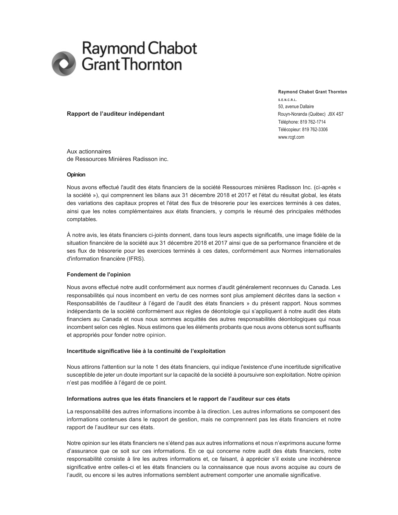

**Raymond Chabot Grant Thornton S.E.N.C.R.L.**  50, avenue Dallaire Téléphone: 819 762-1714 Télécopieur: 819 762-3306 www.rcgt.com

### **Francisco Rapport de l'auditeur indépendant** de l'autorisation de la component de l'auditeur indépendant

Aux actionnaires de Ressources Minières Radisson inc.

### **Opinion**

Nous avons effectué l'audit des états financiers de la société Ressources minières Radisson Inc. (ci-après « la société »), qui comprennent les bilans aux 31 décembre 2018 et 2017 et l'état du résultat global, les états des variations des capitaux propres et l'état des flux de trésorerie pour les exercices terminés à ces dates, ainsi que les notes complémentaires aux états financiers, y compris le résumé des principales méthodes comptables.

À notre avis, les états financiers ci-joints donnent, dans tous leurs aspects significatifs, une image fidèle de la situation financière de la société aux 31 décembre 2018 et 2017 ainsi que de sa performance financière et de ses flux de trésorerie pour les exercices terminés à ces dates, conformément aux Normes internationales d'information financière (IFRS).

### **Fondement de l'opinion**

Nous avons effectué notre audit conformément aux normes d'audit généralement reconnues du Canada. Les responsabilités qui nous incombent en vertu de ces normes sont plus amplement décrites dans la section « Responsabilités de l'auditeur à l'égard de l'audit des états financiers » du présent rapport. Nous sommes indépendants de la société conformément aux règles de déontologie qui s'appliquent à notre audit des états financiers au Canada et nous nous sommes acquittés des autres responsabilités déontologiques qui nous incombent selon ces règles. Nous estimons que les éléments probants que nous avons obtenus sont suffisants et appropriés pour fonder notre opinion.

### Incertitude significative liée à la continuité de l'exploitation

Nous attirons l'attention sur la note 1 des états financiers, qui indique l'existence d'une incertitude significative susceptible de jeter un doute important sur la capacité de la société à poursuivre son exploitation. Notre opinion n'est pas modifiée à l'égard de ce point.

#### Informations autres que les états financiers et le rapport de l'auditeur sur ces états

La responsabilité des autres informations incombe à la direction. Les autres informations se composent des informations contenues dans le rapport de gestion, mais ne comprennent pas les états financiers et notre rapport de l'auditeur sur ces états.

Notre opinion sur les états financiers ne s'étend pas aux autres informations et nous n'exprimons aucune forme d'assurance que ce soit sur ces informations. En ce qui concerne notre audit des états financiers, notre responsabilité consiste à lire les autres informations et, ce faisant, à apprécier s'il existe une incohérence significative entre celles-ci et les états financiers ou la connaissance que nous avons acquise au cours de l'audit, ou encore si les autres informations semblent autrement comporter une anomalie significative.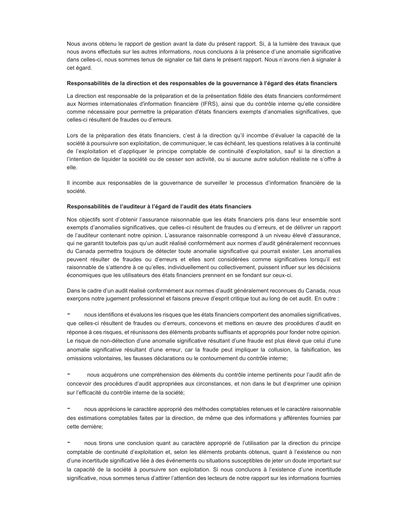Nous avons obtenu le rapport de gestion avant la date du présent rapport. Si, à la lumière des travaux que nous avons effectués sur les autres informations, nous concluons à la présence d'une anomalie significative dans celles-ci, nous sommes tenus de signaler ce fait dans le présent rapport. Nous n'avons rien à signaler à cet égard.

### Responsabilités de la direction et des responsables de la gouvernance à l'égard des états financiers

La direction est responsable de la préparation et de la présentation fidèle des états financiers conformément aux Normes internationales d'information financière (IFRS), ainsi que du contrôle interne qu'elle considère comme nécessaire pour permettre la préparation d'états financiers exempts d'anomalies significatives, que celles-ci résultent de fraudes ou d'erreurs.

Lors de la préparation des états financiers, c'est à la direction qu'il incombe d'évaluer la capacité de la société à poursuivre son exploitation, de communiquer, le cas échéant, les questions relatives à la continuité de l'exploitation et d'appliquer le principe comptable de continuité d'exploitation, sauf si la direction a l'intention de liquider la société ou de cesser son activité, ou si aucune autre solution réaliste ne s'offre à elle.

Il incombe aux responsables de la gouvernance de surveiller le processus d'information financière de la société.

### Responsabilités de l'auditeur à l'égard de l'audit des états financiers

Nos objectifs sont d'obtenir l'assurance raisonnable que les états financiers pris dans leur ensemble sont exempts d'anomalies significatives, que celles-ci résultent de fraudes ou d'erreurs, et de délivrer un rapport de l'auditeur contenant notre opinion. L'assurance raisonnable correspond à un niveau élevé d'assurance, qui ne garantit toutefois pas qu'un audit réalisé conformément aux normes d'audit généralement reconnues du Canada permettra toujours de détecter toute anomalie significative qui pourrait exister. Les anomalies peuvent résulter de fraudes ou d'erreurs et elles sont considérées comme significatives lorsqu'il est raisonnable de s'attendre à ce qu'elles, individuellement ou collectivement, puissent influer sur les décisions économiques que les utilisateurs des états financiers prennent en se fondant sur ceux-ci.

Dans le cadre d'un audit réalisé conformément aux normes d'audit généralement reconnues du Canada, nous exerçons notre jugement professionnel et faisons preuve d'esprit critique tout au long de cet audit. En outre :

nous identifions et évaluons les risques que les états financiers comportent des anomalies significatives, que celles-ci résultent de fraudes ou d'erreurs, concevons et mettons en œuvre des procédures d'audit en réponse à ces risques, et réunissons des éléments probants suffisants et appropriés pour fonder notre opinion. Le risque de non-détection d'une anomalie significative résultant d'une fraude est plus élevé que celui d'une anomalie significative résultant d'une erreur, car la fraude peut impliquer la collusion, la falsification, les omissions volontaires, les fausses déclarations ou le contournement du contrôle interne;

nous acquérons une compréhension des éléments du contrôle interne pertinents pour l'audit afin de concevoir des procédures d'audit appropriées aux circonstances, et non dans le but d'exprimer une opinion sur l'efficacité du contrôle interne de la société:

nous apprécions le caractère approprié des méthodes comptables retenues et le caractère raisonnable des estimations comptables faites par la direction, de même que des informations y afférentes fournies par cette dernière;

nous tirons une conclusion quant au caractère approprié de l'utilisation par la direction du principe comptable de continuité d'exploitation et, selon les éléments probants obtenus, quant à l'existence ou non d'une incertitude significative liée à des événements ou situations susceptibles de jeter un doute important sur la capacité de la société à poursuivre son exploitation. Si nous concluons à l'existence d'une incertitude significative, nous sommes tenus d'attirer l'attention des lecteurs de notre rapport sur les informations fournies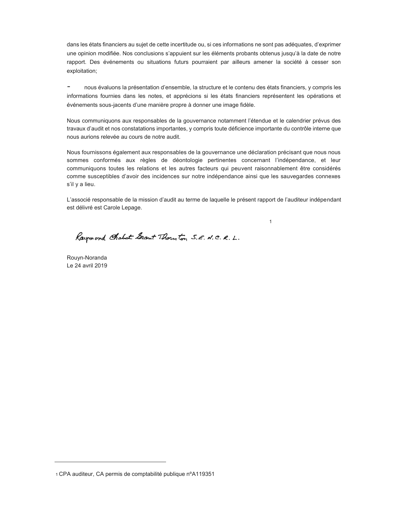dans les états financiers au sujet de cette incertitude ou, si ces informations ne sont pas adéquates, d'exprimer une opinion modifiée. Nos conclusions s'appuient sur les éléments probants obtenus jusqu'à la date de notre rapport. Des événements ou situations futurs pourraient par ailleurs amener la société à cesser son exploitation;

nous évaluons la présentation d'ensemble, la structure et le contenu des états financiers, y compris les informations fournies dans les notes, et apprécions si les états financiers représentent les opérations et événements sous-jacents d'une manière propre à donner une image fidèle.

Nous communiquons aux responsables de la gouvernance notamment l'étendue et le calendrier prévus des travaux d'audit et nos constatations importantes, y compris toute déficience importante du contrôle interne que nous aurions relevée au cours de notre audit.

Nous fournissons également aux responsables de la gouvernance une déclaration précisant que nous nous sommes conformés aux règles de déontologie pertinentes concernant l'indépendance, et leur communiquons toutes les relations et les autres facteurs qui peuvent raisonnablement être considérés comme susceptibles d'avoir des incidences sur notre indépendance ainsi que les sauvegardes connexes s'il y a lieu.

L'associé responsable de la mission d'audit au terme de laquelle le présent rapport de l'auditeur indépendant est délivré est Carole Lepage.

1

Raymond Cholot Grant Thorn ton S.E. N.C. R.L.

Rouyn-Noranda Le 24 avril 2019

<sup>1</sup> CPA auditeur, CA permis de comptabilité publique nºA119351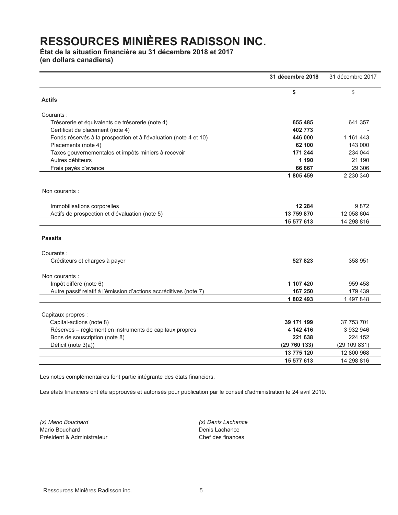# **État de la situation financière au 31 décembre 2018 et 2017**

**(en dollars canadiens)** 

|                                                                   | 31 décembre 2018 | 31 décembre 2017 |
|-------------------------------------------------------------------|------------------|------------------|
|                                                                   | \$               | \$               |
| <b>Actifs</b>                                                     |                  |                  |
| Courants:                                                         |                  |                  |
| Trésorerie et équivalents de trésorerie (note 4)                  | 655 485          | 641 357          |
| Certificat de placement (note 4)                                  | 402 773          |                  |
| Fonds réservés à la prospection et à l'évaluation (note 4 et 10)  | 446 000          | 1 161 443        |
| Placements (note 4)                                               | 62 100           | 143 000          |
| Taxes gouvernementales et impôts miniers à recevoir               | 171 244          | 234 044          |
| Autres débiteurs                                                  | 1 1 9 0          | 21 190           |
| Frais payés d'avance                                              | 66 667           | 29 30 6          |
|                                                                   | 1805459          | 2 2 3 0 3 4 0    |
| Non courants:                                                     |                  |                  |
| Immobilisations corporelles                                       | 12 2 8 4         | 9872             |
| Actifs de prospection et d'évaluation (note 5)                    | 13 759 870       | 12 058 604       |
|                                                                   | 15 577 613       | 14 298 816       |
| <b>Passifs</b>                                                    |                  |                  |
| Courants:                                                         |                  |                  |
| Créditeurs et charges à payer                                     | 527823           | 358 951          |
| Non courants:                                                     |                  |                  |
| Impôt différé (note 6)                                            | 1 107 420        | 959 458          |
| Autre passif relatif à l'émission d'actions accréditives (note 7) | 167 250          | 179 439          |
|                                                                   | 1802493          | 1 497 848        |
| Capitaux propres :                                                |                  |                  |
| Capital-actions (note 8)                                          | 39 171 199       | 37 753 701       |
| Réserves - règlement en instruments de capitaux propres           | 4 142 416        | 3 932 946        |
| Bons de souscription (note 8)                                     | 221 638          | 224 152          |
| Déficit (note 3(a))                                               | (29 760 133)     | (29 109 831)     |
|                                                                   | 13 775 120       | 12 800 968       |
|                                                                   | 15 577 613       | 14 298 816       |

Les notes complémentaires font partie intégrante des états financiers.

Les états financiers ont été approuvés et autorisés pour publication par le conseil d'administration le 24 avril 2019.

*(s) Mario Bouchard (s) Denis Lachance* Mario Bouchard **Denis Lachance** Président & Administrateur chef des finances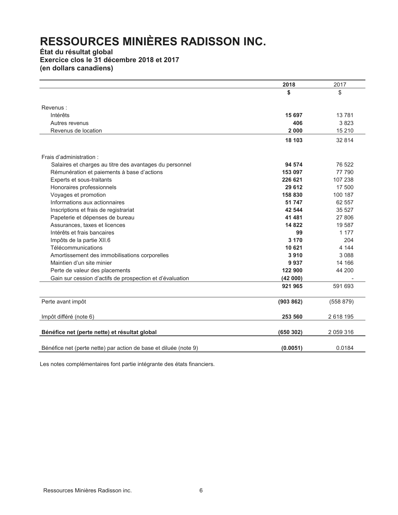# **État du résultat global Exercice clos le 31 décembre 2018 et 2017 (en dollars canadiens)**

|                                                                  | 2018      | 2017      |
|------------------------------------------------------------------|-----------|-----------|
|                                                                  | \$        | \$        |
|                                                                  |           |           |
| Revenus:                                                         |           |           |
| Intérêts                                                         | 15 697    | 13781     |
| Autres revenus                                                   | 406       | 3823      |
| Revenus de location                                              | 2000      | 15 210    |
|                                                                  | 18 103    | 32 814    |
| Frais d'administration :                                         |           |           |
| Salaires et charges au titre des avantages du personnel          | 94 574    | 76 522    |
| Rémunération et paiements à base d'actions                       | 153 097   | 77 790    |
| Experts et sous-traitants                                        | 226 621   | 107 238   |
| Honoraires professionnels                                        | 29 612    | 17 500    |
| Voyages et promotion                                             | 158 830   | 100 187   |
| Informations aux actionnaires                                    | 51 747    | 62 557    |
| Inscriptions et frais de registrariat                            | 42 544    | 35 527    |
| Papeterie et dépenses de bureau                                  | 41 481    | 27 806    |
| Assurances, taxes et licences                                    | 14822     | 19 587    |
| Intérêts et frais bancaires                                      | 99        | 1 1 7 7   |
| Impôts de la partie XII.6                                        | 3 1 7 0   | 204       |
| Télécommunications                                               | 10 621    | 4 1 4 4   |
| Amortissement des immobilisations corporelles                    | 3910      | 3 0 8 8   |
| Maintien d'un site minier                                        | 9937      | 14 166    |
| Perte de valeur des placements                                   | 122 900   | 44 200    |
| Gain sur cession d'actifs de prospection et d'évaluation         | (42000)   |           |
|                                                                  | 921 965   | 591 693   |
| Perte avant impôt                                                | (903 862) | (558 879) |
| Impôt différé (note 6)                                           | 253 560   | 2618195   |
| Bénéfice net (perte nette) et résultat global                    | (650302)  | 2 059 316 |
| Bénéfice net (perte nette) par action de base et diluée (note 9) | (0.0051)  | 0.0184    |

Les notes complémentaires font partie intégrante des états financiers.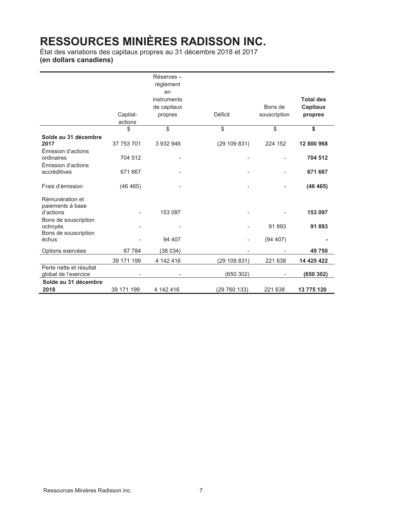État des variations des capitaux propres au 31 décembre 2018 et 2017 **(en dollars canadiens)** 

|                                                          |               | Réserves-<br>règlement<br>en<br>instruments<br>de capitaux |                | Bons de      | <b>Total des</b><br>Capitaux |
|----------------------------------------------------------|---------------|------------------------------------------------------------|----------------|--------------|------------------------------|
|                                                          | Capital-      | propres                                                    | <b>Déficit</b> | souscription | propres                      |
|                                                          | actions<br>\$ | \$                                                         | \$             | \$           | \$                           |
| Solde au 31 décembre                                     |               |                                                            |                |              |                              |
| 2017                                                     | 37 753 701    | 3 932 946                                                  | (29109831)     | 224 152      | 12 800 968                   |
| Émission d'actions<br>ordinaires<br>Émission d'actions   | 704 512       |                                                            |                |              | 704 512                      |
| accréditives                                             | 671 667       |                                                            |                |              | 671 667                      |
| Frais d'émission                                         | (46 465)      |                                                            |                |              | (46 465)                     |
| Rémunération et<br>paiements à base                      |               |                                                            |                |              |                              |
| d'actions                                                |               | 153 097                                                    |                |              | 153 097                      |
| Bons de souscription<br>octroyés<br>Bons de souscription |               |                                                            |                | 91893        | 91893                        |
| échus                                                    |               | 94 407                                                     |                | (94 407)     |                              |
| Options exercées                                         | 87 784        | (38 034)                                                   |                |              | 49 750                       |
|                                                          | 39 171 199    | 4 142 416                                                  | (29 109 831)   | 221 638      | 14 425 422                   |
| Perte nette et résultat<br>global de l'exercice          |               |                                                            | (650302)       |              | (650 302)                    |
| Solde au 31 décembre                                     |               |                                                            |                |              |                              |
| 2018                                                     | 39 171 199    | 4 142 416                                                  | (29 760 133)   | 221 638      | 13 775 120                   |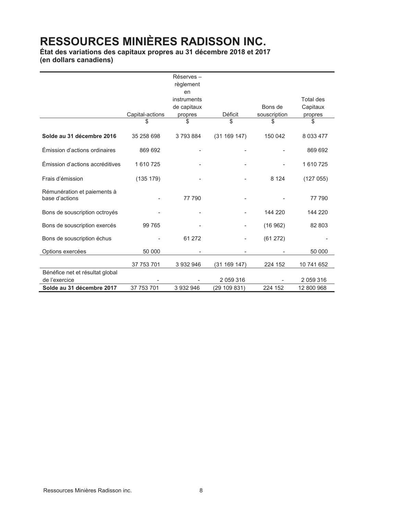**État des variations des capitaux propres au 31 décembre 2018 et 2017 (en dollars canadiens)** 

|                                                  |                 | Réserves-<br>règlement           |                |              |                       |
|--------------------------------------------------|-----------------|----------------------------------|----------------|--------------|-----------------------|
|                                                  |                 | en<br>instruments<br>de capitaux |                | Bons de      | Total des<br>Capitaux |
|                                                  | Capital-actions | propres                          | <b>Déficit</b> | souscription | propres               |
|                                                  |                 | \$                               | \$             | \$.          | \$                    |
| Solde au 31 décembre 2016                        | 35 258 698      | 3793884                          | (31 169 147)   | 150 042      | 8 0 3 4 4 7 7         |
| Émission d'actions ordinaires                    | 869 692         |                                  |                |              | 869 692               |
| Émission d'actions accréditives                  | 1 610 725       |                                  |                |              | 1 610 725             |
| Frais d'émission                                 | (135 179)       |                                  |                | 8 1 2 4      | (127055)              |
| Rémunération et paiements à<br>base d'actions    |                 | 77 790                           |                |              | 77 790                |
| Bons de souscription octroyés                    |                 |                                  |                | 144 220      | 144 220               |
| Bons de souscription exercés                     | 99 765          |                                  |                | (16962)      | 82 803                |
| Bons de souscription échus                       |                 | 61 272                           |                | (61 272)     |                       |
| Options exercées                                 | 50 000          |                                  |                |              | 50 000                |
|                                                  | 37 753 701      | 3 932 946                        | (31 169 147)   | 224 152      | 10 741 652            |
| Bénéfice net et résultat global<br>de l'exercice |                 |                                  | 2 059 316      |              | 2 059 316             |
| Solde au 31 décembre 2017                        | 37 753 701      | 3 932 946                        | (29 109 831)   | 224 152      | 12 800 968            |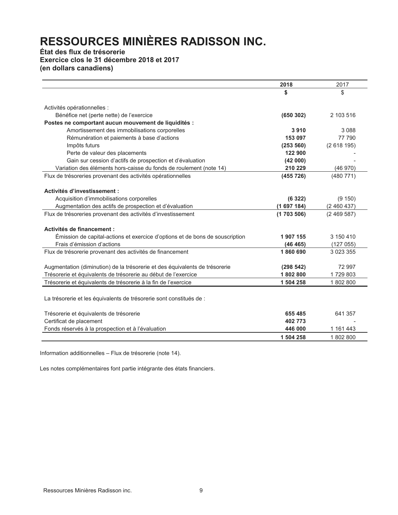# **État des flux de trésorerie Exercice clos le 31 décembre 2018 et 2017 (en dollars canadiens)**

|                                                                              | 2018      | 2017          |
|------------------------------------------------------------------------------|-----------|---------------|
|                                                                              | S         | \$            |
|                                                                              |           |               |
| Activités opérationnelles :                                                  |           |               |
| Bénéfice net (perte nette) de l'exercice                                     | (650302)  | 2 103 516     |
| Postes ne comportant aucun mouvement de liquidités :                         |           |               |
| Amortissement des immobilisations corporelles                                | 3910      | 3 0 8 8       |
| Rémunération et paiements à base d'actions                                   | 153 097   | 77 790        |
| Impôts futurs                                                                | (253 560) | (2618195)     |
| Perte de valeur des placements                                               | 122 900   |               |
| Gain sur cession d'actifs de prospection et d'évaluation                     | (42000)   |               |
| Variation des éléments hors-caisse du fonds de roulement (note 14)           | 210 229   | (46970)       |
| Flux de trésoreries provenant des activités opérationnelles                  | (455 726) | (480 771)     |
|                                                                              |           |               |
| Activités d'investissement :                                                 |           |               |
| Acquisition d'immobilisations corporelles                                    | (6322)    | (9150)        |
| Augmentation des actifs de prospection et d'évaluation                       | (1697184) | (2460437)     |
| Flux de trésoreries provenant des activités d'investissement                 | (1703506) | (2469587)     |
|                                                                              |           |               |
| Activités de financement :                                                   |           |               |
| Emission de capital-actions et exercice d'options et de bons de souscription | 1907155   | 3 150 410     |
| Frais d'émission d'actions                                                   | (46 465)  | (127055)      |
| Flux de trésorerie provenant des activités de financement                    | 1860690   | 3 0 2 3 3 5 5 |
|                                                                              |           |               |
| Augmentation (diminution) de la trésorerie et des équivalents de trésorerie  | (298542)  | 72 997        |
| Trésorerie et équivalents de trésorerie au début de l'exercice               | 1802800   | 1729803       |
| Trésorerie et équivalents de trésorerie à la fin de l'exercice               | 1 504 258 | 1802800       |
|                                                                              |           |               |
| La trésorerie et les équivalents de trésorerie sont constitués de :          |           |               |
| Trésorerie et équivalents de trésorerie                                      | 655 485   | 641 357       |
| Certificat de placement                                                      | 402 773   |               |
| Fonds réservés à la prospection et à l'évaluation                            | 446 000   | 1 161 443     |
|                                                                              | 1 504 258 | 1802800       |

Information additionnelles - Flux de trésorerie (note 14).

Les notes complémentaires font partie intégrante des états financiers.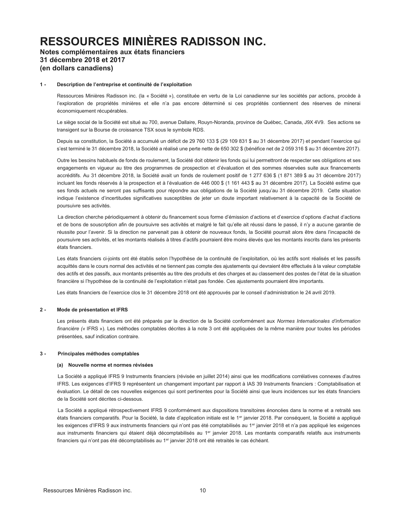# **Notes complémentaires aux états financiers 31 décembre 2018 et 2017 (en dollars canadiens)**

### 1 - Description de l'entreprise et continuité de l'exploitation

 Ressources Minières Radisson inc. (la « Société »), constituée en vertu de la Loi canadienne sur les sociétés par actions, procède à l'exploration de propriétés minières et elle n'a pas encore déterminé si ces propriétés contiennent des réserves de minerai économiquement récupérables.

Le siège social de la Société est situé au 700, avenue Dallaire, Rouyn-Noranda, province de Québec, Canada, J9X 4V9. Ses actions se transigent sur la Bourse de croissance TSX sous le symbole RDS.

Depuis sa constitution, la Société a accumulé un déficit de 29 760 133 \$ (29 109 831 \$ au 31 décembre 2017) et pendant l'exercice qui s'est terminé le 31 décembre 2018, la Société a réalisé une perte nette de 650 302 \$ (bénéfice net de 2 059 316 \$ au 31 décembre 2017).

 Outre les besoins habituels de fonds de roulement, la Société doit obtenir les fonds qui lui permettront de respecter ses obligations et ses engagements en vigueur au titre des programmes de prospection et d'évaluation et des sommes réservées suite aux financements accréditifs. Au 31 décembre 2018, la Société avait un fonds de roulement positif de 1 277 636 \$ (1 871 389 \$ au 31 décembre 2017) incluant les fonds réservés à la prospection et à l'évaluation de 446 000 \$ (1 161 443 \$ au 31 décembre 2017). La Société estime que ses fonds actuels ne seront pas suffisants pour répondre aux obligations de la Société jusqu'au 31 décembre 2019. Cette situation indique l'existence d'incertitudes significatives susceptibles de jeter un doute important relativement à la capacité de la Société de poursuivre ses activités.

La direction cherche périodiquement à obtenir du financement sous forme d'émission d'actions et d'exercice d'options d'achat d'actions et de bons de souscription afin de poursuivre ses activités et malgré le fait qu'elle ait réussi dans le passé, il n'y a aucune garantie de réussite pour l'avenir. Si la direction ne parvenait pas à obtenir de nouveaux fonds, la Société pourrait alors être dans l'incapacité de poursuivre ses activités, et les montants réalisés à titres d'actifs pourraient être moins élevés que les montants inscrits dans les présents états financiers.

Les états financiers ci-joints ont été établis selon l'hypothèse de la continuité de l'exploitation, où les actifs sont réalisés et les passifs acquittés dans le cours normal des activités et ne tiennent pas compte des ajustements qui devraient être effectués à la valeur comptable des actifs et des passifs, aux montants présentés au titre des produits et des charges et au classement des postes de l'état de la situation financière si l'hypothèse de la continuité de l'exploitation n'était pas fondée. Ces ajustements pourraient être importants.

Les états financiers de l'exercice clos le 31 décembre 2018 ont été approuvés par le conseil d'administration le 24 avril 2019.

### **2 - Mode de présentation et IFRS**

 Les présents états financiers ont été préparés par la direction de la Société conformément aux *Normes Internationales d'information*  financière (« IFRS »). Les méthodes comptables décrites à la note 3 ont été appliquées de la même manière pour toutes les périodes présentées, sauf indication contraire.

### **3 - Principales méthodes comptables**

#### **(a) Nouvelle norme et normes révisées**

La Société a appliqué IFRS 9 Instruments financiers (révisée en juillet 2014) ainsi que les modifications corrélatives connexes d'autres IFRS. Les exigences d'IFRS 9 représentent un changement important par rapport à IAS 39 Instruments financiers : Comptabilisation et évaluation. Le détail de ces nouvelles exigences qui sont pertinentes pour la Société ainsi que leurs incidences sur les états financiers de la Société sont décrites ci-dessous.

La Société a appliqué rétrospectivement IFRS 9 conformément aux dispositions transitoires énoncées dans la norme et a retraité ses états financiers comparatifs. Pour la Société, la date d'application initiale est le 1<sup>er</sup> janvier 2018. Par conséquent, la Société a appliqué les exigences d'IFRS 9 aux instruments financiers qui n'ont pas été comptabilisés au 1<sup>er</sup> janvier 2018 et n'a pas appliqué les exigences aux instruments financiers qui étaient déjà décomptabilisés au 1er janvier 2018. Les montants comparatifs relatifs aux instruments financiers qui n'ont pas été décomptabilisés au 1<sup>er</sup> janvier 2018 ont été retraités le cas échéant.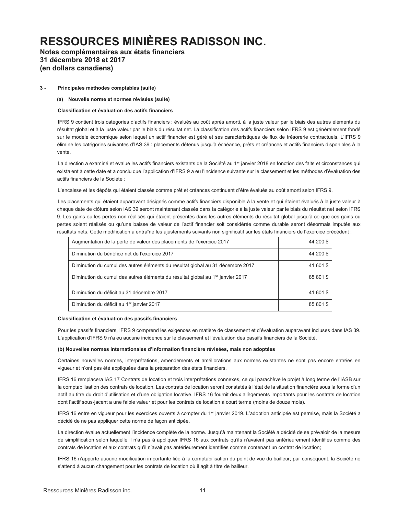# **Notes complémentaires aux états financiers 31 décembre 2018 et 2017 (en dollars canadiens)**

### **3 - Principales méthodes comptables (suite)**

### **(a) Nouvelle norme et normes révisées (suite)**

### **Classification et évaluation des actifs financiers**

IFRS 9 contient trois catégories d'actifs financiers : évalués au coût après amorti, à la juste valeur par le biais des autres éléments du résultat global et à la juste valeur par le biais du résultat net. La classification des actifs financiers selon IFRS 9 est généralement fondé sur le modèle économique selon lequel un actif financier est géré et ses caractéristiques de flux de trésorerie contractuels. L'IFRS 9 élimine les catégories suivantes d'IAS 39 : placements détenus jusqu'à échéance, prêts et créances et actifs financiers disponibles à la vente.

La direction a examiné et évalué les actifs financiers existants de la Société au 1<sup>er</sup> janvier 2018 en fonction des faits et circonstances qui existaient à cette date et a conclu que l'application d'IFRS 9 a eu l'incidence suivante sur le classement et les méthodes d'évaluation des actifs financiers de la Sociéte :

L'encaisse et les dépôts qui étaient classés comme prêt et créances continuent d'être évalués au coût amorti selon IFRS 9.

Les placements qui étaient auparavant désignés comme actifs financiers disponible à la vente et qui étaient évalués à la juste valeur à chaque date de clôture selon IAS 39 seront maintenant classés dans la catégorie à la juste valeur par le biais du résultat net selon IFRS 9. Les gains ou les pertes non réalisés qui étaient présentés dans les autres éléments du résultat global jusqu'à ce que ces gains ou pertes soient réalisés ou qu'une baisse de valeur de l'actif financier soit considérée comme durable seront désormais imputés aux résultats nets. Cette modification a entraîné les ajustements suivants non significatif sur les états financiers de l'exercice précédent :

| Augmentation de la perte de valeur des placements de l'exercice 2017                       | 44 200 \$ |
|--------------------------------------------------------------------------------------------|-----------|
| Diminution du bénéfice net de l'exercice 2017                                              | 44 200 \$ |
| Diminution du cumul des autres éléments du résultat global au 31 décembre 2017             | 41 601 \$ |
| Diminution du cumul des autres éléments du résultat global au 1 <sup>er</sup> janvier 2017 | 85 801 \$ |
| Diminution du déficit au 31 décembre 2017                                                  | 41 601 \$ |
| Diminution du déficit au 1 <sup>er</sup> janvier 2017                                      | 85 801 \$ |

### **Classification et évaluation des passifs financiers**

Pour les passifs financiers, IFRS 9 comprend les exigences en matière de classement et d'évaluation auparavant incluses dans IAS 39. L'application d'IFRS 9 n'a eu aucune incidence sur le classement et l'évaluation des passifs financiers de la Société.

### **(b) Nouvelles normes internationales G¶LQIRUPDWLRQILQDQFLqUHUpYLVées, mais non adoptées**

Certaines nouvelles normes, interprétations, amendements et améliorations aux normes existantes ne sont pas encore entrées en viqueur et n'ont pas été appliquées dans la préparation des états financiers.

IFRS 16 remplacera IAS 17 Contrats de location et trois interprétations connexes, ce qui parachève le projet à long terme de l'IASB sur la comptabilisation des contrats de location. Les contrats de location seront constatés à l'état de la situation financière sous la forme d'un actif au titre du droit d'utilisation et d'une obligation locative. IFRS 16 fournit deux allègements importants pour les contrats de location dont l'actif sous-jacent a une faible valeur et pour les contrats de location à court terme (moins de douze mois).

IFRS 16 entre en vigueur pour les exercices ouverts à compter du 1<sup>er</sup> janvier 2019. L'adoption anticipée est permise, mais la Société a décidé de ne pas appliquer cette norme de façon anticipée.

La direction évalue actuellement l'incidence complète de la norme. Jusqu'à maintenant la Société a décidé de se prévaloir de la mesure de simplification selon laquelle il n'a pas à appliquer IFRS 16 aux contrats qu'ils n'avaient pas antérieurement identifiés comme des contrats de location et aux contrats qu'il n'avait pas antérieurement identifiés comme contenant un contrat de location;

IFRS 16 n'apporte aucune modification importante liée à la comptabilisation du point de vue du bailleur; par conséquent, la Société ne s'attend à aucun changement pour les contrats de location où il agit à titre de bailleur.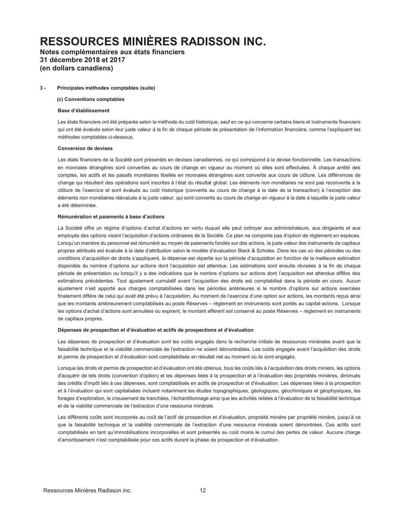**Notes complémentaires aux états financiers 31 décembre 2018 et 2017 (en dollars canadiens)** 

#### **3 - Principales méthodes comptables (suite)**

#### **(c) Conventions comptables**

#### **Base d'établissement**

Les états financiers ont été préparés selon la méthode du coût historique, sauf en ce qui concerne certains biens et instruments financiers qui ont été évalués selon leur juste valeur à la fin de chaque période de présentation de l'information financière, comme l'expliquent les méthodes comptables ci-dessous.

#### **Conversion de devises**

Les états financiers de la Société sont présentés en devises canadiennes, ce qui correspond à la devise fonctionnelle. Les transactions en monnaies étrangères sont converties au cours de change en vigueur au moment où elles sont effectuées. À chaque arrêté des comptes, les actifs et les passifs monétaires libellés en monnaies étrangères sont convertis aux cours de clôture. Les différences de change qui résultent des opérations sont inscrites à l'état du résultat global. Les éléments non monétaires ne sont pas reconvertis à la clôture de l'exercice et sont évalués au coût historique (convertis au cours de change à la date de la transaction) à l'exception des éléments non monétaires réévalués à la juste valeur, qui sont convertis au cours de change en vigueur à la date à laquelle la juste valeur a été déterminée.

#### **Rémunération et paiements à base d'actions**

La Société offre un régime d'options d'achat d'actions en vertu duquel elle peut octroyer aux administrateurs, aux dirigeants et aux employés des options visant l'acquisition d'actions ordinaires de la Société. Ce plan ne comporte pas d'option de règlement en espèces. Lorsqu'un membre du personnel est rémunéré au moyen de paiements fondés sur des actions, la juste valeur des instruments de capitaux propres attribués est évaluée à la date d'attribution selon le modèle d'évaluation Black & Scholes. Dans les cas où des périodes ou des conditions d'acquisition de droits s'appliquent, la dépense est répartie sur la période d'acquisition en fonction de la meilleure estimation disponible du nombre d'options sur actions dont l'acquisition est attendue. Les estimations sont ensuite révisées à la fin de chaque période de présentation ou lorsqu'il y a des indications que le nombre d'options sur actions dont l'acquisition est attendue diffère des estimations précédentes. Tout ajustement cumulatif avant l'acquisition des droits est comptabilisé dans la période en cours. Aucun ajustement n'est apporté aux charges comptabilisées dans les périodes antérieures si le nombre d'options sur actions exercées finalement diffère de celui qui avait été prévu à l'acquisition. Au moment de l'exercice d'une option sur actions, les montants reçus ainsi que les montants antérieurement comptabilisés au poste Réserves - règlement en instruments sont portés au capital-actions. Lorsque les options d'achat d'actions sont annulées ou expirent, le montant afférent est conservé au poste Réserves - règlement en instruments de capitaux propres.

#### **Dépenses de prospection et d'évaluation et actifs de prospections et d'évaluation**

Les dépenses de prospection et d'évaluation sont les coûts engagés dans la recherche initiale de ressources minérales avant que la faisabilité technique et la viabilité commerciale de l'extraction ne soient démontrables. Les coûts engagés avant l'acquisition des droits et permis de prospection et d'évaluation sont comptabilisés en résultat net au moment où ils sont engagés.

Lorsque les droits et permis de prospection et d'évaluation ont été obtenus, tous les coûts liés à l'acquisition des droits miniers, les options d'acquérir de tels droits (convention d'option) et les dépenses liées à la prospection et à l'évaluation des propriétés minières, diminués des crédits d'impôt liés à ces dépenses, sont comptabilisés en actifs de prospection et d'évaluation. Les dépenses liées à la prospection et à l'évaluation qui sont capitalisées incluent notamment les études topographiques, géologiques, géochimiques et géophysiques, les forages d'exploration, le creusement de tranchées, l'échantillonnage ainsi que les activités reliées à l'évaluation de la faisabilité technique et de la viabilité commerciale de l'extraction d'une ressource minérale.

Les différents coûts sont incorporés au coût de l'actif de prospection et d'évaluation, propriété minière par propriété minière, jusqu'à ce que la faisabilité technique et la viabilité commerciale de l'extraction d'une ressource minérale soient démontrées. Ces actifs sont comptabilisés en tant qu'immobilisations incorporelles et sont présentés au coût moins le cumul des pertes de valeur. Aucune charge d'amortissement n'est comptabilisée pour ces actifs durant la phase de prospection et d'évaluation.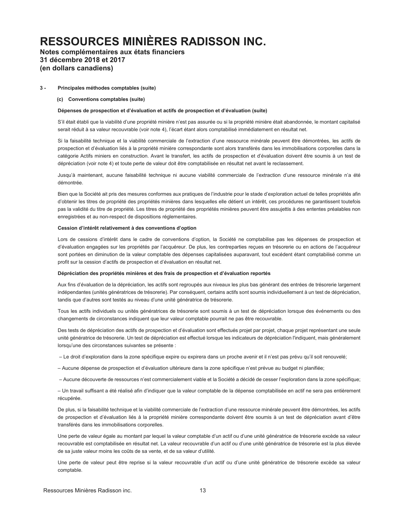# **Notes complémentaires aux états financiers 31 décembre 2018 et 2017 (en dollars canadiens)**

#### **3 - Principales méthodes comptables (suite)**

#### **(c) Conventions comptables (suite)**

#### Dépenses de prospection et d'évaluation et actifs de prospection et d'évaluation (suite)

S'il était établi que la viabilité d'une propriété minière n'est pas assurée ou si la propriété minière était abandonnée, le montant capitalisé serait réduit à sa valeur recouvrable (voir note 4), l'écart étant alors comptabilisé immédiatement en résultat net.

Si la faisabilité technique et la viabilité commerciale de l'extraction d'une ressource minérale peuvent être démontrées, les actifs de prospection et d'évaluation liés à la propriété minière correspondante sont alors transférés dans les immobilisations corporelles dans la catégorie Actifs miniers en construction. Avant le transfert, les actifs de prospection et d'évaluation doivent être soumis à un test de dépréciation (voir note 4) et toute perte de valeur doit être comptabilisée en résultat net avant le reclassement.

Jusqu'à maintenant, aucune faisabilité technique ni aucune viabilité commerciale de l'extraction d'une ressource minérale n'a été démontrée.

Bien que la Société ait pris des mesures conformes aux pratiques de l'industrie pour le stade d'exploration actuel de telles propriétés afin d'obtenir les titres de propriété des propriétés minières dans lesquelles elle détient un intérêt, ces procédures ne garantissent toutefois pas la validité du titre de propriété. Les titres de propriété des propriétés minières peuvent être assujettis à des ententes préalables non enregistrées et au non-respect de dispositions réglementaires.

#### Cession d'intérêt relativement à des conventions d'option

Lors de cessions d'intérêt dans le cadre de conventions d'option, la Société ne comptabilise pas les dépenses de prospection et d'évaluation engagées sur les propriétés par l'acquéreur. De plus, les contreparties reçues en trésorerie ou en actions de l'acquéreur sont portées en diminution de la valeur comptable des dépenses capitalisées auparavant, tout excédent étant comptabilisé comme un profit sur la cession d'actifs de prospection et d'évaluation en résultat net.

#### Dépréciation des propriétés minières et des frais de prospection et d'évaluation reportés

Aux fins d'évaluation de la dépréciation, les actifs sont regroupés aux niveaux les plus bas générant des entrées de trésorerie largement indépendantes (unités génératrices de trésorerie). Par conséquent, certains actifs sont soumis individuellement à un test de dépréciation, tandis que d'autres sont testés au niveau d'une unité génératrice de trésorerie.

Tous les actifs individuels ou unités génératrices de trésorerie sont soumis à un test de dépréciation lorsque des événements ou des changements de circonstances indiquent que leur valeur comptable pourrait ne pas être recouvrable.

Des tests de dépréciation des actifs de prospection et d'évaluation sont effectués projet par projet, chaque projet représentant une seule unité génératrice de trésorerie. Un test de dépréciation est effectué lorsque les indicateurs de dépréciation l'indiquent, mais généralement lorsqu'une des circonstances suivantes se présente :

- Le droit d'exploration dans la zone spécifique expire ou expirera dans un proche avenir et il n'est pas prévu qu'il soit renouvelé;

- Aucune dépense de prospection et d'évaluation ultérieure dans la zone spécifique n'est prévue au budget ni planifiée;

 $-$  Aucune découverte de ressources n'est commercialement viable et la Société a décidé de cesser l'exploration dans la zone spécifique;

 $-$  Un travail suffisant a été réalisé afin d'indiquer que la valeur comptable de la dépense comptabilisée en actif ne sera pas entièrement récupérée.

De plus, si la faisabilité technique et la viabilité commerciale de l'extraction d'une ressource minérale peuvent être démontrées, les actifs de prospection et d'évaluation liés à la propriété minière correspondante doivent être soumis à un test de dépréciation avant d'être transférés dans les immobilisations corporelles.

Une perte de valeur égale au montant par lequel la valeur comptable d'un actif ou d'une unité génératrice de trésorerie excède sa valeur recouvrable est comptabilisée en résultat net. La valeur recouvrable d'un actif ou d'une unité génératrice de trésorerie est la plus élevée de sa juste valeur moins les coûts de sa vente, et de sa valeur d'utilité.

Une perte de valeur peut être reprise si la valeur recouvrable d'un actif ou d'une unité génératrice de trésorerie excède sa valeur comptable.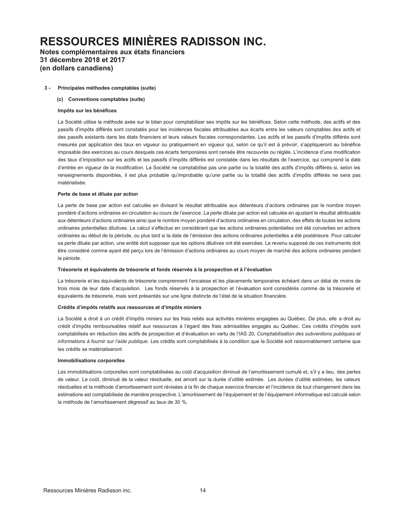# **Notes complémentaires aux états financiers 31 décembre 2018 et 2017 (en dollars canadiens)**

#### **3 - Principales méthodes comptables (suite)**

#### **(c) Conventions comptables (suite)**

#### **Impôts sur les bénéfices**

La Société utilise la méthode axée sur le bilan pour comptabiliser ses impôts sur les bénéfices. Selon cette méthode, des actifs et des passifs d'impôts différés sont constatés pour les incidences fiscales attribuables aux écarts entre les valeurs comptables des actifs et des passifs existants dans les états financiers et leurs valeurs fiscales correspondantes. Les actifs et les passifs d'impôts différés sont mesurés par application des taux en vigueur ou pratiquement en vigueur qui, selon ce qu'il est à prévoir, s'appliqueront au bénéfice imposable des exercices au cours desquels ces écarts temporaires sont censés être recouvrés ou réglés. L'incidence d'une modification des taux d'imposition sur les actifs et les passifs d'impôts différés est constatée dans les résultats de l'exercice, qui comprend la date d'entrée en vigueur de la modification. La Société ne comptabilise pas une partie ou la totalité des actifs d'impôts différés si, selon les renseignements disponibles, il est plus probable qu'improbable qu'une partie ou la totalité des actifs d'impôts différés ne sera pas matérialisée.

#### **Perte de base et diluée par action**

La perte de base par action est calculée en divisant le résultat attribuable aux détenteurs d'actions ordinaires par le nombre moyen pondéré d'actions ordinaires en circulation au cours de l'exercice. La perte diluée par action est calculée en ajustant le résultat attribuable aux détenteurs d'actions ordinaires ainsi que le nombre moyen pondéré d'actions ordinaires en circulation, des effets de toutes les actions ordinaires potentielles dilutives. Le calcul s'effectue en considérant que les actions ordinaires potentielles ont été converties en actions ordinaires au début de la période, ou plus tard si la date de l'émission des actions ordinaires potentielles a été postérieure. Pour calculer sa perte diluée par action, une entité doit supposer que les options dilutives ont été exercées. Le revenu supposé de ces instruments doit être considéré comme ayant été perçu lors de l'émission d'actions ordinaires au cours moyen de marché des actions ordinaires pendant la période.

#### Trésorerie et équivalents de trésorerie et fonds réservés à la prospection et à l'évaluation

La trésorerie et les équivalents de trésorerie comprennent l'encaisse et les placements temporaires échéant dans un délai de moins de trois mois de leur date d'acquisition. Les fonds réservés à la prospection et l'évaluation sont considérés comme de la trésorerie et équivalents de trésorerie, mais sont présentés sur une ligne distincte de l'état de la situation financière.

### **Crédits d'impôts relatifs aux ressources et d'impôts miniers**

La Société a droit à un crédit d'impôts miniers sur les frais reliés aux activités minières engagées au Québec. De plus, elle a droit au crédit d'impôts remboursables relatif aux ressources à l'égard des frais admissibles engagés au Québec. Ces crédits d'impôts sont comptabilisés en réduction des actifs de prospection et d'évaluation en vertu de l'IAS 20, *Comptabilisation des subventions publiques et informations à fournir sur l'aide publique*. Les crédits sont comptabilisés à la condition que la Société soit raisonnablement certaine que les crédits se matérialiseront.

#### **Immobilisations corporelles**

Les immobilisations corporelles sont comptabilisées au coût d'acquisition diminué de l'amortissement cumulé et, s'il y a lieu, des pertes de valeur. Le coût, diminué de la valeur résiduelle, est amorti sur la durée d'utilité estimée. Les durées d'utilité estimées, les valeurs résiduelles et la méthode d'amortissement sont révisées à la fin de chaque exercice financier et l'incidence de tout changement dans les estimations est comptabilisée de manière prospective. L'amortissement de l'équipement et de l'équipement informatique est calculé selon la méthode de l'amortissement dégressif au taux de 30 %.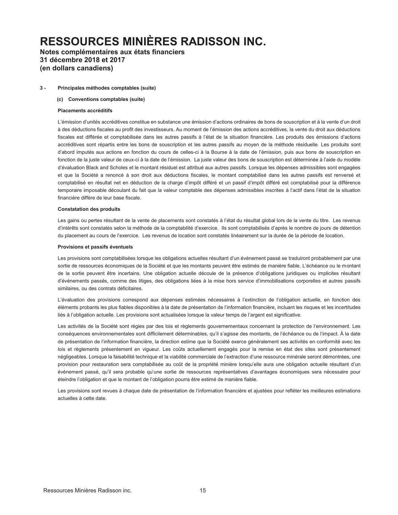# Notes complémentaires aux états financiers 31 décembre 2018 et 2017 (en dollars canadiens)

#### $3 -$ Principales méthodes comptables (suite)

#### (c) Conventions comptables (suite)

#### **Placements accréditifs**

L'émission d'unités accréditives constitue en substance une émission d'actions ordinaires de bons de souscription et à la vente d'un droit à des déductions fiscales au profit des investisseurs. Au moment de l'émission des actions accréditives, la vente du droit aux déductions fiscales est différée et comptabilisée dans les autres passifs à l'état de la situation financière. Les produits des émissions d'actions accréditives sont répartis entre les bons de souscription et les autres passifs au moyen de la méthode résiduelle. Les produits sont d'abord imputés aux actions en fonction du cours de celles-ci à la Bourse à la date de l'émission, puis aux bons de souscription en fonction de la juste valeur de ceux-ci à la date de l'émission. La juste valeur des bons de souscription est déterminée à l'aide du modèle d'évaluation Black and Scholes et le montant résiduel est attribué aux autres passifs. Lorsque les dépenses admissibles sont engagées et que la Société a renoncé à son droit aux déductions fiscales, le montant comptabilisé dans les autres passifs est renversé et comptabilisé en résultat net en déduction de la charge d'impôt différé et un passif d'impôt différé est comptabilisé pour la différence temporaire imposable découlant du fait que la valeur comptable des dépenses admissibles inscrites à l'actif dans l'état de la situation financière diffère de leur base fiscale.

#### **Constatation des produits**

Les gains ou pertes résultant de la vente de placements sont constatés à l'état du résultat global lors de la vente du titre. Les revenus d'intérêts sont constatés selon la méthode de la comptabilité d'exercice. Ils sont comptabilisés d'après le nombre de jours de détention du placement au cours de l'exercice. Les revenus de location sont constatés linéairement sur la durée de la période de location.

#### Provisions et passifs éventuels

Les provisions sont comptabilisées lorsque les obligations actuelles résultant d'un événement passé se traduiront probablement par une sortie de ressources économiques de la Société et que les montants peuvent être estimés de manière fiable. L'échéance ou le montant de la sortie peuvent être incertains. Une obligation actuelle découle de la présence d'obligations juridiques ou implicites résultant d'événements passés, comme des litiges, des obligations liées à la mise hors service d'immobilisations corporelles et autres passifs similaires, ou des contrats déficitaires.

L'évaluation des provisions correspond aux dépenses estimées nécessaires à l'extinction de l'obligation actuelle, en fonction des éléments probants les plus fiables disponibles à la date de présentation de l'information financière, incluant les risques et les incertitudes liés à l'obligation actuelle. Les provisions sont actualisées lorsque la valeur temps de l'argent est significative.

Les activités de la Société sont régies par des lois et règlements gouvernementaux concernant la protection de l'environnement. Les conséquences environnementales sont difficilement déterminables, qu'il s'agisse des montants, de l'échéance ou de l'impact. À la date de présentation de l'information financière, la direction estime que la Société exerce généralement ses activités en conformité avec les lois et règlements présentement en vigueur. Les coûts actuellement engagés pour la remise en état des sites sont présentement négligeables. Lorsque la faisabilité technique et la viabilité commerciale de l'extraction d'une ressource minérale seront démontrées, une provision pour restauration sera comptabilisée au coût de la propriété minière lorsqu'elle aura une obligation actuelle résultant d'un événement passé, qu'il sera probable qu'une sortie de ressources représentatives d'avantages économiques sera nécessaire pour éteindre l'obligation et que le montant de l'obligation pourra être estimé de manière fiable.

Les provisions sont revues à chaque date de présentation de l'information financière et ajustées pour refléter les meilleures estimations actuelles à cette date.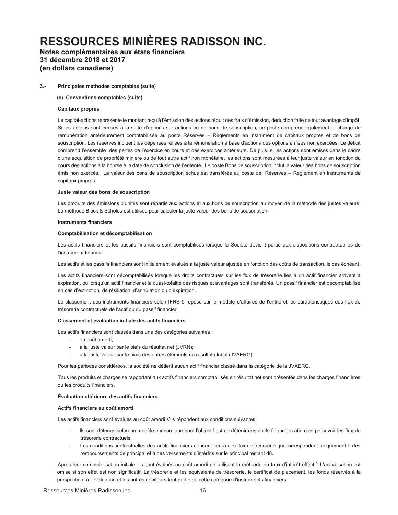# **Notes complémentaires aux états financiers 31 décembre 2018 et 2017 (en dollars canadiens)**

#### **3.- Principales méthodes comptables (suite)**

#### **(c) Conventions comptables (suite)**

#### **Capitaux propres**

Le capital-actions représente le montant reçu à l'émission des actions réduit des frais d'émission, déduction faite de tout avantage d'impôt. Si les actions sont émises à la suite d'options sur actions ou de bons de souscription, ce poste comprend également la charge de rémunération antérieurement comptabilisée au poste Réserves - Règlements en instrument de capitaux propres et de bons de souscription. Les réserves incluent les dépenses reliées à la rémunération à base d'actions des options émises non exercées. Le déficit comprend l'ensemble des pertes de l'exercice en cours et des exercices antérieurs. De plus, si les actions sont émises dans le cadre d'une acquisition de propriété minière ou de tout autre actif non monétaire, les actions sont mesurées à leur juste valeur en fonction du cours des actions à la bourse à la date de conclusion de l'entente. Le poste Bons de souscription inclut la valeur des bons de souscription émis non exercés. La valeur des bons de souscription échus est transférée au poste de Réserves - Règlement en instruments de capitaux propres.

#### **Juste valeur des bons de souscription**

Les produits des émissions d'unités sont répartis aux actions et aux bons de souscription au moyen de la méthode des justes valeurs. La méthode Black & Scholes est utilisée pour calculer la juste valeur des bons de souscription.

#### **Instruments financiers**

#### **Comptabilisation et décomptabilisation**

Les actifs financiers et les passifs financiers sont comptabilisés lorsque la Société devient partie aux dispositions contractuelles de l'instrument financier.

Les actifs et les passifs financiers sont initialement évalués à la juste valeur ajustée en fonction des coûts de transaction, le cas échéant.

Les actifs financiers sont décomptabilisés lorsque les droits contractuels sur les flux de trésorerie liés à un actif financier arrivent à expiration, ou lorsqu'un actif financier et la quasi-totalité des risques et avantages sont transférés. Un passif financier est décomptabilisé en cas d'extinction, de résiliation, d'annulation ou d'expiration.

Le classement des instruments financiers selon IFRS 9 repose sur le modèle d'affaires de l'entité et les caractéristiques des flux de trésorerie contractuels de l'actif ou du passif financier.

#### **Classement et évaluation initiale des actifs financiers**

Les actifs financiers sont classés dans une des catégories suivantes :

- au coût amorti:
- à la juste valeur par le biais du résultat net (JVRN);
- à la juste valeur par le biais des autres éléments du résultat global (JVAERG).

Pour les périodes considérées, la société ne détient aucun actif financier classé dans la catégorie de la JVAERG.

Tous les produits et charges se rapportant aux actifs financiers comptabilisés en résultat net sont présentés dans les charges financières ou les produits financiers.

### **Évaluation ultérieure des actifs financiers**

#### **Actifs financiers au coût amorti**

Les actifs financiers sont évalués au coût amorti s'ils répondent aux conditions suivantes:

- lls sont détenus selon un modèle économique dont l'objectif est de détenir des actifs financiers afin d'en percevoir les flux de trésorerie contractuels;
- Les conditions contractuelles des actifs financiers donnent lieu à des flux de trésorerie qui correspondent uniquement à des remboursements de principal et à des versements d'intérêts sur le principal restant dû.

Après leur comptabilisation initiale, ils sont évalués au coût amorti en utilisant la méthode du taux d'intérêt effectif. L'actualisation est omise si son effet est non significatif. La trésorerie et les équivalents de trésorerie, le certificat de placement, les fonds réservés à la prospection, à l'évaluation et les autres débiteurs font partie de cette catégorie d'instruments financiers.

Ressources Minières Radisson inc. 16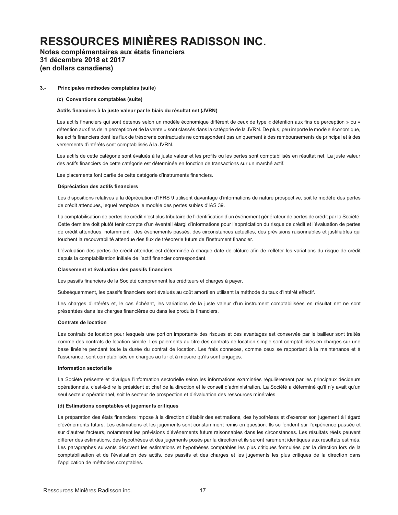# Notes complémentaires aux états financiers 31 décembre 2018 et 2017 (en dollars canadiens)

#### $3 -$ Principales méthodes comptables (suite)

(c) Conventions comptables (suite)

#### Actifs financiers à la juste valeur par le biais du résultat net (JVRN)

Les actifs financiers qui sont détenus selon un modèle économique différent de ceux de type « détention aux fins de perception » ou « détention aux fins de la perception et de la vente » sont classés dans la catégorie de la JVRN. De plus, peu importe le modèle économique, les actifs financiers dont les flux de trésorerie contractuels ne correspondent pas uniquement à des remboursements de principal et à des versements d'intérêts sont comptabilisés à la JVRN.

Les actifs de cette catégorie sont évalués à la juste valeur et les profits ou les pertes sont comptabilisés en résultat net. La juste valeur des actifs financiers de cette catégorie est déterminée en fonction de transactions sur un marché actif.

Les placements font partie de cette catégorie d'instruments financiers.

#### Dépréciation des actifs financiers

Les dispositions relatives à la dépréciation d'IFRS 9 utilisent davantage d'informations de nature prospective, soit le modèle des pertes de crédit attendues, lequel remplace le modèle des pertes subies d'IAS 39.

La comptabilisation de pertes de crédit n'est plus tributaire de l'identification d'un événement générateur de pertes de crédit par la Société. Cette dernière doit plutôt tenir compte d'un éventail élargi d'informations pour l'appréciation du risque de crédit et l'évaluation de pertes de crédit attendues, notamment : des événements passés, des circonstances actuelles, des prévisions raisonnables et justifiables qui touchent la recouvrabilité attendue des flux de trésorerie futurs de l'instrument financier.

L'évaluation des pertes de crédit attendus est déterminée à chaque date de clôture afin de refléter les variations du risque de crédit depuis la comptabilisation initiale de l'actif financier correspondant.

#### Classement et évaluation des passifs financiers

Les passifs financiers de la Société comprennent les créditeurs et charges à payer.

Subséquemment, les passifs financiers sont évalués au coût amorti en utilisant la méthode du taux d'intérêt effectif.

Les charges d'intérêts et, le cas échéant, les variations de la juste valeur d'un instrument comptabilisées en résultat net ne sont présentées dans les charges financières ou dans les produits financiers.

#### **Contrats de location**

Les contrats de location pour lesquels une portion importante des risques et des avantages est conservée par le bailleur sont traités comme des contrats de location simple. Les paiements au titre des contrats de location simple sont comptabilisés en charges sur une base linéaire pendant toute la durée du contrat de location. Les frais connexes, comme ceux se rapportant à la maintenance et à l'assurance, sont comptabilisés en charges au fur et à mesure qu'ils sont engagés.

#### Information sectorielle

La Société présente et divulgue l'information sectorielle selon les informations examinées régulièrement par les principaux décideurs opérationnels, c'est-à-dire le président et chef de la direction et le conseil d'administration. La Société a déterminé qu'il n'y avait qu'un seul secteur opérationnel, soit le secteur de prospection et d'évaluation des ressources minérales.

#### (d) Estimations comptables et jugements critiques

La préparation des états financiers impose à la direction d'établir des estimations, des hypothèses et d'exercer son jugement à l'égard d'événements futurs. Les estimations et les jugements sont constamment remis en question. Ils se fondent sur l'expérience passée et sur d'autres facteurs, notamment les prévisions d'événements futurs raisonnables dans les circonstances. Les résultats réels peuvent différer des estimations, des hypothèses et des jugements posés par la direction et ils seront rarement identiques aux résultats estimés. Les paragraphes suivants décrivent les estimations et hypothèses comptables les plus critiques formulées par la direction lors de la comptabilisation et de l'évaluation des actifs, des passifs et des charges et les jugements les plus critiques de la direction dans l'application de méthodes comptables.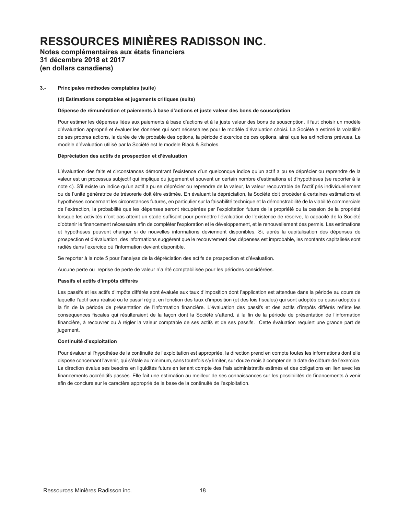# Notes complémentaires aux états financiers 31 décembre 2018 et 2017 (en dollars canadiens)

#### $3 -$ Principales méthodes comptables (suite)

#### (d) Estimations comptables et jugements critiques (suite)

#### Dépense de rémunération et paiements à base d'actions et juste valeur des bons de souscription

Pour estimer les dépenses liées aux paiements à base d'actions et à la juste valeur des bons de souscription, il faut choisir un modèle d'évaluation approprié et évaluer les données qui sont nécessaires pour le modèle d'évaluation choisi. La Société a estimé la volatilité de ses propres actions, la durée de vie probable des options, la période d'exercice de ces options, ainsi que les extinctions prévues. Le modèle d'évaluation utilisé par la Société est le modèle Black & Scholes.

#### Dépréciation des actifs de prospection et d'évaluation

L'évaluation des faits et circonstances démontrant l'existence d'un quelconque indice qu'un actif a pu se déprécier ou reprendre de la valeur est un processus subjectif qui implique du jugement et souvent un certain nombre d'estimations et d'hypothèses (se reporter à la note 4). S'il existe un indice qu'un actif a pu se déprécier ou reprendre de la valeur, la valeur recouvrable de l'actif pris individuellement ou de l'unité génératrice de trésorerie doit être estimée. En évaluant la dépréciation, la Société doit procéder à certaines estimations et hypothèses concernant les circonstances futures, en particulier sur la faisabilité technique et la démonstrabilité de la viabilité commerciale de l'extraction, la probabilité que les dépenses seront récupérées par l'exploitation future de la propriété ou la cession de la propriété lorsque les activités n'ont pas atteint un stade suffisant pour permettre l'évaluation de l'existence de réserve, la capacité de la Société d'obtenir le financement nécessaire afin de compléter l'exploration et le développement, et le renouvellement des permis. Les estimations et hypothèses peuvent changer si de nouvelles informations deviennent disponibles. Si, après la capitalisation des dépenses de prospection et d'évaluation, des informations suggèrent que le recouvrement des dépenses est improbable, les montants capitalisés sont radiés dans l'exercice où l'information devient disponible.

Se reporter à la note 5 pour l'analyse de la dépréciation des actifs de prospection et d'évaluation.

Aucune perte ou reprise de perte de valeur n'a été comptabilisée pour les périodes considérées.

### Passifs et actifs d'impôts différés

Les passifs et les actifs d'impôts différés sont évalués aux taux d'imposition dont l'application est attendue dans la période au cours de laquelle l'actif sera réalisé ou le passif réglé, en fonction des taux d'imposition (et des lois fiscales) qui sont adoptés ou quasi adoptés à la fin de la période de présentation de l'information financière. L'évaluation des passifs et des actifs d'impôts différés reflète les conséquences fiscales qui résulteraient de la façon dont la Société s'attend, à la fin de la période de présentation de l'information financière, à recouvrer ou à régler la valeur comptable de ses actifs et de ses passifs. Cette évaluation requiert une grande part de jugement.

### Continuité d'exploitation

Pour évaluer si l'hypothèse de la continuité de l'exploitation est appropriée, la direction prend en compte toutes les informations dont elle dispose concernant l'avenir, qui s'étale au minimum, sans toutefois s'y limiter, sur douze mois à compter de la date de clôture de l'exercice. La direction évalue ses besoins en liquidités futurs en tenant compte des frais administratifs estimés et des obligations en lien avec les financements accréditifs passés. Elle fait une estimation au meilleur de ses connaissances sur les possibilités de financements à venir afin de conclure sur le caractère approprié de la base de la continuité de l'exploitation.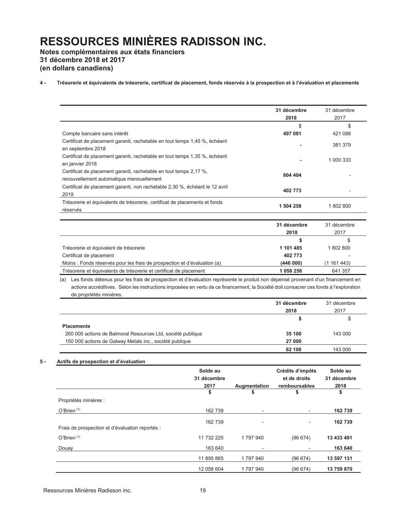**Notes complémentaires aux états financiers 31 décembre 2018 et 2017 (en dollars canadiens)** 

### 4 - Trésorerie et équivalents de trésorerie, certificat de placement, fonds réservés à la prospection et à l'évaluation et placements

|                                                                                                               | 31 décembre<br>2018 | 31 décembre<br>2017 |
|---------------------------------------------------------------------------------------------------------------|---------------------|---------------------|
|                                                                                                               | \$                  | \$                  |
| Compte bancaire sans intérêt                                                                                  | 497 081             | 421 088             |
| Certificat de placement garanti, rachetable en tout temps 1,45 %, échéant<br>en septembre 2018                | ۰                   | 381 379             |
| Certificat de placement garanti, rachetable en tout temps 1,35 %, échéant<br>en janvier 2018                  | ۰                   | 1 000 333           |
| Certificat de placement garanti, rachetable en tout temps 2,17 %,<br>renouvellement automatique mensuellement | 604 404             |                     |
| Certificat de placement garanti, non rachetable 2,30 %, échéant le 12 avril<br>2019                           | 402 773             | ٠                   |
| Trésorerie et équivalents de trésorerie, certificat de placements et fonds<br>réservés                        | 1 504 258           | 1802800             |
|                                                                                                               | 31 décembre         | 31 décembre         |

| <b>JI UCLUIIDIC</b> | <u>JI UCLCIIIDIC</u>     |
|---------------------|--------------------------|
| 2018                | 2017                     |
|                     | S                        |
| 1 101 485           | 1 802 800                |
| 402 773             | $\overline{\phantom{0}}$ |
| (446000)            | (1 161 443)              |
| 1 058 258           | 641 357                  |
|                     |                          |

(a) Les fonds détenus pour les frais de prospection et d'évaluation représente le produit non dépensé provenant d'un financement en actions accréditives. Selon les instructions imposées en vertu de ce financement, la Société doit consacrer ces fonds à l'exploration de propriétés minières.

|                                                             | 31 décembre | 31 décembre |
|-------------------------------------------------------------|-------------|-------------|
|                                                             | 2018        | 2017        |
|                                                             | S           | S           |
| <b>Placements</b>                                           |             |             |
| 260 000 actions de Balmoral Resources Ltd, société publique | 35 100      | 143 000     |
| 150 000 actions de Galway Metals inc., société publique     | 27 000      |             |
|                                                             | 62 100      | 143 000     |

### **5** - **Actifs de prospection et d'évaluation**

|                                                 | Solde au<br>31 décembre<br>2017<br>\$ | Augmentation<br>\$       | Crédits d'impôts<br>et de droits<br>remboursables<br>\$ | Solde au<br>31 décembre<br>2018<br>\$ |
|-------------------------------------------------|---------------------------------------|--------------------------|---------------------------------------------------------|---------------------------------------|
| Propriétés minières :                           |                                       |                          |                                                         |                                       |
| $O'$ Brien $(1)$                                | 162 739                               | $\overline{\phantom{a}}$ | $\overline{\phantom{a}}$                                | 162 739                               |
| Frais de prospection et d'évaluation reportés : | 162 739                               | $\overline{\phantom{a}}$ | Ξ.                                                      | 162 739                               |
| O'Brien <sup>(1)</sup>                          | 11 732 225                            | 1797940                  | (96674)                                                 | 13 433 491                            |
| Douay                                           | 163 640                               | -                        | $\overline{\phantom{a}}$                                | 163 640                               |
|                                                 | 11 895 865                            | 1797940                  | (96674)                                                 | 13 597 131                            |
|                                                 | 12 058 604                            | 1797940                  | (96674)                                                 | 13 759 870                            |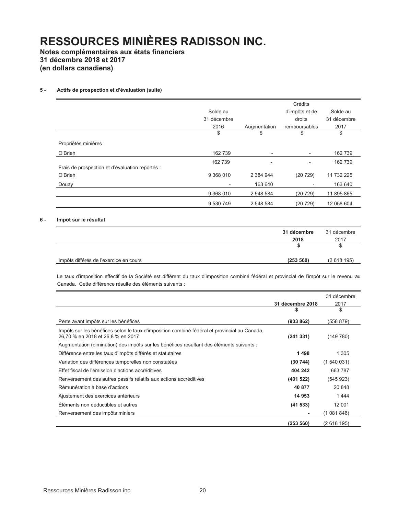**Notes complémentaires aux états financiers 31 décembre 2018 et 2017 (en dollars canadiens)** 

### **5** - **Actifs de prospection et d'évaluation (suite)**

|                                                 |                          |                          | Crédits                  |             |
|-------------------------------------------------|--------------------------|--------------------------|--------------------------|-------------|
|                                                 | Solde au                 |                          | d'impôts et de           | Solde au    |
|                                                 | 31 décembre              |                          | droits                   | 31 décembre |
|                                                 | 2016                     | Augmentation             | remboursables            | 2017        |
|                                                 | \$                       | \$                       | \$                       | \$          |
| Propriétés minières :                           |                          |                          |                          |             |
| O'Brien                                         | 162 739                  | $\overline{\phantom{a}}$ | $\overline{\phantom{a}}$ | 162 739     |
|                                                 | 162 739                  | $\overline{\phantom{a}}$ | $\overline{\phantom{a}}$ | 162 739     |
| Frais de prospection et d'évaluation reportés : |                          |                          |                          |             |
| O'Brien                                         | 9 368 010                | 2 384 944                | (20729)                  | 11 732 225  |
| Douay                                           | $\overline{\phantom{0}}$ | 163 640                  |                          | 163 640     |
|                                                 | 9 368 010                | 2 548 584                | (20729)                  | 11 895 865  |
|                                                 | 9 530 749                | 2 548 584                | (20729)                  | 12 058 604  |

### **6 - Impôt sur le résultat**

|                                        | 31 décembre | 31 décembre |
|----------------------------------------|-------------|-------------|
|                                        | 2018        | 2017        |
|                                        |             | S           |
| Impôts différés de l'exercice en cours | (253 560)   | (2618195)   |

Le taux d'imposition effectif de la Société est différent du taux d'imposition combiné fédéral et provincial de l'impôt sur le revenu au Canada. Cette différence résulte des éléments suivants :

|                                                                                                                                   |                  | 31 décembre |
|-----------------------------------------------------------------------------------------------------------------------------------|------------------|-------------|
|                                                                                                                                   | 31 décembre 2018 | 2017        |
|                                                                                                                                   |                  | \$          |
| Perte avant impôts sur les bénéfices                                                                                              | (903 862)        | (558 879)   |
| Impôts sur les bénéfices selon le taux d'imposition combiné fédéral et provincial au Canada,<br>26,70 % en 2018 et 26,8 % en 2017 | (241331)         | (149780)    |
| Augmentation (diminution) des impôts sur les bénéfices résultant des éléments suivants :                                          |                  |             |
| Différence entre les taux d'impôts différés et statutaires                                                                        | 1498             | 1 3 0 5     |
| Variation des différences temporelles non constatées                                                                              | (30744)          | (1540031)   |
| Effet fiscal de l'émission d'actions accréditives                                                                                 | 404 242          | 663 787     |
| Renversement des autres passifs relatifs aux actions accréditives                                                                 | (401522)         | (545923)    |
| Rémunération à base d'actions                                                                                                     | 40 877           | 20 848      |
| Ajustement des exercices antérieurs                                                                                               | 14 953           | 1444        |
| Éléments non déductibles et autres                                                                                                | (41533)          | 12 001      |
| Renversement des impôts miniers                                                                                                   |                  | (1081846)   |
|                                                                                                                                   | (253 560)        | (2618195)   |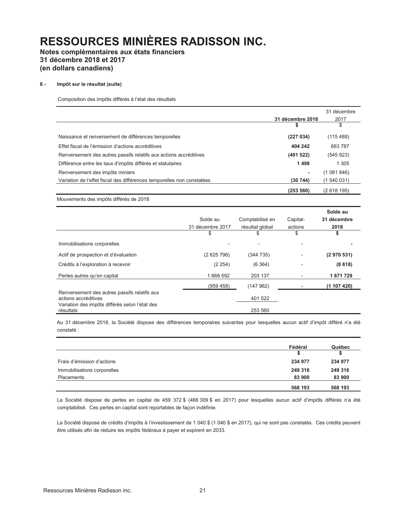**Notes complémentaires aux états financiers 31 décembre 2018 et 2017 (en dollars canadiens)** 

#### **6 - Impôt sur le résultat (suite)**

Composition des impôts différés à l'état des résultats

|                                                                        |                  | 31 décembre |
|------------------------------------------------------------------------|------------------|-------------|
|                                                                        | 31 décembre 2018 | 2017        |
|                                                                        |                  | \$          |
| Naissance et renversement de différences temporelles                   | (227034)         | (115 488)   |
| Effet fiscal de l'émission d'actions accréditives                      | 404 242          | 663 787     |
| Renversement des autres passifs relatifs aux actions accréditives      | (401522)         | (545923)    |
| Différence entre les taux d'impôts différés et statutaires             | 1498             | 1 3 0 5     |
| Renversement des impôts miniers                                        |                  | (1081846)   |
| Variation de l'effet fiscal des différences temporelles non constatées | (30744)          | (1 540 031) |
|                                                                        | (253 560)        | (2618195)   |

Mouvements des impôts différés de 2018

|                                                                                                                        |                  |                 |                          | Solde au    |
|------------------------------------------------------------------------------------------------------------------------|------------------|-----------------|--------------------------|-------------|
|                                                                                                                        | Solde au         | Comptabilisé en | Capital-                 | 31 décembre |
|                                                                                                                        | 31 décembre 2017 | résultat global | actions                  | 2018        |
|                                                                                                                        | \$               | \$              | \$                       | \$          |
| Immobilisations corporelles                                                                                            |                  |                 | $\overline{\phantom{0}}$ |             |
| Actif de prospection et d'évaluation                                                                                   | (2625796)        | (344735)        | $\overline{\phantom{a}}$ | (2970531)   |
| Crédits à l'exploration à recevoir                                                                                     | (2 254)          | (6364)          |                          | (8618)      |
| Pertes autres qu'en capital                                                                                            | 1 668 592        | 203 137         | $\overline{\phantom{a}}$ | 1871729     |
|                                                                                                                        | (959 458)        | (147962)        |                          | (1107420)   |
| Renversement des autres passifs relatifs aux<br>actions accréditives<br>Variation des impôts différés selon l'état des |                  | 401 522         |                          |             |
| résultats                                                                                                              |                  | 253 560         |                          |             |

Au 31 décembre 2018, la Société dispose des différences temporaires suivantes pour lesquelles aucun actif d'impôt différé n'a été constaté :

|                             | Fédéral | Québec  |
|-----------------------------|---------|---------|
|                             |         | S       |
| Frais d'émission d'actions  | 234 977 | 234 977 |
| Immobilisations corporelles | 249 316 | 249 316 |
| Placements                  | 83 900  | 83 900  |
|                             | 568 193 | 568 193 |

La Société dispose de pertes en capital de 459 372 \$ (466 309 \$ en 2017) pour lesquelles aucun actif d'impôts différés n'a été comptabilisé. Ces pertes en capital sont reportables de façon indéfinie.

La Société dispose de crédits d'impôts à l'investissement de 1 040 \$ (1 040 \$ en 2017), qui ne sont pas constatés. Ces crédits peuvent être utilisés afin de réduire les impôts fédéraux à payer et expirent en 2033.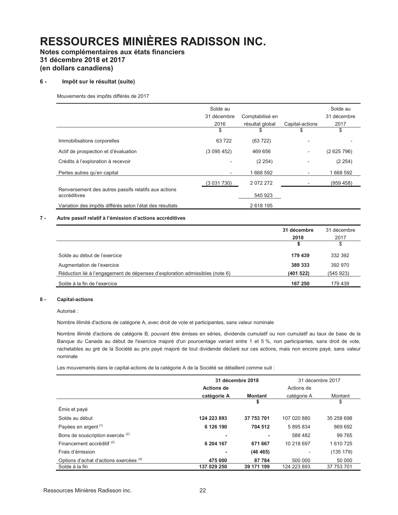# Notes complémentaires aux états financiers 31 décembre 2018 et 2017 (en dollars canadiens)

#### $6 -$ Impôt sur le résultat (suite)

Mouvements des impôts différés de 2017

|                                                                      | Solde au    |                 |                 | Solde au    |
|----------------------------------------------------------------------|-------------|-----------------|-----------------|-------------|
|                                                                      | 31 décembre | Comptabilisé en |                 | 31 décembre |
|                                                                      | 2016        | résultat global | Capital-actions | 2017        |
|                                                                      | \$          | \$              | \$              | \$          |
| Immobilisations corporelles                                          | 63722       | (63722)         |                 |             |
| Actif de prospection et d'évaluation                                 | (3095452)   | 469 656         | -               | (2625796)   |
| Crédits à l'exploration à recevoir                                   |             | (2 254)         | -               | (2 254)     |
| Pertes autres qu'en capital                                          |             | 1668 592        | -               | 1668 592    |
|                                                                      | (3031730)   | 2072272         |                 | (959 458)   |
| Renversement des autres passifs relatifs aux actions<br>accréditives |             | 545 923         |                 |             |
| Variation des impôts différés selon l'état des résultats             |             | 2 618 195       |                 |             |

#### $7 -$ Autre passif relatif à l'émission d'actions accréditives

|                                                                             | 31 décembre | 31 décembre |
|-----------------------------------------------------------------------------|-------------|-------------|
|                                                                             | 2018        | 2017        |
|                                                                             |             | \$          |
| Solde au début de l'exercice                                                | 179 439     | 332 392     |
| Augmentation de l'exercice                                                  | 389 333     | 392 970     |
| Réduction lié à l'engagement de dépenses d'exploration admissibles (note 6) | (401522)    | (545923)    |
| Solde à la fin de l'exercice                                                | 167 250     | 179 439     |

#### $8 -$ **Capital-actions**

Autorisé:

Nombre illimité d'actions de catégorie A, avec droit de vote et participantes, sans valeur nominale

Nombre illimité d'actions de catégorie B, pouvant être émises en séries, dividende cumulatif ou non cumulatif au taux de base de la Banque du Canada au début de l'exercice majoré d'un pourcentage variant entre 1 et 5 %, non participantes, sans droit de vote, rachetables au gré de la Société au prix payé majoré de tout dividende déclaré sur ces actions, mais non encore payé, sans valeur nominale

Les mouvements dans le capital-actions de la catégorie A de la Société se détaillent comme suit :

|                                             |                   | 31 décembre 2018 |             | 31 décembre 2017 |
|---------------------------------------------|-------------------|------------------|-------------|------------------|
|                                             | <b>Actions de</b> |                  | Actions de  |                  |
|                                             | catégorie A       | <b>Montant</b>   | catégorie A | Montant          |
|                                             |                   | \$               |             | \$               |
| Émis et payé                                |                   |                  |             |                  |
| Solde au début                              | 124 223 893       | 37 753 701       | 107 020 880 | 35 258 698       |
| Payées en argent <sup>(1)</sup>             | 6 126 190         | 704 512          | 5 895 834   | 869 692          |
| Bons de souscription exercés <sup>(2)</sup> |                   |                  | 588 482     | 99 765           |
| Financement accréditif <sup>(3)</sup>       | 6 204 167         | 671 667          | 10 218 697  | 1610725          |
| Frais d'émission                            |                   | (46 465)         |             | (135 179)        |
| Options d'achat d'actions exercées (4)      | 475 000           | 87 784           | 500 000     | 50 000           |
| Solde à la fin                              | 137 029 250       | 39 171 199       | 124 223 893 | 37 753 701       |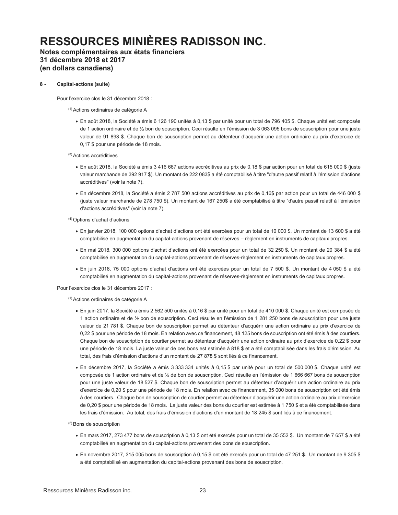# **Notes complémentaires aux états financiers 31 décembre 2018 et 2017 (en dollars canadiens)**

### **8 - Capital-actions (suite)**

Pour l'exercice clos le 31 décembre 2018 :

(1) Actions ordinaires de catégorie A

x En août 2018, la Société a émis 6 126 190 unités à 0,13 \$ par unité pour un total de 796 405 \$. Chaque unité est composée de 1 action ordinaire et de 1/2 bon de souscription. Ceci résulte en l'émission de 3 063 095 bons de souscription pour une juste valeur de 91 893 \$. Chaque bon de souscription permet au détenteur d'acquérir une action ordinaire au prix d'exercice de 0,17 \$ pour une période de 18 mois.

(3) Actions accréditives

- x En août 2018, la Société a émis 3 416 667 actions accréditives au prix de 0,18 \$ par action pour un total de 615 000 \$ (juste valeur marchande de 392 917 \$). Un montant de 222 083\$ a été comptabilisé à titre "d'autre passif relatif à l'émission d'actions accréditives" (voir la note 7).
- x En décembre 2018, la Société a émis 2 787 500 actions accréditives au prix de 0,16\$ par action pour un total de 446 000 \$ (juste valeur marchande de 278 750 \$). Un montant de 167 250\$ a été comptabilisé à titre "d'autre passif relatif à l'émission d'actions accréditives" (voir la note 7).

 $(4)$  Options d'achat d'actions

- En janvier 2018, 100 000 options d'achat d'actions ont été exercées pour un total de 10 000 \$. Un montant de 13 600 \$ a été comptabilisé en augmentation du capital-actions provenant de réserves - règlement en instruments de capitaux propres.
- · En mai 2018, 300 000 options d'achat d'actions ont été exercées pour un total de 32 250 \$. Un montant de 20 384 \$ a été comptabilisé en augmentation du capital-actions provenant de réserves-règlement en instruments de capitaux propres.
- · En juin 2018, 75 000 options d'achat d'actions ont été exercées pour un total de 7 500 \$. Un montant de 4 050 \$ a été comptabilisé en augmentation du capital-actions provenant de réserves-règlement en instruments de capitaux propres.

Pour l'exercice clos le 31 décembre 2017 :

(1) Actions ordinaires de catégorie A

- x En juin 2017, la Société a émis 2 562 500 unités à 0,16 \$ par unité pour un total de 410 000 \$. Chaque unité est composée de 1 action ordinaire et de 1/2 bon de souscription. Ceci résulte en l'émission de 1 281 250 bons de souscription pour une juste valeur de 21 781 \$. Chaque bon de souscription permet au détenteur d'acquérir une action ordinaire au prix d'exercice de 0,22 \$ pour une période de 18 mois. En relation avec ce financement, 48 125 bons de souscription ont été émis à des courtiers. Chaque bon de souscription de courtier permet au détenteur d'acquérir une action ordinaire au prix d'exercice de 0,22 \$ pour une période de 18 mois. La juste valeur de ces bons est estimée à 818 \$ et a été comptabilisée dans les frais d'émission. Au total, des frais d'émission d'actions d'un montant de 27 878 \$ sont liés à ce financement.
- x En décembre 2017, la Société a émis 3 333 334 unités à 0,15 \$ par unité pour un total de 500 000 \$. Chaque unité est composée de 1 action ordinaire et de 1/2 de bon de souscription. Ceci résulte en l'émission de 1 666 667 bons de souscription pour une juste valeur de 18 527 \$. Chaque bon de souscription permet au détenteur d'acquérir une action ordinaire au prix d'exercice de 0,20 \$ pour une période de 18 mois. En relation avec ce financement, 35 000 bons de souscription ont été émis à des courtiers. Chaque bon de souscription de courtier permet au détenteur d'acquérir une action ordinaire au prix d'exercice de 0,20 \$ pour une période de 18 mois. La juste valeur des bons du courtier est estimée à 1 750 \$ et a été comptabilisée dans Les frais d'émission. Au total, des frais d'émission d'actions d'un montant de 18 245 \$ sont liés à ce financement.

(2) Bons de souscription

- x En mars 2017, 273 477 bons de souscription à 0,13 \$ ont été exercés pour un total de 35 552 \$. Un montant de 7 657 \$ a été comptabilisé en augmentation du capital-actions provenant des bons de souscription.
- x En novembre 2017, 315 005 bons de souscription à 0,15 \$ ont été exercés pour un total de 47 251 \$. Un montant de 9 305 \$ a été comptabilisé en augmentation du capital-actions provenant des bons de souscription.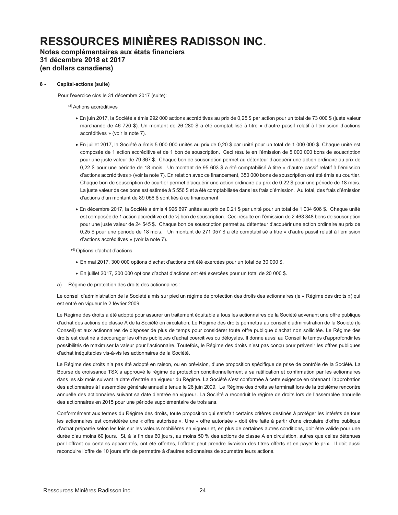**Notes complémentaires aux états financiers 31 décembre 2018 et 2017 (en dollars canadiens)** 

### **8 - Capital-actions (suite)**

Pour l'exercice clos le 31 décembre 2017 (suite):

(3) Actions accréditives

- x En juin 2017, la Société a émis 292 000 actions accréditives au prix de 0,25 \$ par action pour un total de 73 000 \$ (juste valeur marchande de 46 720 \$). Un montant de 26 280 \$ a été comptabilisé à titre « d'autre passif relatif à l'émission d'actions accréditives » (voir la note 7).
- x En juillet 2017, la Société a émis 5 000 000 unités au prix de 0,20 \$ par unité pour un total de 1 000 000 \$. Chaque unité est composée de 1 action accréditive et de 1 bon de souscription. Ceci résulte en l'émission de 5 000 000 bons de souscription pour une juste valeur de 79 367 \$. Chaque bon de souscription permet au détenteur d'acquérir une action ordinaire au prix de 0,22 \$ pour une période de 18 mois. Un montant de 95 603 \$ a été comptabilisé à titre « d'autre passif relatif à l'émission d'actions accréditives » (voir la note 7). En relation avec ce financement, 350 000 bons de souscription ont été émis au courtier. Chaque bon de souscription de courtier permet d'acquérir une action ordinaire au prix de 0,22 \$ pour une période de 18 mois. La juste valeur de ces bons est estimée à 5 556 \$ et a été comptabilisée dans les frais d'émission. Au total, des frais d'émission d'actions d'un montant de 89 056 \$ sont liés à ce financement.
- x En décembre 2017, la Société a émis 4 926 697 unités au prix de 0,21 \$ par unité pour un total de 1 034 606 \$. Chaque unité est composée de 1 action accréditive et de 1/2 bon de souscription. Ceci résulte en l'émission de 2 463 348 bons de souscription pour une juste valeur de 24 545 \$. Chaque bon de souscription permet au détenteur d'acquérir une action ordinaire au prix de 0,25 \$ pour une période de 18 mois. Un montant de 271 057 \$ a été comptabilisé à titre « d'autre passif relatif à l'émission d'actions accréditives » (voir la note 7).

 $(4)$  Options d'achat d'actions

- · En mai 2017, 300 000 options d'achat d'actions ont été exercées pour un total de 30 000 \$.
- En juillet 2017, 200 000 options d'achat d'actions ont été exercées pour un total de 20 000 \$.
- a) Régime de protection des droits des actionnaires :

Le conseil d'administration de la Société a mis sur pied un régime de protection des droits des actionnaires (le « Régime des droits ») qui est entré en vigueur le 2 février 2009.

 Le Régime des droits a été adopté pour assurer un traitement équitable à tous les actionnaires de la Société advenant une offre publique d'achat des actions de classe A de la Société en circulation. Le Régime des droits permettra au conseil d'administration de la Société (le Conseil) et aux actionnaires de disposer de plus de temps pour considérer toute offre publique d'achat non sollicitée. Le Régime des droits est destiné à décourager les offres publiques d'achat coercitives ou déloyales. Il donne aussi au Conseil le temps d'approfondir les possibilités de maximiser la valeur pour l'actionnaire. Toutefois, le Régime des droits n'est pas conçu pour prévenir les offres publiques d'achat inéquitables vis-à-vis les actionnaires de la Société.

Le Régime des droits n'a pas été adopté en raison, ou en prévision, d'une proposition spécifique de prise de contrôle de la Société. La Bourse de croissance TSX a approuvé le régime de protection conditionnellement à sa ratification et confirmation par les actionnaires dans les six mois suivant la date d'entrée en vigueur du Régime. La Société s'est conformée à cette exigence en obtenant l'approbation des actionnaires à l'assemblée générale annuelle tenue le 26 juin 2009. Le Régime des droits se terminait lors de la troisième rencontre annuelle des actionnaires suivant sa date d'entrée en vigueur. La Société a reconduit le régime de droits lors de l'assemblée annuelle des actionnaires en 2015 pour une période supplémentaire de trois ans.

Conformément aux termes du Régime des droits, toute proposition qui satisfait certains critères destinés à protéger les intérêts de tous les actionnaires est considérée une « offre autorisée ». Une « offre autorisée » doit être faite à partir d'une circulaire d'offre publique d'achat préparée selon les lois sur les valeurs mobilières en vigueur et, en plus de certaines autres conditions, doit être valide pour une durée d'au moins 60 jours. Si, à la fin des 60 jours, au moins 50 % des actions de classe A en circulation, autres que celles détenues par l'offrant ou certains apparentés, ont été offertes, l'offrant peut prendre livraison des titres offerts et en payer le prix. Il doit aussi reconduire l'offre de 10 jours afin de permettre à d'autres actionnaires de soumettre leurs actions.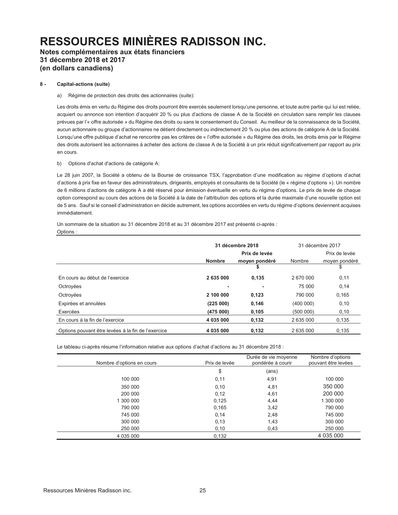**Notes complémentaires aux états financiers 31 décembre 2018 et 2017 (en dollars canadiens)** 

### **8 - Capital-actions (suite)**

### a) Régime de protection des droits des actionnaires (suite):

Les droits émis en vertu du Régime des droits pourront être exercés seulement lorsqu'une personne, et toute autre partie qui lui est reliée, acquiert ou annonce son intention d'acquérir 20 % ou plus d'actions de classe A de la Société en circulation sans remplir les clauses prévues par l'« offre autorisée » du Régime des droits ou sans le consentement du Conseil. Au meilleur de la connaissance de la Société, aucun actionnaire ou groupe d'actionnaires ne détient directement ou indirectement 20 % ou plus des actions de catégorie A de la Société. Lorsqu'une offre publique d'achat ne rencontre pas les critères de « l'offre autorisée » du Régime des droits, les droits émis par le Régime des droits autorisent les actionnaires à acheter des actions de classe A de la Société à un prix réduit significativement par rapport au prix en cours.

b) Options d'achat d'actions de catégorie A:

Le 28 juin 2007, la Société a obtenu de la Bourse de croissance TSX, l'approbation d'une modification au régime d'options d'achat d'actions à prix fixe en faveur des administrateurs, dirigeants, employés et consultants de la Société (le « régime d'options »). Un nombre de 6 millions d'actions de catégorie A a été réservé pour émission éventuelle en vertu du régime d'options. Le prix de levée de chaque option correspond au cours des actions de la Société à la date de l'attribution des options et la durée maximale d'une nouvelle option est de 5 ans. Sauf si le conseil d'administration en décide autrement, les options accordées en vertu du régime d'options deviennent acquises immédiatement.

 Un sommaire de la situation au 31 décembre 2018 et au 31 décembre 2017 est présenté ci-après : Options :

|                                                    |               | 31 décembre 2018 |           | 31 décembre 2017 |  |
|----------------------------------------------------|---------------|------------------|-----------|------------------|--|
|                                                    | Prix de levée |                  |           | Prix de levée    |  |
|                                                    | <b>Nombre</b> | moyen pondéré    | Nombre    | moyen pondéré    |  |
|                                                    |               | S                |           | \$               |  |
| En cours au début de l'exercice                    | 2 635 000     | 0,135            | 2670000   | 0,11             |  |
| Octrovées                                          | ٠             | ۰                | 75 000    | 0,14             |  |
| Octroyées                                          | 2 100 000     | 0,123            | 790 000   | 0,165            |  |
| Expirées et annulées                               | (225000)      | 0,146            | (400 000) | 0, 10            |  |
| Exercées                                           | (475000)      | 0,105            | (500000)  | 0, 10            |  |
| En cours à la fin de l'exercice                    | 4 035 000     | 0,132            | 2 635 000 | 0,135            |  |
| Options pouvant être levées à la fin de l'exercice | 4 035 000     | 0,132            | 2 635 000 | 0,135            |  |

Le tableau ci-après résume l'information relative aux options d'achat d'actions au 31 décembre 2018 :

| Nombre d'options en cours | Prix de levée | Durée de vie moyenne<br>pondérée à courir | Nombre d'options<br>pouvant être levées |
|---------------------------|---------------|-------------------------------------------|-----------------------------------------|
|                           | \$            | (ans)                                     |                                         |
| 100 000                   | 0,11          | 4,91                                      | 100 000                                 |
| 350 000                   | 0,10          | 4,81                                      | 350 000                                 |
| 200 000                   | 0,12          | 4,61                                      | 200 000                                 |
| 1 300 000                 | 0,125         | 4,44                                      | 1 300 000                               |
| 790 000                   | 0,165         | 3,42                                      | 790 000                                 |
| 745 000                   | 0,14          | 2,48                                      | 745 000                                 |
| 300 000                   | 0,13          | 1,43                                      | 300 000                                 |
| 250 000                   | 0,10          | 0,43                                      | 250 000                                 |
| 4 035 000                 | 0,132         |                                           | 4 035 000                               |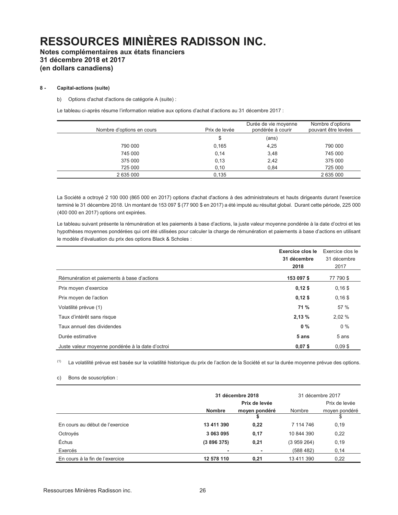# **Notes complémentaires aux états financiers 31 décembre 2018 et 2017 (en dollars canadiens)**

### **8 - Capital-actions (suite)**

b) Options d'achat d'actions de catégorie A (suite) :

Le tableau ci-après résume l'information relative aux options d'achat d'actions au 31 décembre 2017 :

| Nombre d'options en cours | Prix de levée | Durée de vie moyenne<br>pondérée à courir | Nombre d'options<br>pouvant être levées |
|---------------------------|---------------|-------------------------------------------|-----------------------------------------|
|                           | \$            | (ans)                                     |                                         |
| 790 000                   | 0,165         | 4,25                                      | 790 000                                 |
| 745 000                   | 0,14          | 3,48                                      | 745 000                                 |
| 375 000                   | 0,13          | 2,42                                      | 375 000                                 |
| 725 000                   | 0,10          | 0.84                                      | 725 000                                 |
| 2 635 000                 | 0.135         |                                           | 2 635 000                               |

 La Société a octroyé 2 100 000 (865 000 en 2017) options d'achat d'actions à des administrateurs et hauts dirigeants durant l'exercice terminé le 31 décembre 2018. Un montant de 153 097 \$ (77 900 \$ en 2017) a été imputé au résultat global. Durant cette période, 225 000 (400 000 en 2017) options ont expirées.

Le tableau suivant présente la rémunération et les paiements à base d'actions, la juste valeur moyenne pondérée à la date d'octroi et les hypothèses moyennes pondérées qui ont été utilisées pour calculer la charge de rémunération et paiements à base d'actions en utilisant le modèle d'évaluation du prix des options Black & Scholes :

|                                                  | Exercice clos le<br>31 décembre<br>2018 | Exercice clos le<br>31 décembre<br>2017 |
|--------------------------------------------------|-----------------------------------------|-----------------------------------------|
| Rémunération et paiements à base d'actions       | 153 097 \$                              | 77 790 \$                               |
| Prix moyen d'exercice                            | $0,12$ \$                               | $0,16$ \$                               |
| Prix moyen de l'action                           | $0,12$ \$                               | $0,16$ \$                               |
| Volatilité prévue (1)                            | <b>71 %</b>                             | 57 %                                    |
| Taux d'intérêt sans risque                       | 2,13%                                   | 2,02 %                                  |
| Taux annuel des dividendes                       | $0\%$                                   | $0\%$                                   |
| Durée estimative                                 | 5 ans                                   | 5 ans                                   |
| Juste valeur moyenne pondérée à la date d'octroi | $0,07$ \$                               | $0.09$ \$                               |

(1) La volatilité prévue est basée sur la volatilité historique du prix de l'action de la Société et sur la durée moyenne prévue des options.

c) Bons de souscription :

|                                 |               | 31 décembre 2018 |            | 31 décembre 2017 |
|---------------------------------|---------------|------------------|------------|------------------|
|                                 |               | Prix de levée    |            | Prix de levée    |
|                                 | <b>Nombre</b> | moyen pondéré    | Nombre     | moyen pondéré    |
|                                 |               |                  |            |                  |
| En cours au début de l'exercice | 13 411 390    | 0,22             | 7 114 746  | 0, 19            |
| Octroyés                        | 3 063 095     | 0,17             | 10 844 390 | 0,22             |
| Échus                           | (3896375)     | 0,21             | (3959264)  | 0, 19            |
| Exercés                         |               | ۰                | (588 482)  | 0,14             |
| En cours à la fin de l'exercice | 12 578 110    | 0,21             | 13 411 390 | 0,22             |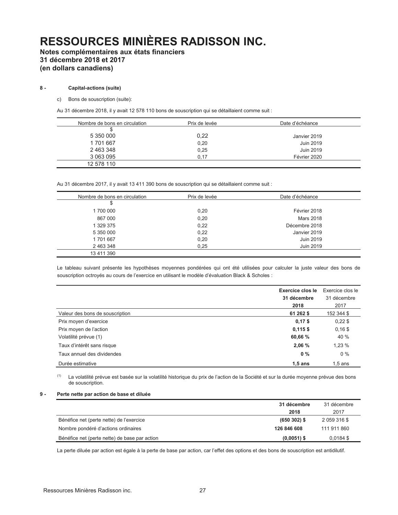# **Notes complémentaires aux états financiers 31 décembre 2018 et 2017 (en dollars canadiens)**

### **8 - Capital-actions (suite)**

c) Bons de souscription (suite):

Au 31 décembre 2018, il y avait 12 578 110 bons de souscription qui se détaillaient comme suit :

| Nombre de bons en circulation | Prix de levée | Date d'échéance |
|-------------------------------|---------------|-----------------|
|                               |               |                 |
| 5 350 000                     | 0,22          | Janvier 2019    |
| 1701667                       | 0,20          | Juin 2019       |
| 2463348                       | 0,25          | Juin 2019       |
| 3 063 095                     | 0.17          | Février 2020    |
| 12 578 110                    |               |                 |

Au 31 décembre 2017, il y avait 13 411 390 bons de souscription qui se détaillaient comme suit :

| Nombre de bons en circulation | Prix de levée | Date d'échéance |  |
|-------------------------------|---------------|-----------------|--|
| \$                            |               |                 |  |
| 1700 000                      | 0,20          | Février 2018    |  |
| 867 000                       | 0,20          | Mars 2018       |  |
| 1 329 375                     | 0,22          | Décembre 2018   |  |
| 5 350 000                     | 0,22          | Janvier 2019    |  |
| 1701667                       | 0,20          | Juin 2019       |  |
| 2 463 348                     | 0,25          | Juin 2019       |  |
| 13 411 390                    |               |                 |  |

 Le tableau suivant présente les hypothèses moyennes pondérées qui ont été utilisées pour calculer la juste valeur des bons de souscription octroyés au cours de l'exercice en utilisant le modèle d'évaluation Black & Scholes :

|                                 | Exercice clos le<br>31 décembre | Exercice clos le<br>31 décembre |
|---------------------------------|---------------------------------|---------------------------------|
|                                 | 2018                            | 2017                            |
| Valeur des bons de souscription | 61 262 \$                       | 152 344 \$                      |
| Prix moyen d'exercice           | $0,17$ \$                       | $0,22$ \$                       |
| Prix moyen de l'action          | $0,115$ \$                      | $0,16$ \$                       |
| Volatilité prévue (1)           | 60,66 %                         | 40 %                            |
| Taux d'intérêt sans risque      | 2,06%                           | 1,23 %                          |
| Taux annuel des dividendes      | $0\%$                           | $0\%$                           |
| Durée estimative                | $1,5$ ans                       | $1,5$ ans                       |

(1) La volatilité prévue est basée sur la volatilité historique du prix de l'action de la Société et sur la durée moyenne prévue des bons de souscription.

### **9 - Perte nette par action de base et diluée**

|                                               | 31 décembre   | 31 décembre  |
|-----------------------------------------------|---------------|--------------|
|                                               | 2018          | 2017         |
| Bénéfice net (perte nette) de l'exercice      | $(650302)$ \$ | 2 059 316 \$ |
| Nombre pondéré d'actions ordinaires           | 126 846 608   | 111 911 860  |
| Bénéfice net (perte nette) de base par action | $(0,0051)$ \$ | $0,0184$ \$  |

La perte diluée par action est égale à la perte de base par action, car l'effet des options et des bons de souscription est antidilutif.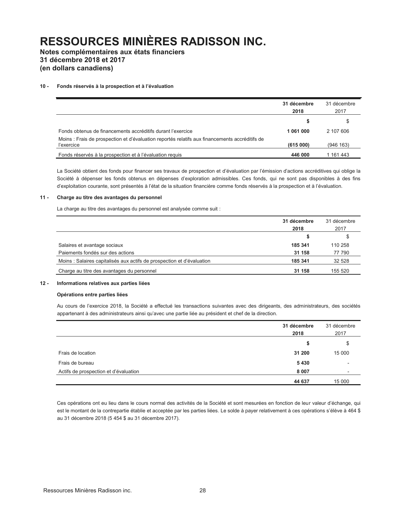**Notes complémentaires aux états financiers 31 décembre 2018 et 2017** 

**(en dollars canadiens)** 

### 10 - Fonds réservés à la prospection et à l'évaluation

|                                                                                                              | 31 décembre<br>2018 | 31 décembre<br>2017 |
|--------------------------------------------------------------------------------------------------------------|---------------------|---------------------|
|                                                                                                              | S                   |                     |
| Fonds obtenus de financements accréditifs durant l'exercice                                                  | 1061000             | 2 107 606           |
| Moins : Frais de prospection et d'évaluation reportés relatifs aux financements accréditifs de<br>l'exercice | (615000)            | (946 163)           |
| Fonds réservés à la prospection et à l'évaluation requis                                                     | 446 000             | 1 161 443           |

La Société obtient des fonds pour financer ses travaux de prospection et d'évaluation par l'émission d'actions accréditives qui oblige la Société à dépenser les fonds obtenus en dépenses d'exploration admissibles. Ces fonds, qui ne sont pas disponibles à des fins d'exploitation courante, sont présentés à l'état de la situation financière comme fonds réservés à la prospection et à l'évaluation.

### **11 - Charge au titre des avantages du personnel**

La charge au titre des avantages du personnel est analysée comme suit :

|                                                                        | 31 décembre<br>2018 | 31 décembre<br>2017 |
|------------------------------------------------------------------------|---------------------|---------------------|
|                                                                        | S                   | S                   |
| Salaires et avantage sociaux                                           | 185 341             | 110 258             |
| Paiements fondés sur des actions                                       | 31 158              | 77 790              |
| Moins : Salaires capitalisés aux actifs de prospection et d'évaluation | 185 341             | 32 5 28             |
| Charge au titre des avantages du personnel                             | 31 158              | 155 520             |

### **12 - Informations relatives aux parties liées**

### **Opérations entre parties liées**

Au cours de l'exercice 2018, la Société a effectué les transactions suivantes avec des dirigeants, des administrateurs, des sociétés appartenant à des administrateurs ainsi qu'avec une partie liée au président et chef de la direction.

|                                       | 31 décembre<br>2018 | 31 décembre<br>2017      |
|---------------------------------------|---------------------|--------------------------|
|                                       | \$                  | \$                       |
| Frais de location                     | 31 200              | 15 000                   |
| Frais de bureau                       | 5430                | $\overline{\phantom{a}}$ |
| Actifs de prospection et d'évaluation | 8 0 0 7             | $\overline{\phantom{a}}$ |
|                                       | 44 637              | 15 000                   |

Ces opérations ont eu lieu dans le cours normal des activités de la Société et sont mesurées en fonction de leur valeur d'échange, qui est le montant de la contrepartie établie et acceptée par les parties liées. Le solde à payer relativement à ces opérations s'élève à 464 \$ au 31 décembre 2018 (5 454 \$ au 31 décembre 2017).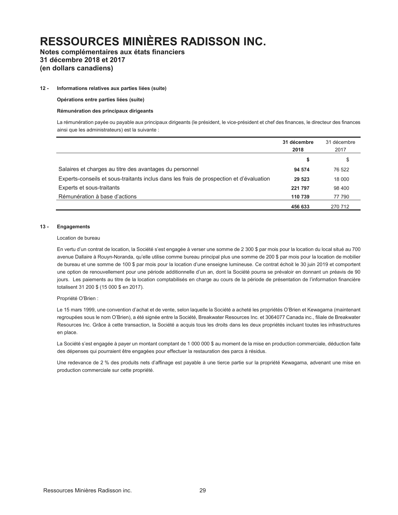# **Notes complémentaires aux états financiers 31 décembre 2018 et 2017 (en dollars canadiens)**

#### **12 - Informations relatives aux parties liées (suite)**

 **Opérations entre parties liées (suite)**

#### **Rémunération des principaux dirigeants**

 La rémunération payée ou payable aux principaux dirigeants (le président, le vice-président et chef des finances, le directeur des finances ainsi que les administrateurs) est la suivante :

|                                                                                         | 31 décembre<br>2018 | 31 décembre<br>2017 |
|-----------------------------------------------------------------------------------------|---------------------|---------------------|
|                                                                                         | \$                  | \$                  |
| Salaires et charges au titre des avantages du personnel                                 | 94 574              | 76 522              |
| Experts-conseils et sous-traitants inclus dans les frais de prospection et d'évaluation | 29 5 23             | 18 000              |
| Experts et sous-traitants                                                               | 221 797             | 98 400              |
| Rémunération à base d'actions                                                           | 110 739             | 77 790              |
|                                                                                         | 456 633             | 270 712             |

#### **13 - Engagements**

#### Location de bureau

En vertu d'un contrat de location, la Société s'est engagée à verser une somme de 2 300 \$ par mois pour la location du local situé au 700 avenue Dallaire à Rouyn-Noranda, qu'elle utilise comme bureau principal plus une somme de 200 \$ par mois pour la location de mobilier de bureau et une somme de 100 \$ par mois pour la location d'une enseigne lumineuse. Ce contrat échoit le 30 juin 2019 et comportent une option de renouvellement pour une période additionnelle d'un an, dont la Société pourra se prévaloir en donnant un préavis de 90 jours. Les paiements au titre de la location comptabilisés en charge au cours de la période de présentation de l'information financière totalisent 31 200 \$ (15 000 \$ en 2017).

#### Propriété O'Brien :

Le 15 mars 1999, une convention d'achat et de vente, selon laquelle la Société a acheté les propriétés O'Brien et Kewagama (maintenant regroupées sous le nom O'Brien), a été signée entre la Société, Breakwater Resources Inc. et 3064077 Canada inc., filiale de Breakwater Resources Inc. Grâce à cette transaction, la Société a acquis tous les droits dans les deux propriétés incluant toutes les infrastructures en place.

La Société s'est engagée à payer un montant comptant de 1 000 000 \$ au moment de la mise en production commerciale, déduction faite des dépenses qui pourraient être engagées pour effectuer la restauration des parcs à résidus.

Une redevance de 2 % des produits nets d'affinage est payable à une tierce partie sur la propriété Kewagama, advenant une mise en production commerciale sur cette propriété.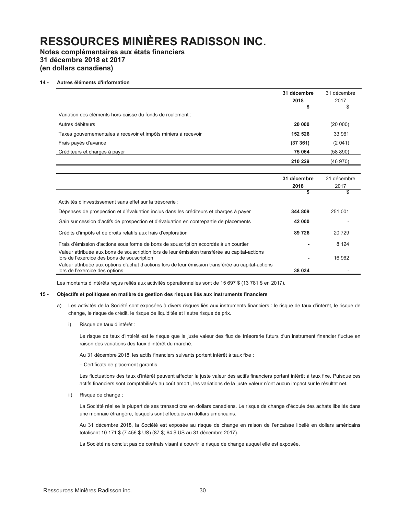# **Notes complémentaires aux états financiers 31 décembre 2018 et 2017 (en dollars canadiens)**

### **14 - Autres éléments d'information**

|                                                                | 31 décembre | 31 décembre |
|----------------------------------------------------------------|-------------|-------------|
|                                                                | 2018        | 2017        |
|                                                                | S           | \$          |
| Variation des éléments hors-caisse du fonds de roulement :     |             |             |
| Autres débiteurs                                               | 20 000      | (20 000)    |
| Taxes gouvernementales à recevoir et impôts miniers à recevoir | 152 526     | 33 961      |
| Frais payés d'avance                                           | (37361)     | (2041)      |
| Créditeurs et charges à payer                                  | 75 064      | (58 890)    |
|                                                                | 210 229     | (46970)     |

|                                                                                                                                              | 31 décembre<br>2018 | 31 décembre<br>2017 |
|----------------------------------------------------------------------------------------------------------------------------------------------|---------------------|---------------------|
|                                                                                                                                              | \$                  | \$                  |
| Activités d'investissement sans effet sur la trésorerie :                                                                                    |                     |                     |
| Dépenses de prospection et d'évaluation inclus dans les créditeurs et charges à payer                                                        | 344 809             | 251 001             |
| Gain sur cession d'actifs de prospection et d'évaluation en contrepartie de placements                                                       | 42 000              |                     |
| Crédits d'impôts et de droits relatifs aux frais d'exploration                                                                               | 89 726              | 20 729              |
| Frais d'émission d'actions sous forme de bons de souscription accordés à un courtier                                                         |                     | 8 1 2 4             |
| Valeur attribuée aux bons de souscription lors de leur émission transférée au capital-actions<br>lors de l'exercice des bons de souscription |                     | 16 962              |
| Valeur attribuée aux options d'achat d'actions lors de leur émission transférée au capital-actions<br>lors de l'exercice des options         | 38 034              |                     |

Les montants d'intérêts reçus reliés aux activités opérationnelles sont de 15 697 \$ (13 781 \$ en 2017).

#### **15 - Objectifs et politiques en matière de gestion des risques liés aux instruments financiers**

- a) Les activités de la Société sont exposées à divers risques liés aux instruments financiers : le risque de taux d'intérêt, le risque de change, le risque de crédit, le risque de liquidités et l'autre risque de prix.
	- i) Risque de taux d'intérêt :

Le risque de taux d'intérêt est le risque que la juste valeur des flux de trésorerie futurs d'un instrument financier fluctue en raison des variations des taux d'intérêt du marché.

Au 31 décembre 2018, les actifs financiers suivants portent intérêt à taux fixe :

± Certificats de placement garantis.

Les fluctuations des taux d'intérêt peuvent affecter la juste valeur des actifs financiers portant intérêt à taux fixe. Puisque ces actifs financiers sont comptabilisés au coût amorti, les variations de la juste valeur n'ont aucun impact sur le résultat net.

ii) Risque de change :

La Société réalise la plupart de ses transactions en dollars canadiens. Le risque de change d'écoule des achats libellés dans une monnaie étrangère, lesquels sont effectués en dollars américains.

Au 31 décembre 2018, la Société est exposée au risque de change en raison de l'encaisse libellé en dollars américains totalisant 10 171 \$ (7 456 \$ US) (87 \$; 64 \$ US au 31 décembre 2017).

La Société ne conclut pas de contrats visant à couvrir le risque de change auquel elle est exposée.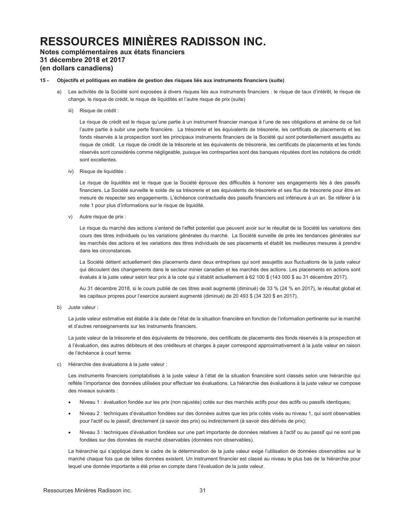# **Notes complémentaires aux états financiers 31 décembre 2018 et 2017 (en dollars canadiens)**

### **15 - Objectifs et politiques en matière de gestion des risques liés aux instruments financiers (suite)**

- a) Les activités de la Société sont exposées à divers risques liés aux instruments financiers : le risque de taux d'intérêt, le risque de change, le risque de crédit, le risque de liquidités et l'autre risque de prix (suite)
	- iii) Risque de crédit :

Le risque de crédit est le risque qu'une partie à un instrument financier manque à l'une de ses obligations et amène de ce fait l'autre partie à subir une perte financière. La trésorerie et les équivalents de trésorerie, les certificats de placements et les fonds réservés à la prospection sont les principaux instruments financiers de la Société qui sont potentiellement assujettis au risque de crédit. Le risque de crédit de la trésorerie et les équivalents de trésorerie, les certificats de placements et les fonds réservés sont considérés comme négligeable, puisque les contreparties sont des banques réputées dont les notations de crédit sont excellentes.

iv) Risque de liquidités :

Le risque de liquidités est le risque que la Société éprouve des difficultés à honorer ses engagements liés à des passifs financiers. La Société surveille le solde de sa trésorerie et ses équivalents de trésorerie et ses flux de trésorerie pour être en mesure de respecter ses engagements. L'échéance contractuelle des passifs financiers est inférieure à un an. Se référer à la note 1 pour plus d'informations sur le risque de liquidité.

v) Autre risque de prix :

Le risque du marché des actions s'entend de l'effet potentiel que peuvent avoir sur le résultat de la Société les variations des cours des titres individuels ou les variations générales du marché. La Société surveille de près les tendances générales sur les marchés des actions et les variations des titres individuels de ses placements et établit les meilleures mesures à prendre dans les circonstances.

 La Société détient actuellement des placements dans deux entreprises qui sont assujettis aux fluctuations de la juste valeur qui découlent des changements dans le secteur minier canadien et les marchés des actions. Les placements en actions sont évalués à la juste valeur selon leur prix à la cote qui s'établit actuellement à 62 100 \$ (143 000 \$ au 31 décembre 2017).

 Au 31 décembre 2018, si le cours publié de ces titres avait augmenté (diminué) de 33 % (24 % en 2017), le résultat global et les capitaux propres pour l'exercice auraient augmenté (diminué) de 20 493 \$ (34 320 \$ en 2017).

b) Juste valeur :

La juste valeur estimative est établie à la date de l'état de la situation financière en fonction de l'information pertinente sur le marché et d'autres renseignements sur les instruments financiers.

 La juste valeur de la trésorerie et des équivalents de trésorerie, des certificats de placements des fonds réservés à la prospection et à l'évaluation, des autres débiteurs et des créditeurs et charges à payer correspond approximativement à la juste valeur en raison de l'échéance à court terme

c) Hiérarchie des évaluations à la juste valeur :

Les instruments financiers comptabilisés à la juste valeur à l'état de la situation financière sont classés selon une hiérarchie qui reflète l'importance des données utilisées pour effectuer les évaluations. La hiérarchie des évaluations à la juste valeur se compose des niveaux suivants :

- Niveau 1 : évaluation fondée sur les prix (non rajustés) cotés sur des marchés actifs pour des actifs ou passifs identiques;
- Niveau 2 : techniques d'évaluation fondées sur des données autres que les prix cotés visés au niveau 1, qui sont observables pour l'actif ou le passif, directement (à savoir des prix) ou indirectement (à savoir des dérivés de prix);
- Niveau 3 : techniques d'évaluation fondées sur une part importante de données relatives à l'actif ou au passif qui ne sont pas fondées sur des données de marché observables (données non observables).

La hiérarchie qui s'applique dans le cadre de la détermination de la juste valeur exige l'utilisation de données observables sur le marché chaque fois que de telles données existent. Un instrument financier est classé au niveau le plus bas de la hiérarchie pour lequel une donnée importante a été prise en compte dans l'évaluation de la juste valeur.